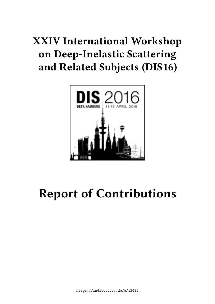# **XXIV International Workshop on Deep-Inelastic Scattering and Related Subjects (DIS16)**



# **Report of Contributions**

https://indico.desy.de/e/12482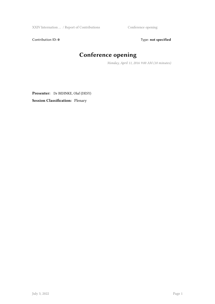XXIV Internation ... / Report of Contributions Conference opening

Contribution ID: 0 Type: not specified

# **Conference opening**

*Monday, April 11, 2016 9:00 AM (10 minutes)*

**Presenter:** Dr BEHNKE, Olaf (DESY) **Session Classification:** Plenary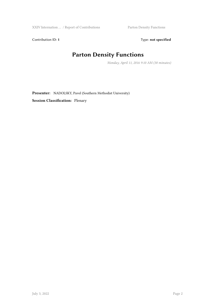XXIV Internation ... / Report of Contributions Parton Density Functions

Contribution ID: 1 Type: **not specified** 

# **Parton Density Functions**

*Monday, April 11, 2016 9:10 AM (30 minutes)*

**Presenter:** NADOLSKY, Pavel (Southern Methodist University) **Session Classification:** Plenary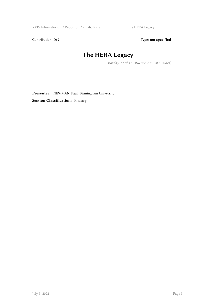Contribution ID: 2 Type: **not specified** 

# **The HERA Legacy**

*Monday, April 11, 2016 9:50 AM (30 minutes)*

**Presenter:** NEWMAN, Paul (Birmingham University)

**Session Classification:** Plenary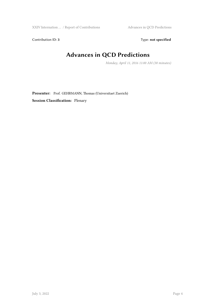XXIV Internation ... / Report of Contributions Advances in QCD Predictions

Contribution ID: 3 Type: **not specified** 

# **Advances in QCD Predictions**

*Monday, April 11, 2016 11:00 AM (30 minutes)*

**Presenter:** Prof. GEHRMANN, Thomas (Universitaet Zuerich) **Session Classification:** Plenary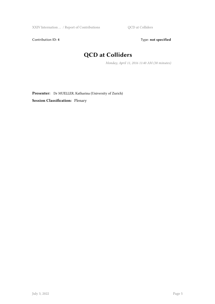XXIV Internation ... / Report of Contributions QCD at Colliders

Contribution ID: 4 Type: **not specified** 

# **QCD at Colliders**

*Monday, April 11, 2016 11:40 AM (30 minutes)*

**Presenter:** Dr MUELLER, Katharina (University of Zurich) **Session Classification:** Plenary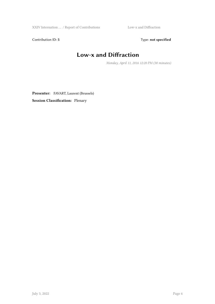XXIV Internation … / Report of Contributions Low-x and Diffraction

Contribution ID: 5 Type: **not specified** 

# **Low-x and Diffraction**

*Monday, April 11, 2016 12:20 PM (30 minutes)*

**Presenter:** FAVART, Laurent (Brussels) **Session Classification:** Plenary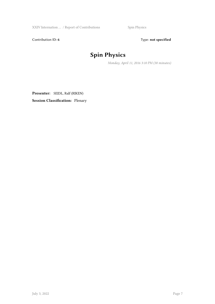XXIV Internation … / Report of Contributions Spin Physics

Contribution ID: 6 Type: not specified

# **Spin Physics**

*Monday, April 11, 2016 3:10 PM (30 minutes)*

**Presenter:** SEIDL, Ralf (RIKEN) **Session Classification:** Plenary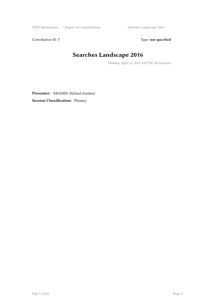XXIV Internation ... / Report of Contributions Searches Landscape 2016

Contribution ID: 7 Type: **not specified** 

## **Searches Landscape 2016**

*Monday, April 11, 2016 4:20 PM (30 minutes)*

**Presenter:** KRÄMER, Michael (Aachen) **Session Classification:** Plenary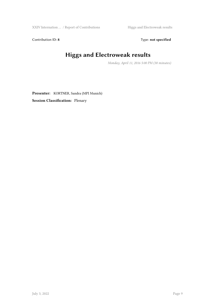Contribution ID: 8 Type: **not specified** 

# **Higgs and Electroweak results**

*Monday, April 11, 2016 5:00 PM (30 minutes)*

**Presenter:** KORTNER, Sandra (MPI Munich) **Session Classification:** Plenary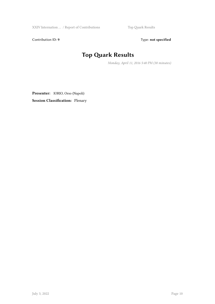XXIV Internation … / Report of Contributions Top Quark Results

Contribution ID: 9 Type: **not specified** 

# **Top Quark Results**

*Monday, April 11, 2016 5:40 PM (30 minutes)*

**Presenter:** IORIO, Orso (Napoli)

**Session Classification:** Plenary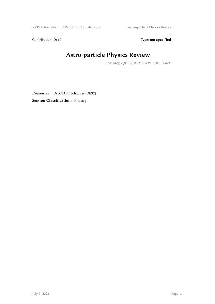XXIV Internation ... / Report of Contributions Astro-particle Physics Review

Contribution ID: 10 Type: not specified

# **Astro-particle Physics Review**

*Monday, April 11, 2016 2:30 PM (30 minutes)*

**Presenter:** Dr KNAPP, Johannes (DESY) **Session Classification:** Plenary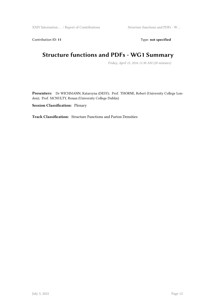Contribution ID: 11 Type: **not specified** 

## **Structure functions and PDFs - WG1 Summary**

*Friday, April 15, 2016 11:30 AM (20 minutes)*

**Presenters:** Dr WICHMANN, Katarzyna (DESY); Prof. THORNE, Robert (University College London); Prof. MCNULTY, Ronan (University College Dublin)

**Session Classification:** Plenary

**Track Classification:** Structure Functions and Parton Densities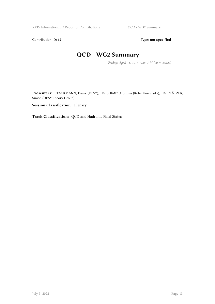Contribution ID: 12 Type: **not specified** 

## **QCD - WG2 Summary**

*Friday, April 15, 2016 11:00 AM (20 minutes)*

**Presenters:** TACKMANN, Frank (DESY); Dr SHIMIZU, Shima (Kobe University); Dr PLÄTZER, Simon (DESY Theory Group)

**Session Classification:** Plenary

**Track Classification:** QCD and Hadronic Final States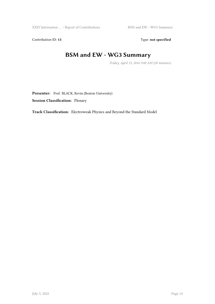Contribution ID: 13 Type: **not specified** 

## **BSM and EW - WG3 Summary**

*Friday, April 15, 2016 9:00 AM (20 minutes)*

Presenter: Prof. BLACK, Kevin (Boston University) **Session Classification:** Plenary

**Track Classification:** Electroweak Physics and Beyond the Standard Model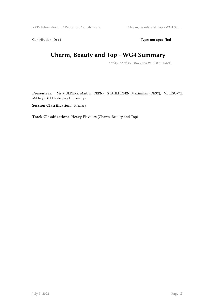Contribution ID: 14 Type: **not specified** 

# **Charm, Beauty and Top - WG4 Summary**

*Friday, April 15, 2016 12:00 PM (20 minutes)*

**Presenters:** Mr MULDERS, Martijn (CERN); STAHLHOFEN, Maximilian (DESY); Mr LISOVYI, Mikhaylo (PI Heidelberg University)

**Session Classification:** Plenary

**Track Classification:** Heavy Flavours (Charm, Beauty and Top)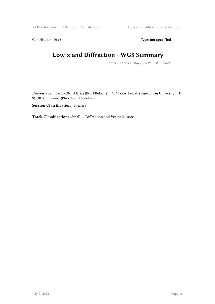Contribution ID: 15 Type: **not specified** 

## **Low-x and Diffraction - WG5 Summary**

*Friday, April 15, 2016 12:30 PM (20 minutes)*

**Presenters:** Dr BRUNI, Alessia (INFN Bologna); MOTYKA, Leszek (Jagiellonian University); Dr SCHICKER, Rainer (Phys. Inst., Heidelberg)

**Session Classification:** Plenary

**Track Classification:** Small-x, Diffraction and Vector Mesons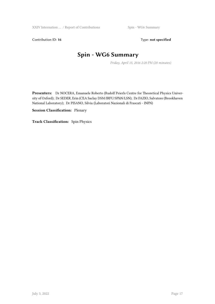Contribution ID: 16 Type: **not specified** 

# **Spin - WG6 Summary**

*Friday, April 15, 2016 2:20 PM (20 minutes)*

**Presenters:** Dr NOCERA, Emanuele Roberto (Rudolf Peierls Centre for Theoretical Physics University of Oxford); Dr SEDER, Erin (CEA Saclay DSM/IRFU/SPhN/LSN); Dr FAZIO, Salvatore (Brookhaven National Laboratory); Dr PISANO, Silvia (Laboratori Nazionali di Frascati - INFN)

#### **Session Classification:** Plenary

**Track Classification:** Spin Physics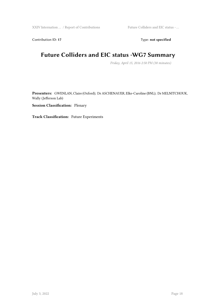Contribution ID: 17 Type: **not specified** 

## **Future Colliders and EIC status -WG7 Summary**

*Friday, April 15, 2016 2:50 PM (30 minutes)*

**Presenters:** GWENLAN, Claire (Oxford); Dr ASCHENAUER, Elke-Caroline (BNL); Dr MELNITCHOUK, Wally (Jefferson Lab)

**Session Classification:** Plenary

**Track Classification:** Future Experiments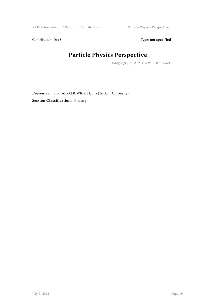Contribution ID: 18 Type: not specified

# **Particle Physics Perspective**

*Friday, April 15, 2016 3:30 PM (30 minutes)*

Presenter: Prof. ABRAMOWICZ, Halina (Tel Aviv University) **Session Classification:** Plenary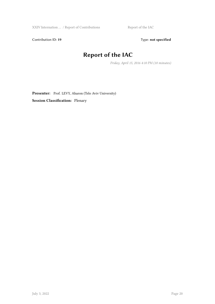XXIV Internation … / Report of Contributions Report of the IAC

Contribution ID: 19 Type: **not specified** 

## **Report of the IAC**

*Friday, April 15, 2016 4:10 PM (10 minutes)*

Presenter: Prof. LEVY, Aharon (Telo Aviv University) **Session Classification:** Plenary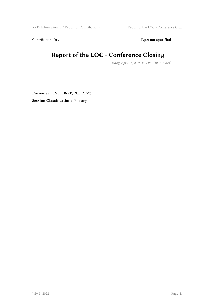XXIV Internation … / Report of Contributions Report of the LOC - Conference Cl ...

Contribution ID: 20 Type: **not specified** 

# **Report of the LOC - Conference Closing**

*Friday, April 15, 2016 4:25 PM (10 minutes)*

**Presenter:** Dr BEHNKE, Olaf (DESY) **Session Classification:** Plenary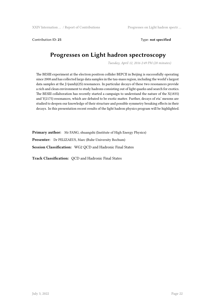Contribution ID: **25** Type: **not specified**

## **Progresses on Light hadron spectroscopy**

*Tuesday, April 12, 2016 2:49 PM (20 minutes)*

The BESIII experiment at the electron positron collider BEPCII in Beijing is successfully operating since 2008 and has collected large data samples in the tau-mass region, including the world's largest data samples at the J/ψandψ(2S) resonances. In particular decays of these two resonances provide a rich and clean environment to study hadrons consisting out of light quarks and search for exotics. The BESIII collaboration has recently started a campaign to understand the nature of the X(1835) and Y(2175) resonances, which are debated to be exotic matter. Further, decays of eta' mesons are studied to deepen our knowledge of their structure and possible symmetry breaking effects in their decays. In this presentation recent results of the light hadron physics program will be highlighted.

**Primary author:** Mr FANG, shuangshi (Institute of High Energy Physics) **Presenter:** Dr PELIZAEUS, Marc (Ruhr-University Bochum) **Session Classification:** WG2 QCD and Hadronic Final States

**Track Classification:** QCD and Hadronic Final States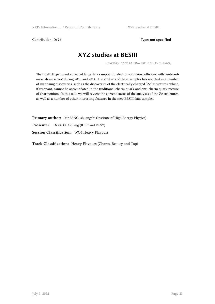Contribution ID: 26 Type: **not specified** 

### **XYZ studies at BESIII**

*Thursday, April 14, 2016 9:00 AM (15 minutes)*

The BESIII Experiment collected large data samples for electron-positron collisions with center-ofmass above 4 GeV during 2013 and 2014. The analysis of these samples has resulted in a number of surprising discoveries, such as the discoveries of the electrically charged "Zc" structures, which, if resonant, cannot be accomodated in the traditional charm quark and anti-charm quark picture of charmonium. In this talk, we will review the current status of the analyses of the Zc structures, as well as a number of other interesting features in the new BESIII data samples.

**Primary author:** Mr FANG, shuangshi (Institute of High Energy Physics) **Presenter:** Dr GUO, Aiqiang (IHEP and DESY) **Session Classification:** WG4 Heavy Flavours

**Track Classification:** Heavy Flavours (Charm, Beauty and Top)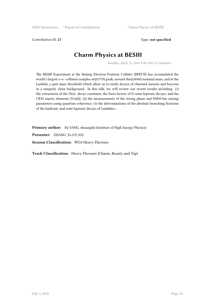Contribution ID: 27 Type: **not specified** 

### **Charm Physics at BESIII**

*Tuesday, April 12, 2016 9:40 AM (15 minutes)*

The BESIII Experiment at the Beijing Electron Positron Collider (BEPCII) has accumulated the world's largest e+e- collision samples atψ(3770) peak, around theψ(4040) nominal mass, and at the Lambda\_c-pair mass threshold which allow us to study decays of charmed mesons and baryons in a uniquely clean background. In this talk, we will review our recent results including: (1) the extractions of the  $D(s)$ + decay constants, the form factors of D semi-leptonic decays, and the CKM matrix elements  $|Vcs(d)|$ ; (2) the measurements of the strong phase and D0D0-bar mixing parameters using quantum coherence; (3) the determinations of the absolute branching fractions of the hadronic and semi-leptonic decays of Lambdac+.

**Primary author:** Mr FANG, shuangshi (Institute of High Energy Physics)

**Presenter:** ZHANG, Yu (UCAS)

**Session Classification:** WG4 Heavy Flavours

**Track Classification:** Heavy Flavours (Charm, Beauty and Top)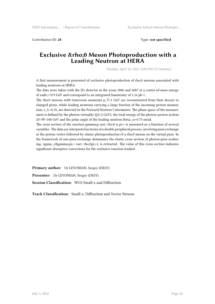Contribution ID: **28** Type: **not specified**

#### **Exclusive & rho;0 Meson Photoproduction with a Leading Neutron at HERA**

*Tuesday, April 12, 2016 12:00 PM (15 minutes)*

A first measurement is presented of exclusive photoproduction of rho;0 mesons associated with leading neutrons at HERA.

The data were taken with the H1 detector in the years 2006 and 2007 at a centre-of-mass energy of radic;=319 GeV and correspond to an integrated luminosity of 1.16 pb-1.

The rho;0 mesons with transverse momenta  $p_T < 1$  GeV are reconstructed from their decays to charged pions, while leading neutrons carrying a large fraction of the incoming proton momentum, x\_L>0.35, are detected in the Forward Neutron Calorimeter. The phase space of the measurement is defined by the photon virtuality Q2<2 GeV2, the total energy of the photon-proton system 20<W<100 GeV and the polar angle of the leading neutron theta;\_n<0.75 mrad.

The cross section of the reaction gamma;p rarr; rho;0 n pi;+ is measured as a function of several variables. The data are interpreted in terms of a double peripheral process, involving pion exchange at the proton vertex followed by elastic photoproduction of a rho;0 meson on the virtual pion. In the framework of one-pion-exchange dominance the elastic cross section of photon-pion scattering, sigma; el(gamma;pi;+ rarr; rho;0pi;+), is extracted. The value of this cross section indicates significant absorptive corrections for the exclusive reaction studied.

**Primary author:** Dr LEVONIAN, Sergey (DESY)

**Presenter:** Dr LEVONIAN, Sergey (DESY)

**Session Classification:** WG5 Small-x and Diffraction

**Track Classification:** Small-x, Diffraction and Vector Mesons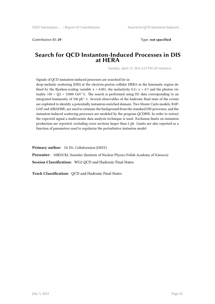Contribution ID: **29** Type: **not specified**

#### **Search for QCD Instanton-Induced Processes in DIS at HERA**

*Tuesday, April 12, 2016 2:25 PM (20 minutes)*

Signals of QCD instanton-induced processes are searched for in

deep-inelastic scattering (DIS) at the electron-proton collider HERA in the kinematic region defined by the Bjorken-scaling variable  $x > 0.001$ , the inelasticity  $0.2 < y < 0.7$  and the photon virtuality  $150 < Q2 < 15000 \text{ GeV}^2$ . The search is performed using H1 data corresponding to an integrated luminosity of 350 pb $^{\wedge}$ -1. Several observables of the hadronic final state of the events are exploited to identify a potentially instanton-enriched domain. Two Monte Carlo models, RAP-GAP and ARIADNE, are used to estimate the background from the standard DIS processes, and the instanton-induced scattering processes are modeled by the program QCDINS. In order to extract the expected signal a multivariate data analysis technique is used. Exclusion limits on instanton production are reported, excluding cross sections larger than 2 pb. Limits are also reported as a function of parameters used to regularize the perturbative instanton model.

**Primary author:** Dr H1, Collaboration (DESY)

**Presenter:** MIKOCKI, Stanislav (Institute of Nuclear Physics Polish Academy of Sciences) **Session Classification:** WG2 QCD and Hadronic Final States

**Track Classification:** QCD and Hadronic Final States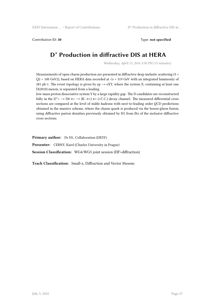Contribution ID: **30** Type: **not specified**

## **D\* Production in diffractive DIS at HERA**

*Wednesday, April 13, 2016 5:50 PM (15 minutes)*

Measurements of open charm production are presented in diffractive deep inelastic scattering (5 < Q2 < 100 GeV2), based on HERA data recorded at  $\sqrt{s}$  = 319 GeV with an integrated luminosity of 281 pb-1. The event topology is given by ep  $\rightarrow$  eXY, where the system X, containing at least one D(2010) meson, is separated from a leading

low-mass proton dissociative system Y by a large rapidity gap. The D candidates are reconstructed fully in the D<sup>\*</sup>+  $\rightarrow$  D0  $\pi$ +  $\rightarrow$  (K- $\pi$ +)  $\pi$ + (+C.C.) decay channel. The measured differential cross sections are compared at the level of stable hadrons with next-to-leading order QCD predictions obtained in the massive scheme, where the charm quark is produced via the boson-gluon fusion, using diffractive parton densities previously obtained by H1 from fits of the inclusive diffractive cross sections.

**Primary author:** Dr H1, Collaboration (DESY)

**Presenter:** CERNY, Karel (Charles University in Prague)

**Session Classification:** WG4/WG5 joint session (HF+diffraction)

**Track Classification:** Small-x, Diffraction and Vector Mesons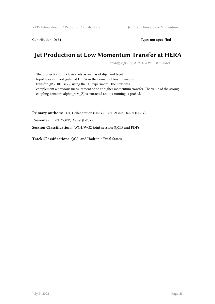Contribution ID: 31 Type: **not specified** 

### **Jet Production at Low Momentum Transfer at HERA**

*Tuesday, April 12, 2016 4:30 PM (20 minutes)*

The production of inclusive jets as well as of dijet and trijet topologies is investigated at HERA in the domain of low momentum transfer Q2 < 100 GeV2, using the H1 experiment. The new data complement a previous measurement done at higher momentum transfer. The value of the strong coupling constant alpha;\_s(M\_Z) is extracted and its running is probed.

**Primary authors:** H1, Collaboration (DESY); BRITZGER, Daniel (DESY) **Presenter:** BRITZGER, Daniel (DESY) **Session Classification:** WG1/WG2 joint session (QCD and PDF)

**Track Classification:** QCD and Hadronic Final States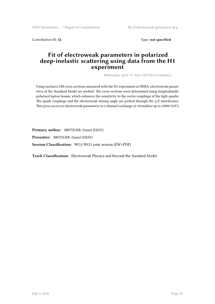Contribution ID: 32 Type: **not specified** 

#### **Fit of electroweak parameters in polarized deep-inelastic scattering using data from the H1 experiment**

*Wednesday, April 13, 2016 3:00 PM (15 minutes)*

Using inclusive DIS cross sections measured with the H1 experiment at HERA, electroweak parameters of the Standard Model are probed. The cross sections were determined using longitudinally polarized lepton beams, which enhances the sensitivity to the vector couplings of the light quarks. The quark couplings and the electroweak mixing angle are probed through the  $\gamma$ /Z interference. This gives access to electroweak parameters in t-channel exchange at virtualities up to 10000 GeV2.

**Primary author:** BRITZGER, Daniel (DESY) **Presenter:** BRITZGER, Daniel (DESY) **Session Classification:** WG1/WG3 joint session (EW+PDF)

**Track Classification:** Electroweak Physics and Beyond the Standard Model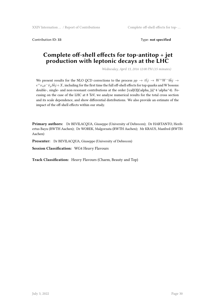Contribution ID: **33** Type: **not specified**

#### **Complete off-shell effects for top-antitop + jet production with leptonic decays at the LHC**

*Wednesday, April 13, 2016 12:00 PM (15 minutes)*

We present results for the NLO QCD corrections to the process  $pp \rightarrow t\bar{t}j \rightarrow W^{+}W^{-}b\bar{b}j \rightarrow$  $e^+\nu_e\mu^-\bar{\nu}_\mu b\bar{b}j+X$ , including for the first time the full off-shell effects for top quarks and W bosons: double-, single- and non-resonant contributions at the order  $\cal{O}\(\alpha_{s}^4 \alpha^4)$ . Focusing on the case of the LHC at 8 TeV, we analyse numerical results for the total cross section and its scale dependence, and show differential distributions. We also provide an estimate of the impact of the off-shell effects within our study.

**Primary authors:** Dr BEVILACQUA, Giuseppe (University of Debrecen); Dr HARTANTO, Heribertus Bayu (RWTH Aachen); Dr WOREK, Malgorzata (RWTH Aachen); Mr KRAUS, Manfred (RWTH Aachen)

**Presenter:** Dr BEVILACQUA, Giuseppe (University of Debrecen)

**Session Classification:** WG4 Heavy Flavours

**Track Classification:** Heavy Flavours (Charm, Beauty and Top)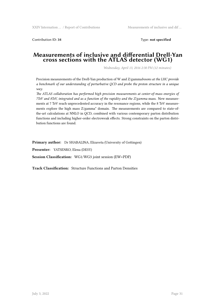Contribution ID: **34** Type: **not specified**

#### **Measurements of inclusive and differential Drell-Yan cross sections with the ATLAS detector (WG1)**

*Wednesday, April 13, 2016 2:30 PM (12 minutes)*

Precision measurements of the Drell-Yan production of W and Z/gamma*bosons at the LHC provide a benchmark of our understanding of perturbative QCD and probe the proton structure in a unique way.*

*The ATLAS collaboration has performed high precision measurements at center-of-mass energies of 7TeV and 8TeV, integrated and as a function of the rapidity and the Z/gamma* mass. New measurements at 7 TeV reach unprecedented accuracy in the resonance regions, while the 8 TeV measurements explore the high mass Z/gamma\* domain. The measurements are compared to state-ofthe-art calculations at NNLO in QCD, combined with various contemporary parton distribution functions and including higher-order electroweak effects. Strong constraints on the parton distribution functions are found.

**Primary author:** Dr SHABALINA, Elizaveta (University of Gottingen)

**Presenter:** YATSENKO, Elena (DESY)

**Session Classification:** WG1/WG3 joint session (EW+PDF)

**Track Classification:** Structure Functions and Parton Densities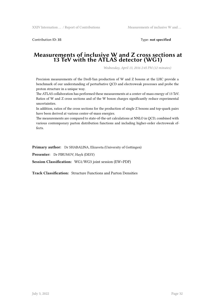Contribution ID: **35** Type: **not specified**

#### **Measurements of inclusive W and Z cross sections at 13 TeV with the ATLAS detector (WG1)**

*Wednesday, April 13, 2016 2:45 PM (12 minutes)*

Precision measurements of the Drell-Yan production of W and Z bosons at the LHC provide a benchmark of our understanding of perturbative QCD and electroweak processes and probe the proton structure in a unique way.

The ATLAS collaboration has performed these measurements at a center-of-mass energy of 13 TeV. Ratios of W and Z cross sections and of the W boson charges significantly reduce experimental uncertainties.

In addition, ratios of the cross sections for the production of single Z bosons and top-quark pairs have been derived at various center-of-mass energies.

The measurements are compared to state-of-the-art calculations at NNLO in QCD, combined with various contemporary parton distribution functions and including higher-order electroweak effects.

**Primary author:** Dr SHABALINA, Elizaveta (University of Gottingen)

**Presenter:** Dr PIRUMOV, Hayk (DESY)

**Session Classification:** WG1/WG3 joint session (EW+PDF)

**Track Classification:** Structure Functions and Parton Densities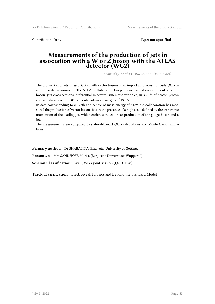Contribution ID: **37** Type: **not specified**

#### **Measurements of the production of jets in association with a W or Z boson with the ATLAS detector (WG2)**

*Wednesday, April 13, 2016 9:50 AM (15 minutes)*

The production of jets in association with vector bosons is an important process to study QCD in a multi-scale environment. The ATLAS collaboration has performed a first measurement of vector boson+jets cross sections, differential in several kinematic variables, in 3.2 /fb of proton-proton collision data taken in 2015 at center-of-mass energies of 13TeV.

In data corresponding to 20.3 /fb at a centre-of-mass energy of 8TeV, the collaboration has measured the production of vector boson+jets in the presence of a high scale defined by the transverse momentum of the leading jet, which enriches the collinear production of the gauge boson and a jet.

The measurements are compared to state-of-the-art QCD calculations and Monte Carlo simulations.

**Primary author:** Dr SHABALINA, Elizaveta (University of Gottingen)

**Presenter:** Mrs SANDHOFF, Marisa (Bergische Universitaet Wuppertal)

**Session Classification:** WG2/WG3 joint session (QCD+EW)

**Track Classification:** Electroweak Physics and Beyond the Standard Model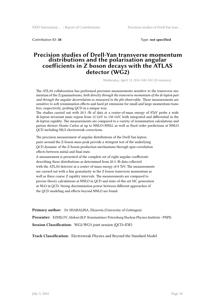Contribution ID: **38** Type: **not specified**

#### **Precision studies of Drell-Yan transverse momentum distributions and the polarisation angular coefficients in Z boson decays with the ATLAS detector (WG2)**

*Wednesday, April 13, 2016 9:00 AM (20 minutes)*

The ATLAS collaboration has performed precision measurements sensitive to the transverse momentum of the Z/gamma*bosons, both directly through the transverse momentum of the di-lepton pair and through the angular decorrelation as measured in the phi* observable. These measurements are sensitive to soft resummation effects and hard jet emissions for small and large momentum transfers, respectively, probing QCD in a unique way.

The studies carried out with 20.3 /fb of data at a center-of-mass energy of 8TeV probe a wide di-lepton invariant mass region from 12 GeV to 150 GeV, both integrated and differential in the di-lepton rapidity. The measurements are compared to a variety of resummation calculations and parton shower Monte Carlos at up to NNLO+NNLL as well as fixed order predictions at NNLO QCD including NLO electroweak corrections.

The precision measurement of angular distributions of the Drell-Yan lepton pairs around the Z-boson mass peak provide a stringent test of the underlying QCD dynamic of the Z-boson production mechanisms through spin-correlation effects between initial and final state.

A measurement is presented of the complete set of eight angular coefficients describing these distributions as determined from 20.3 /fb data collected with the ATLAS detector at a center-of-mass energy of 8 TeV. The measurements are carried out with a fine granularity in the Z boson transverse momentum as well as three coarse Z rapidity intervals. The measurements are compared to precise theory calculations at NNLO in QCD and state-of-the-art MC generation at NLO in QCD. Strong discrimination power between different approaches of the QCD modeling and effects beyond NNLO are found

**Primary author:** Dr SHABALINA, Elizaveta (University of Gottingen) **Presenter:** EZHILOV, Aleksei (B.P. Konstantinov Petersburg Nuclear Physics Institute - PNPI) **Session Classification:** WG2/WG3 joint session (QCD+EW)

**Track Classification:** Electroweak Physics and Beyond the Standard Model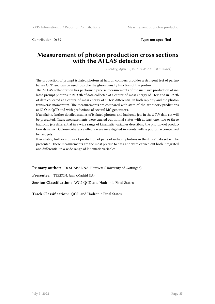Contribution ID: **39** Type: **not specified**

#### **Measurement of photon production cross sections with the ATLAS detector**

*Tuesday, April 12, 2016 11:48 AM (20 minutes)*

The production of prompt isolated photons at hadron colliders provides a stringent test of perturbative QCD and can be used to probe the gluon density function of the proton.

The ATLAS collaboration has performed precise measurements of the inclusive production of isolated prompt photons in 20.3 /fb of data collected at a center-of-mass energy of 8TeV and in 3.2 /fb of data collected at a center-of-mass energy of 13TeV, differential in both rapidity and the photon transverse momentum. The measurements are compared with state-of-the-art theory predictions at NLO in QCD and with predictions of several MC generators.

If available, further detailed studies of isolated photons and hadronic jets in the 8 TeV data set will be presented. These measurements were carried out in final states with at least one, two or three hadronic jets differential in a wide range of kinematic variables describing the photon+jet production dynamic. Colour-coherence effects were investigated in events with a photon accompanied by two jets.

If available, further studies of production of pairs of isolated photons in the 8 TeV data set will be presented. These measurements are the most precise to data and were carried out both integrated and differential in a wide range of kinematic variables.

**Primary author:** Dr SHABALINA, Elizaveta (University of Gottingen)

**Presenter:** TERRON, Juan (Madrid UA)

**Session Classification:** WG2 QCD and Hadronic Final States

**Track Classification:** QCD and Hadronic Final States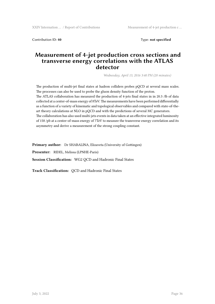Contribution ID: **40** Type: **not specified**

#### **Measurement of 4-jet production cross sections and transverse energy correlations with the ATLAS detector**

*Wednesday, April 13, 2016 3:40 PM (20 minutes)*

The production of multi-jet final states at hadron colliders probes pQCD at several mass scales. The processes can also be used to probe the gluon density function of the proton. The ATLAS collaboration has measured the production of 4-jets final states in in 20.3 /fb of data collected at a center-of-mass energy of 8TeV. The measurements have been performed differentially as a function of a variety of kinematic and topological observables and compared with state-of-theart theory calculations at NLO in pQCD and with the predictions of several MC generators. The collaboration has also used multi-jets events in data taken at an effective integrated luminosity of 158 /pb at a center-of-mass energy of 7TeV to measure the transverse energy correlation and its asymmetry and derive a measurement of the strong coupling constant.

**Primary author:** Dr SHABALINA, Elizaveta (University of Gottingen)

**Presenter:** RIDEL, Melissa (LPNHE-Paris)

**Session Classification:** WG2 QCD and Hadronic Final States

**Track Classification:** QCD and Hadronic Final States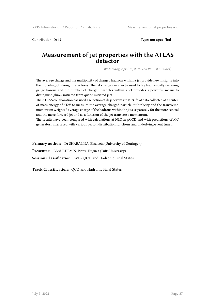Contribution ID: 42 Type: **not specified** 

#### **Measurement of jet properties with the ATLAS detector**

*Wednesday, April 13, 2016 5:50 PM (20 minutes)*

The average charge and the multiplicity of charged hadrons within a jet provide new insights into the modeling of strong interactions. The jet charge can also be used to tag hadronically decaying gauge bosons and the number of charged particles within a jet provides a powerful means to distinguish gluon-initiated from quark-initiated jets.

The ATLAS collaboration has used a selection of di-jet events in 20.3 /fb of data collected at a centerof-mass energy of 8TeV to measure the average charged-particle multiplicity and the transversemomentum weighted average charge of the hadrons within the jets, separately for the more central and the more forward jet and as a function of the jet transverse momentum.

The results have been compared with calculations at NLO in pQCD and with predictions of MC generators interfaced with various parton distribution functions and underlying-event tunes.

**Primary author:** Dr SHABALINA, Elizaveta (University of Gottingen)

**Presenter:** BEAUCHEMIN, Pierre-Hugues (Tufts University)

**Session Classification:** WG2 QCD and Hadronic Final States

**Track Classification:** QCD and Hadronic Final States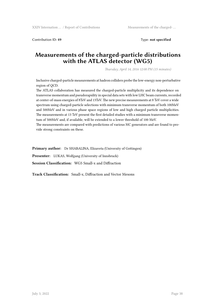Contribution ID: **49** Type: **not specified**

## **Measurements of the charged-particle distributions with the ATLAS detector (WG5)**

*Thursday, April 14, 2016 12:00 PM (15 minutes)*

Inclusive charged-particle measurements at hadron colliders probe the low-energy non-perturbative region of QCD.

The ATLAS collaboration has measured the charged-particle multiplicity and its dependence on transverse momentum and pseudorapidity in special data sets with low LHC beam currents, recorded at center-of-mass energies of 8TeV and 13TeV. The new precise measurements at 8 TeV cover a wide spectrum using charged-particle selections with minimum transverse momentum of both 100MeV and 500MeV and in various phase space regions of low and high charged particle multiplicities. The measurements at 13 TeV present the first detailed studies with a minimum transverse momentum of 500MeV and, if available, will be extended to a lower threshold of 100 MeV.

The measurements are compared with predictions of various MC generators and are found to provide strong constraints on these.

**Primary author:** Dr SHABALINA, Elizaveta (University of Gottingen)

**Presenter:** LUKAS, Wolfgang (University of Innsbruck)

**Session Classification:** WG5 Small-x and Diffraction

**Track Classification:** Small-x, Diffraction and Vector Mesons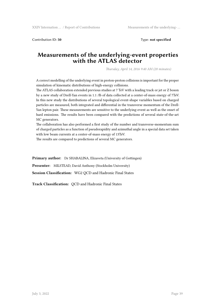Contribution ID: **50** Type: **not specified**

#### **Measurements of the underlying-event properties with the ATLAS detector**

*Thursday, April 14, 2016 9:40 AM (20 minutes)*

A correct modelling of the underlying event in proton-proton collisions is important for the proper simulation of kinematic distributions of high-energy collisions.

The ATLAS collaboration extended previous studies at 7 TeV with a leading track or jet or Z boson by a new study of Drell-Yan events in 1.1 /fb of data collected at a center-of-mass energy of 7TeV. In this new study the distributions of several topological event-shape variables based on charged particles are measured, both integrated and differential in the transverse momentum of the Drell-Yan lepton pair. These measurements are sensitive to the underlying-event as well as the onset of hard emissions. The results have been compared with the predictions of several state-of-the-art MC generators.

The collaboration has also performed a first study of the number and transverse-momentum sum of charged particles as a function of pseudorapidity and azimuthal angle in a special data set taken with low beam currents at a center-of-mass energy of 13TeV.

The results are compared to predictions of several MC generators.

**Primary author:** Dr SHABALINA, Elizaveta (University of Gottingen)

**Presenter:** MILSTEAD, David Anthony (Stockholm University)

**Session Classification:** WG2 QCD and Hadronic Final States

**Track Classification:** QCD and Hadronic Final States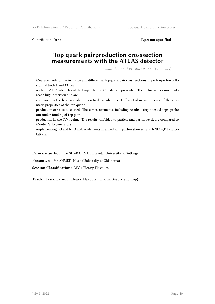XXIV Internation … / Report of Contributions Top quark pairproduction cross- …

Contribution ID: **53** Type: **not specified**

# **Top quark pairproduction crosssection measurements with the ATLAS detector**

*Wednesday, April 13, 2016 9:20 AM (15 minutes)*

Measurements of the inclusive and differential topquark pair cross sections in protonproton collisions at both 8 and 13 TeV with the ATLAS detector at the Large Hadron Collider are presented. The inclusive measurements reach high precision and are compared to the best available theoretical calculations. Differential measurements of the kinematic properties of the top quark production are also discussed. These measurements, including results using boosted tops, probe our understanding of top pair production in the TeV regime. The results, unfolded to particle and parton level, are compared to Monte Carlo generators implementing LO and NLO matrix elements matched with parton showers and NNLO QCD calculations.

**Primary author:** Dr SHABALINA, Elizaveta (University of Gottingen)

**Presenter:** Mr AHMED, Hasib (University of Oklahoma)

**Session Classification:** WG4 Heavy Flavours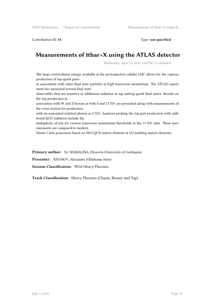Contribution ID: **54** Type: **not specified**

# **Measurements of ttbar+X using the ATLAS detector**

*Wednesday, April 13, 2016 3:10 PM (15 minutes)*

The large centreofmass energy available at the protonproton collider LHC allows for the copious production of top quark pairs

in association with other final state particles at high transverse momentum. The ATLAS experiment has measured several final state

observables that are sensitive to additional radiation in top antitop quark final states. Results on the top production in

association with W and Z bosons at both 8 and 13 TeV are presented along with measurements of the cross section for production

with an associated isolated photon at 8 TeV. Analyses probing the top pair production with additional QCD radiation include the

multiplicity of jets for various transverse momentum thresholds in the 13 TeV data. These measurements are compared to modern

Monte Carlo generators based on NLO QCD matrix element or LO multileg matrix elements.

**Primary author:** Dr SHABALINA, Elizaveta (University of Gottingen)

**Presenter:** KHANOV, Alexander (Oklahoma State)

**Session Classification:** WG4 Heavy Flavours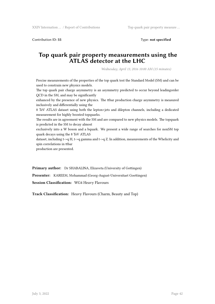Contribution ID: 55 Type: **not specified** 

#### **Top quark pair property measurements using the ATLAS detector at the LHC**

*Wednesday, April 13, 2016 10:00 AM (15 minutes)*

Precise measurements of the properties of the top quark test the Standard Model (SM) and can be used to constrain new physics models.

The top quark pair charge asymmetry is an asymmetry predicted to occur beyond leadingorder QCD in the SM, and may be significantly

enhanced by the presence of new physics. The ttbar production charge asymmetry is measured inclusively and differentially using the

8 TeV ATLAS dataset using both the lepton+jets and dilepton channels, including a dedicated measurement for highly boosted topquarks.

The results are in agreement with the SM and are compared to new physics models. The topquark is predicted in the SM to decay almost

exclusively into a W boson and a bquark. We present a wide range of searches for nonSM top quark decays using the 8 TeV ATLAS

dataset, including t->q H, t->q gamma and t->q Z. In addition, measurements of the Whelicity and spin correlations in ttbar

production are presented.

**Primary author:** Dr SHABALINA, Elizaveta (University of Gottingen)

**Presenter:** KAREEM, Mohammad (Georg-August-Universitaet Goettingen)

**Session Classification:** WG4 Heavy Flavours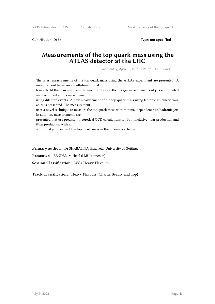Contribution ID: 56 Type: **not specified** 

# **Measurements of the top quark mass using the ATLAS detector at the LHC**

*Wednesday, April 13, 2016 11:20 AM (15 minutes)*

The latest measurements of the top quark mass using the ATLAS experiment are presented. A measurement based on a multidimensional

template fit that can constrain the uncertainties on the energy measurements of jets is presented and combined with a measurement

using dilepton events. A new measurement of the top quark mass using leptonic kinematic variables is presented. The measurement

uses a novel technique to measure the top quark mass with minimal dependence on hadronic jets. In addition, measurements are

presented that use precision theoretical QCD calculations for both inclusive ttbar production and ttbar production with an

additional jet to extract the top quark mass in the polemass scheme.

**Primary author:** Dr SHABALINA, Elizaveta (University of Gottingen)

**Presenter:** BENDER, Michael (LMU München)

**Session Classification:** WG4 Heavy Flavours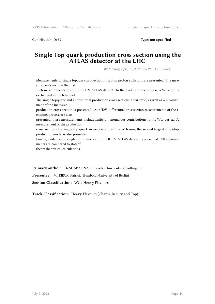Contribution ID: **57** Type: **not specified**

#### **Single Top quark production cross section using the ATLAS detector at the LHC**

*Wednesday, April 13, 2016 2:30 PM (15 minutes)*

Measurements of single topquark production in proton proton collisions are presented. The measurements include the first such measurements from the 13 TeV ATLAS dataset. In the leading order process, a W boson is exchanged in the tchannel. The single topquark and antitop total production cross sections, their ratio, as well as a measurement of the inclusive production cross section is presented. At 8 TeV, differential crosssection measurements of the tchannel process are also presented, these measurements include limits on anomalous contributions to the Wtb vertex. A measurement of the production cross section of a single top quark in association with a W boson, the second largest singletop production mode, is also presented. Finally, evidence for singletop production in the 8 TeV ATLAS dataset is presented. All measurements are compared to stateof theart theoretical calculations.

**Primary author:** Dr SHABALINA, Elizaveta (University of Gottingen)

**Presenter:** Mr RIECK, Patrick (Humboldt-University of Berlin)

**Session Classification:** WG4 Heavy Flavours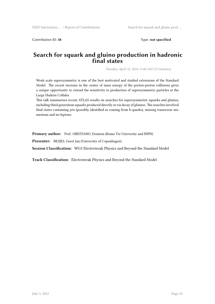Contribution ID: **58** Type: **not specified**

## **Search for squark and gluino production in hadronic final states**

*Tuesday, April 12, 2016 11:00 AM (15 minutes)*

Weak scale supersymmetry is one of the best motivated and studied extensions of the Standard Model. The recent increase in the center of mass energy of the proton-proton collisions gives a unique opportunity to extend the sensitivity to production of supersymmetric particles at the Large Hadron Collider.

This talk summarises recent ATLAS results on searches for supersymmetric squarks and gluinos, including third generation squarks produced directly or via decay of gluinos. The searches involved final states containing jets (possibly identified as coming from b-quarks), missing transverse momentum and no leptons.

**Primary author:** Prof. ORESTANO, Domizia (Roma Tre University and INFN)

**Presenter:** BESJES, Geert Jan (University of Copenhagen)

**Session Classification:** WG3 Electroweak Physics and Beyond the Standard Model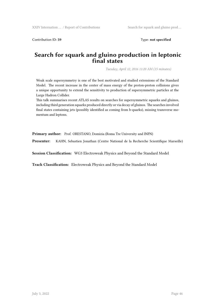Contribution ID: **59** Type: **not specified**

## **Search for squark and gluino production in leptonic final states**

*Tuesday, April 12, 2016 11:20 AM (15 minutes)*

Weak scale supersymmetry is one of the best motivated and studied extensions of the Standard Model. The recent increase in the center of mass energy of the proton-proton collisions gives a unique opportunity to extend the sensitivity to production of supersymmetric particles at the Large Hadron Collider.

This talk summarises recent ATLAS results on searches for supersymmetric squarks and gluinos, including third generation squarks produced directly or via decay of gluinos. The searches involved final states containing jets (possibly identified as coming from b-quarks), missing transverse momentum and leptons.

**Primary author:** Prof. ORESTANO, Domizia (Roma Tre University and INFN)

**Presenter:** KAHN, Sebastien Jonathan (Centre National de la Recherche Scientifique Marseille)

**Session Classification:** WG3 Electroweak Physics and Beyond the Standard Model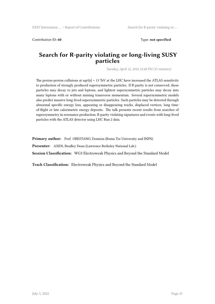Contribution ID: **60** Type: **not specified** 

## **Search for R-parity violating or long-living SUSY particles**

*Tuesday, April 12, 2016 12:40 PM (15 minutes)*

The proton-proton collisions at sqrt $\{s\}$  = 13 TeV at the LHC have increased the ATLAS sensitivity to production of strongly produced supersymmetric particles. If R-parity is not conserved, these particles may decay to jets and leptons, and lightest supersymmetric particles may decay into many leptons with or without missing transverse momentum. Several supersymmetric models also predict massive long-lived supersymmetric particles. Such particles may be detected through abnormal specific energy loss, appearing or disappearing tracks, displaced vertices, long timeof-flight or late calorimetric energy deposits. The talk presents recent results from searches of supersymmetry in resonance production, R-parity violating signatures and events with long-lived particles with the ATLAS detector using LHC Run 2 data.

Primary author: Prof. ORESTANO, Domizia (Roma Tre University and INFN)

**Presenter:** AXEN, Bradley Dean (Lawrence Berkeley National Lab.)

**Session Classification:** WG3 Electroweak Physics and Beyond the Standard Model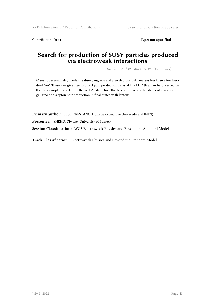Contribution ID: 61 Type: **not specified** 

# **Search for production of SUSY particles produced via electroweak interactions**

*Tuesday, April 12, 2016 12:00 PM (15 minutes)*

Many supersymmetry models feature gauginos and also sleptons with masses less than a few hundred GeV. These can give rise to direct pair production rates at the LHC that can be observed in the data sample recorded by the ATLAS detector. The talk summarises the status of searches for gaugino and slepton pair production in final states with leptons.

**Primary author:** Prof. ORESTANO, Domizia (Roma Tre University and INFN)

**Presenter:** SHEHU, Ciwake (University of Sussex)

**Session Classification:** WG3 Electroweak Physics and Beyond the Standard Model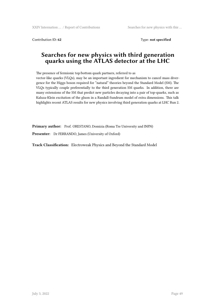Contribution ID: 62 Type: **not specified** 

# **Searches for new physics with third generation quarks using the ATLAS detector at the LHC**

The presence of fermionic top/bottom quark partners, referred to as vector-like quarks (VLQs), may be an important ingredient for mechanism to cancel mass divergence for the Higgs boson required for "natural" theories beyond the Standard Model (SM). The VLQs typically couple preferentially to the third generation SM quarks. In addition, there are many extensions of the SM that predict new particles decaying into a pair of top-quarks, such as Kaluza-Klein excitation of the gluon in a Randall-Sundrum model of extra dimensions. This talk highlights recent ATLAS results for new physics involving third generation quarks at LHC Run 2.

**Primary author:** Prof. ORESTANO, Domizia (Roma Tre University and INFN)

**Presenter:** Dr FERRANDO, James (University of Oxford)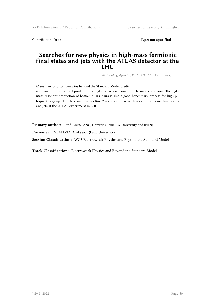XXIV Internation … / Report of Contributions Searches for new physics in high-...

Contribution ID: **63** Type: **not specified**

## **Searches for new physics in high-mass fermionic final states and jets with the ATLAS detector at the LHC**

*Wednesday, April 13, 2016 11:30 AM (15 minutes)*

Many new physics scenarios beyond the Standard Model predict resonant or non-resonant production of high-transverse momentum fermions or gluons. The highmass resonant production of bottom-quark pairs is also a good benchmark process for high-pT b-quark tagging. This talk summarizes Run 2 searches for new physics in fermionic final states and jets at the ATLAS experiment in LHC.

**Primary author:** Prof. ORESTANO, Domizia (Roma Tre University and INFN)

Presenter: Mr VIAZLO, Oleksandr (Lund University)

**Session Classification:** WG3 Electroweak Physics and Beyond the Standard Model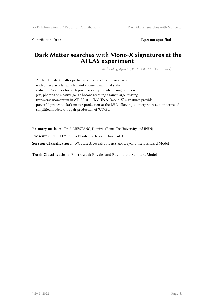Contribution ID: 65 Type: not specified

#### **Dark Matter searches with Mono-X signatures at the ATLAS experiment**

*Wednesday, April 13, 2016 11:00 AM (15 minutes)*

At the LHC dark matter particles can be produced in association with other particles which mainly come from initial state radiation. Searches for such processes are presented using events with jets, photons or massive gauge bosons recoiling against large missing transverse momentum in ATLAS at 13 TeV. These "mono-X" signatures provide powerful probes to dark matter production at the LHC, allowing to interpret results in terms of simplified models with pair production of WIMPs.

**Primary author:** Prof. ORESTANO, Domizia (Roma Tre University and INFN)

**Presenter:** TOLLEY, Emma Elizabeth (Harvard University)

**Session Classification:** WG3 Electroweak Physics and Beyond the Standard Model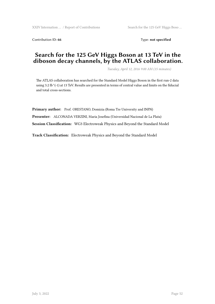Contribution ID: 66 Type: not specified

# **Search for the 125 GeV Higgs Boson at 13 TeV in the diboson decay channels, by the ATLAS collaboration.**

*Tuesday, April 12, 2016 9:00 AM (15 minutes)*

The ATLAS collaboration has searched for the Standard Model Higgs Boson in the first run-2 data using 3.2 fb^(-1) at 13 TeV. Results are presented in terms of central value and limits on the fiducial and total cross-sections.

**Primary author:** Prof. ORESTANO, Domizia (Roma Tre University and INFN) **Presenter:** ALCONADA VERZINI, Maria Josefina (Universidad Nacional de La Plata) **Session Classification:** WG3 Electroweak Physics and Beyond the Standard Model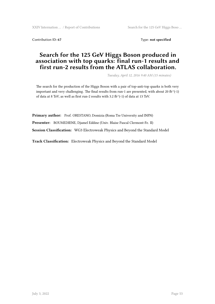Contribution ID: 67 Type: **not specified** 

# **Search for the 125 GeV Higgs Boson produced in association with top quarks: final run-1 results and first run-2 results from the ATLAS collaboration.**

*Tuesday, April 12, 2016 9:40 AM (15 minutes)*

The search for the production of the Higgs Boson with a pair of top-anti-top quarks is both very important and very challenging. The final results from run-1 are presented, with about 20 fb $\hat{ }$ (-1) of data at 8 TeV, as well as first run-2 results with 3.2 fb^(-1) of data at 13 TeV.

**Primary author:** Prof. ORESTANO, Domizia (Roma Tre University and INFN) **Presenter:** BOUMEDIENE, Djamel Eddine (Univ. Blaise Pascal Clermont-Fe. II) **Session Classification:** WG3 Electroweak Physics and Beyond the Standard Model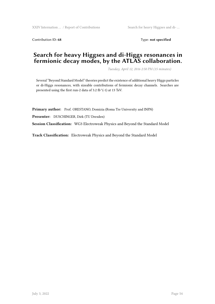Contribution ID: 68 Type: not specified

# **Search for heavy Higgses and di-Higgs resonances in fermionic decay modes, by the ATLAS collaboration.**

*Tuesday, April 12, 2016 2:50 PM (15 minutes)*

Several "Beyond Standard Model" theories predict the existence of additional heavy Higgs particles or di-Higgs resonances, with sizeable contributions of fermionic decay channels. Searches are presented using the first run-2 data of 3.2 fb^(-1) at 13 TeV.

**Primary author:** Prof. ORESTANO, Domizia (Roma Tre University and INFN)

**Presenter:** DUSCHINGER, Dirk (TU Dresden)

**Session Classification:** WG3 Electroweak Physics and Beyond the Standard Model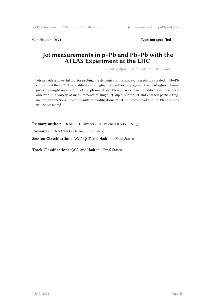Contribution ID: 71 Type: **not specified** 

# **Jet measurements in p+Pb and Pb+Pb with the ATLAS Experiment at the LHC**

*Tuesday, April 12, 2016 11:00 AM (20 minutes)*

Jets provide a powerful tool for probing the dynamics of the quark-gluon plasma created in Pb+Pb collisions at the LHC. The modification of high-pT jets as they propagate in the quark-gluon plasma provides insight on structure of the plasma at short-length scale. Such modifications have been observed in a variety of measurements of single jet, dijet, photon-jet and charged-particle fragmentation functions. Recent results of modifications of jets in proton-lead and Pb+Pb collisions will be presented.

**Primary author:** Dr MARTI, Salvador (IFIC-Valencia (UVEG-CSIC)) **Presenter:** Dr SANTOS, Helena (LIP - Lisboa) **Session Classification:** WG2 QCD and Hadronic Final States

**Track Classification:** QCD and Hadronic Final States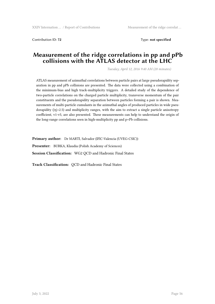Contribution ID: **72** Type: **not specified**

#### **Measurement of the ridge correlations in pp and pPb collisions with the ATLAS detector at the LHC**

*Tuesday, April 12, 2016 9:40 AM (20 minutes)*

ATLAS measurement of azimuthal correlations between particle pairs at large pseudorapidity separation in pp and pPb collisions are presented. The data were collected using a combination of the minimum-bias and high track-multiplicity triggers. A detailed study of the dependence of two-particle correlations on the charged particle multiplicity, transverse momentum of the pair constituents and the pseudorapidity separation between particles forming a pair is shown. Measurements of multi-particle cumulants in the azimuthal angles of produced particles in wide pseudorapidity  $(|n|<2.5)$  and multiplicity ranges, with the aim to extract a single particle anisotropy coefficient, v1-v5, are also presented. These measurements can help to understand the origin of the long-range correlations seen in high-multiplicity pp and p+Pb collisions.

**Primary author:** Dr MARTI, Salvador (IFIC-Valencia (UVEG-CSIC)) **Presenter:** BURKA, Klaudia (Polish Academy of Sciences) **Session Classification:** WG2 QCD and Hadronic Final States

**Track Classification:** QCD and Hadronic Final States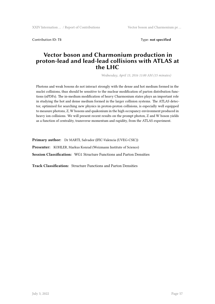Contribution ID: **73** Type: **not specified**

#### **Vector boson and Charmonium production in proton-lead and lead-lead collisions with ATLAS at the LHC**

*Wednesday, April 13, 2016 11:00 AM (15 minutes)*

Photons and weak bosons do not interact strongly with the dense and hot medium formed in the nuclei collisions, thus should be sensitive to the nuclear modification of parton distribution functions (nPDFs). The in-medium modification of heavy Charmonium states plays an important role in studying the hot and dense medium formed in the larger collision systems. The ATLAS detector, optimized for searching new physics in proton-proton collisions, is especially well equipped to measure photons, Z, W bosons and quakonium in the high occupancy environment produced in heavy ion collisions. We will present recent results on the prompt photon, Z and W boson yields as a function of centrality, transverse momentum and rapidity, from the ATLAS experiment.

**Primary author:** Dr MARTI, Salvador (IFIC-Valencia (UVEG-CSIC)) **Presenter:** KOHLER, Markus Konrad (Weizmann Institute of Science) **Session Classification:** WG1 Structure Functions and Parton Densities

**Track Classification:** Structure Functions and Parton Densities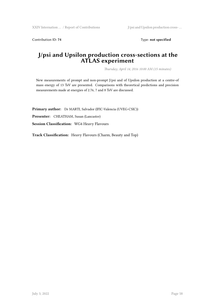Contribution ID: 74 Type: **not specified** 

# **J/psi and Upsilon production cross-sections at the ATLAS experiment**

*Thursday, April 14, 2016 10:00 AM (15 minutes)*

New measurements of prompt and non-prompt J/psi and of Upsilon production at a centre-of mass energy of 13 TeV are presented. Comparisons with theoretical predictions and precision measurements made at energies of 2.76, 7 and 8 TeV are discussed.

**Primary author:** Dr MARTI, Salvador (IFIC-Valencia (UVEG-CSIC)) **Presenter:** CHEATHAM, Susan (Lancaster)

**Session Classification:** WG4 Heavy Flavours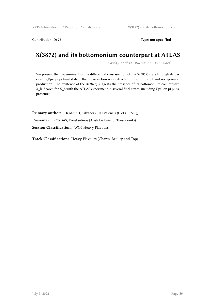Contribution ID: 75 Type: **not specified** 

# **X(3872) and its bottomonium counterpart at ATLAS**

*Thursday, April 14, 2016 9:40 AM (15 minutes)*

We present the measurement of the differential cross-section of the X(3872) state through its decays to J/psi pi pi final state . The cross-section was extracted for both prompt and non-prompt production. The existence of the X(3872) suggests the presence of its bottomonium counterpart X\_b. Search for X\_b with the ATLAS experiment in several final states, including Upsilon pi pi, is presented.

**Primary author:** Dr MARTI, Salvador (IFIC-Valencia (UVEG-CSIC)) **Presenter:** KORDAS, Konstantinos (Aristotle Univ. of Thessaloniki) **Session Classification:** WG4 Heavy Flavours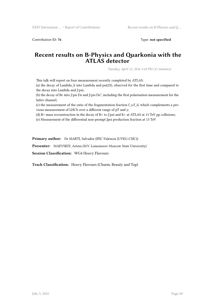Contribution ID: **76** Type: **not specified**

# **Recent results on B-Physics and Quarkonia with the ATLAS detector**

*Tuesday, April 12, 2016 3:10 PM (15 minutes)*

This talk will report on four measurement recently completed by ATLAS:

(a) the decay of Lambda\_b into Lambda and psi(2S), observed for the first time and compared to the decay into Lambda and J/psi;

(b) the decay of Bc into J/psi Ds and J/psi Ds<sup>\*</sup>, including the first polarisation measurement for the latter channel;

(c) the measurement of the ratio of the fragmentation fraction  $f_s/f_d$ , which complements a previous measurement of LHCb over a different range of pT and y;

(d) B+ mass reconstruction in the decay of B+ to J/psi and K+ at ATLAS at 13 TeV pp collisions;

(e) Measurement of the differential non-prompt Jpsi production fraction at 13 TeV

**Primary author:** Dr MARTI, Salvador (IFIC-Valencia (UVEG-CSIC))

**Presenter:** MAEVSKIY, Artem (M.V. Lomonosov Moscow State University)

**Session Classification:** WG4 Heavy Flavours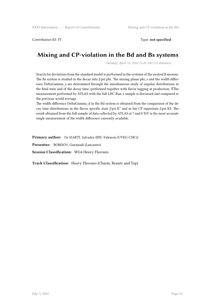Contribution ID: **77** Type: **not specified**

# **Mixing and CP-violation in the Bd and Bs systems**

*Tuesday, April 12, 2016 11:20 AM (15 minutes)*

Search for deviations from the standard model is performed in the systems of the neutral B mesons. The Bs system is studied in the decay into J/psi phi. The mixing phase phi\_s and the width difference DeltaGamma\_s are determined through the simultaneous study of angular distributions in the final state and of the decay time, performed together with flavor tagging at production. ÊThe measurement performed by ATLAS with the full LHC Run-1 sample is discussed and compared to the previous world average.

The width difference DeltaGamma\_d in the Bd system is obtained from the comparison of the decay time distributions in the flavor specific state J/psi K\* and in the CP eigenstate J/psi KS. The result obtained from the full sample of data collected by ATLAS at 7 and 8 TeV is the most accurate single measurement of the width difference currently available.

**Primary author:** Dr MARTI, Salvador (IFIC-Valencia (UVEG-CSIC))

**Presenter:** BORISOV, Guennadi (Lancaster)

**Session Classification:** WG4 Heavy Flavours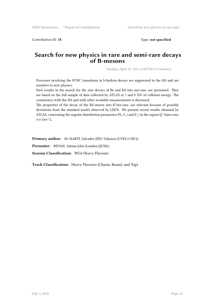Contribution ID: **78** Type: **not specified**

#### **Search for new physics in rare and semi-rare decays of B-mesons**

*Tuesday, April 12, 2016 12:00 PM (15 minutes)*

Processes involving the FCNC transitions in b-hadron decays are suppressed in the SM and are sensitive to new physics.

New results in the search for the rare decays of Bs and Bd into mu+mu- are presented. They are based on the full sample of data collected by ATLAS at 7 and 8 TeV of collision energy. The consistency with the SM and with other available measurements is discussed.

The properties of the decay of the Bd meson into K\*mu+mu- are relevant because of possible deviations from the standard model observed by LHCb. We present recent results obtained by ATLAS, concerning the angular distribution parameters FL,  $S_i$  and  $P_i$  in the region  $Q^{\wedge}2(mu+mu \sec^2 2$ ,

**Primary author:** Dr MARTI, Salvador (IFIC-Valencia (UVEG-CSIC))

**Presenter:** BEVAN, Adrian John (London QUML)

**Session Classification:** WG4 Heavy Flavours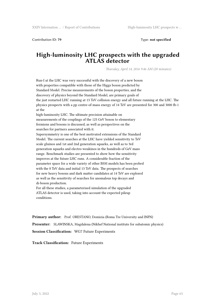Contribution ID: **79** Type: **not specified**

## **High-luminosity LHC prospects with the upgraded ATLAS detector**

*Thursday, April 14, 2016 9:46 AM (20 minutes)*

Run-I at the LHC was very successful with the discovery of a new boson with properties compatible with those of the Higgs boson predicted by Standard Model. Precise measurements of the boson properties, and the discovery of physics beyond the Standard Model, are primary goals of the just restarted LHC running at 13 TeV collision energy and all future running at the LHC. The physics prospects with a pp centre-of-mass energy of 14 TeV are presented for 300 and 3000 fb-1 at the

high-luminosity LHC. The ultimate precision attainable on measurements of the couplings of the 125 GeV boson to elementary fermions and bosons is discussed, as well as perspectives on the searches for partners associated with it.

Supersymmetry is one of the best motivated extensions of the Standard Model. The current searches at the LHC have yielded sensitivity to TeV scale gluinos and 1st and 2nd generation squarks, as well as to 3rd generation squarks and electro-weakinos in the hundreds of GeV mass range. Benchmark studies are presented to show how the sensitivity improves at the future LHC runs. A considerable fraction of the parameter space for a wide variety of other BSM models has been probed with the 8 TeV data and initial 13 TeV data. The prospects of searches for new heavy bosons and dark matter candidates at 14 TeV are explored as well as the sensitivity of searches for anomalous top decays and di-boson production.

For all these studies, a parameterised simulation of the upgraded ATLAS detector is used, taking into account the expected pileup conditions.

Primary author: Prof. ORESTANO, Domizia (Roma Tre University and INFN)

**Presenter:** SLAWINSKA, Magdalena (Nikhef National institute for subatomic physics) **Session Classification:** WG7 Future Experiments

**Track Classification:** Future Experiments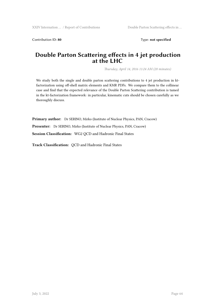Contribution ID: 80 Type: not specified

## **Double Parton Scattering effects in 4 jet production at the LHC**

*Thursday, April 14, 2016 11:24 AM (20 minutes)*

We study both the single and double parton scattering contributions to 4 jet production in ktfactorization using off-shell matrix elements and KMR PDFs. We compare them to the collinear case and find that the expected relevance of the Double Parton Scattering contribution is tamed in the kt-factorization framework: in particular, kinematic cuts should be chosen carefully as we thoroughly discuss.

**Primary author:** Dr SERINO, Mirko (Institute of Nuclear Physics, PAN, Cracow)

**Presenter:** Dr SERINO, Mirko (Institute of Nuclear Physics, PAN, Cracow)

**Session Classification:** WG2 QCD and Hadronic Final States

**Track Classification:** QCD and Hadronic Final States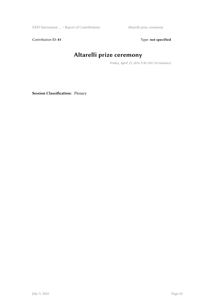XXIV Internation … / Report of Contributions Altarelli prize ceremony

Contribution ID: 81 Type: **not specified** 

# **Altarelli prize ceremony**

*Friday, April 15, 2016 9:30 AM (10 minutes)*

**Session Classification:** Plenary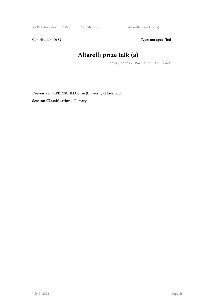Contribution ID: 82 Type: **not specified** 

# **Altarelli prize talk (a)**

*Friday, April 15, 2016 9:45 AM (15 minutes)*

**Presenter:** KRETZSCHMAR, Jan (University of Liverpool) **Session Classification:** Plenary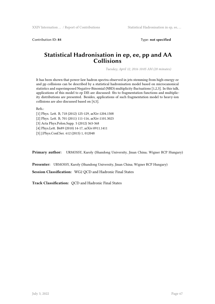Contribution ID: **84** Type: **not specified**

#### **Statistical Hadronisation in ep, ee, pp and AA Collisions**

*Tuesday, April 12, 2016 10:05 AM (20 minutes)*

It has been shown that power-law hadron spectra observed in jets stemming from high-energy ee and pp collisions can be described by a statistical hadronisation model based on microcanonical statistics and superimposed Negative-Binomial (NBD) multiplicity fluctuations [1,2,3]. In this talk, applications of this model to ep DIS are discussed: fits to fragmentation functions and multiplicity distributions are presented. Besides, applications of such fragmentation model to heavy-ion collisions are also discussed based on [4,5].

Refs.:

[1] Phys. Lett. B, 718 (2012) 125-129, arXiv:1204.1508

[2] Phys. Lett. B, 701 (2011) 111-116, arXiv:1101.3023

[3] Acta Phys.Polon.Supp. 5 (2012) 363-368

[4] Phys.Lett. B689 (2010) 14-17, arXiv:0911.1411

[5] J.Phys.Conf.Ser. 612 (2015) 1, 012048

**Primary author:** URMOSSY, Karoly (Shandong University, Jinan China; Wigner RCP Hungary)

**Presenter:** URMOSSY, Karoly (Shandong University, Jinan China; Wigner RCP Hungary)

**Session Classification:** WG2 QCD and Hadronic Final States

**Track Classification:** QCD and Hadronic Final States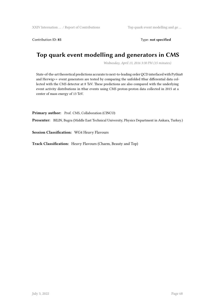Contribution ID: 85 Type: not specified

# **Top quark event modelling and generators in CMS**

*Wednesday, April 13, 2016 3:30 PM (15 minutes)*

State-of-the-art theoretical predictions accurate to next-to-leading order QCD interfaced with Pythia8 and Herwig++ event generators are tested by comparing the unfolded ttbar differential data collected with the CMS detector at 8 TeV. These predictions are also compared with the underlying event activity distributions in ttbar events using CMS proton-proton data collected in 2015 at a center of mass energy of 13 TeV.

Primary author: Prof. CMS, Collaboration (CINCO)

**Presenter:** BILIN, Bugra (Middle East Technical University, Physics Department in Ankara, Turkey.)

**Session Classification:** WG4 Heavy Flavours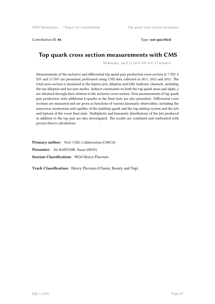Contribution ID: 86 Type: **not specified** 

# **Top quark cross section measurements with CMS**

*Wednesday, April 13, 2016 9:00 AM (15 minutes)*

Measurements of the inclusive and differential top quark pair production cross section at 7 TeV, 8 TeV and 13 TeV are presented, performed using CMS data collected in 2011, 2012 and 2015. The total cross section is measured in the lepton+jets, dilepton and fully hadronic channels, including the tau-dilepton and tau+jets modes. Indirect constraints on both the top quark mass and alpha\_s are obtained through their relation to the inclusive cross section. First measurements of top quark pair production with additional b-quarks in the final state are also presented. Differential cross sections are measured and are given as functions of various kinematic observables, including the transverse momentum and rapidity of the (anti)top quark and the top-antitop system and the jets and leptons of the event final state. Multiplicity and kinematic distributions of the jets produced in addition to the top pair are also investigated. The results are combined and confronted with precise theory calculations.

Primary author: Prof. CMS, Collaboration (CINCO) **Presenter:** Mr BARTOSIK, Nazar (DESY) **Session Classification:** WG4 Heavy Flavours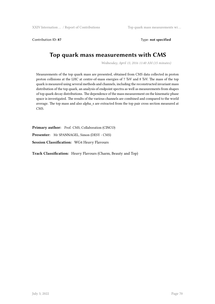XXIV Internation … / Report of Contributions Top quark mass measurements wi …

Contribution ID: 87 Type: not specified

# **Top quark mass measurements with CMS**

*Wednesday, April 13, 2016 11:40 AM (15 minutes)*

Measurements of the top quark mass are presented, obtained from CMS data collected in proton proton collisions at the LHC at centre-of-mass energies of 7 TeV and 8 TeV. The mass of the top quark is measured using several methods and channels, including the reconstructed invariant mass distribution of the top quark, an analysis of endpoint spectra as well as measurements from shapes of top quark decay distributions. The dependence of the mass measurement on the kinematic phase space is investigated. The results of the various channels are combined and compared to the world average. The top mass and also alpha\_s are extracted from the top pair cross section measured at CMS.

Primary author: Prof. CMS, Collaboration (CINCO) **Presenter:** Mr SPANNAGEL, Simon (DESY - CMS) **Session Classification:** WG4 Heavy Flavours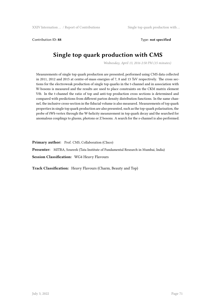Contribution ID: **88** Type: **not specified**

# **Single top quark production with CMS**

*Wednesday, April 13, 2016 2:50 PM (15 minutes)*

Measurements of single top quark production are presented, performed using CMS data collected in 2011, 2012 and 2015 at centre-of-mass energies of 7, 8 and 13 TeV respectively. The cross sections for the electroweak production of single top quarks in the t-channel and in association with W-bosons is measured and the results are used to place constraints on the CKM matrix element Vtb. In the t-channel the ratio of top and anti-top production cross sections is determined and compared with predictions from different parton density distribution functions. In the same channel, the inclusive cross-section in the fiducial volume is also measured. Measurements of top quark properties in single top quark production are also presented, such as the top-quark polarisation, the probe of tWb vertex through the W-helicity measurement in top quark decay and the searched for anomalous couplings to gluons, photons or Z bosons. A search for the s-channel is also performed.

**Primary author:** Prof. CMS, Collaboration (CInco)

**Presenter:** MITRA, Soureek (Tata Institute of Fundamental Research in Mumbai, India) **Session Classification:** WG4 Heavy Flavours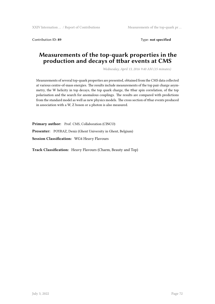Contribution ID: **89** Type: **not specified**

### **Measurements of the top-quark properties in the production and decays of ttbar events at CMS**

*Wednesday, April 13, 2016 9:40 AM (15 minutes)*

Measurements of several top-quark properties are presented, obtained from the CMS data collected at various centre-of-mass energies. The results include measurements of the top pair charge asymmetry, the W helicity in top decays, the top quark charge, the ttbar spin correlation, of the top polarisation and the search for anomalous couplings. The results are compared with predictions from the standard model as well as new physics models. The cross section of ttbar events produced in association with a W, Z boson or a photon is also measured.

Primary author: Prof. CMS, Collaboration (CINCO) **Presenter:** POYRAZ, Deniz (Ghent University in Ghent, Belgium) **Session Classification:** WG4 Heavy Flavours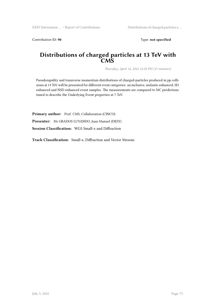Contribution ID: 90 **Type: not specified** 

#### **Distributions of charged particles at 13 TeV with CMS**

*Thursday, April 14, 2016 12:20 PM (15 minutes)*

Pseudorapidity and transverse momentum distributions of charged-particles produced in pp collisions at 13 TeV will be presented for different event categories: an inclusive, inelastic enhanced, SD enhanced and NSD enhanced event samples. The measurements are compared to MC predictions tuned to describe the Underlying Event properties at 7 TeV.

Primary author: Prof. CMS, Collaboration (CINCO)

**Presenter:** Mr GRADOS LUYANDO, Juan Manuel (DESY)

**Session Classification:** WG5 Small-x and Diffraction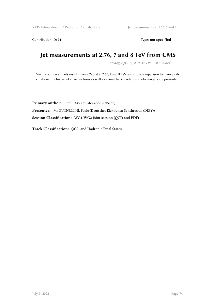Contribution ID: 91 Type: **not specified** 

# **Jet measurements at 2.76, 7 and 8 TeV from CMS**

*Tuesday, April 12, 2016 4:55 PM (20 minutes)*

We present recent jets results from CMS at at 2.76, 7 and 8 TeV and show comparison to theory calculations. Inclusive jet cross sections as well as azimuthal correlations between jets are presented.

Primary author: Prof. CMS, Collaboration (CINCO) **Presenter:** Mr GUNNELLINI, Paolo (Deutsches Elektronen Synchrotron (DESY)) **Session Classification:** WG1/WG2 joint session (QCD and PDF)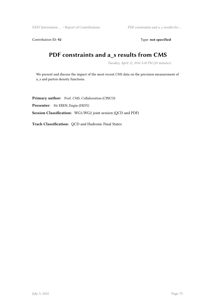XXIV Internation ... / Report of Contributions PDF constraints and a\_s results fro ...

Contribution ID: 92 Type: **not specified** 

# **PDF constraints and a\_s results from CMS**

*Tuesday, April 12, 2016 5:20 PM (20 minutes)*

We present and discuss the impact of the most recent CMS data on the precision measurement of a\_s and parton density functions.

Primary author: Prof. CMS, Collaboration (CINCO) **Presenter:** Mr EREN, Engin (DESY) **Session Classification:** WG1/WG2 joint session (QCD and PDF)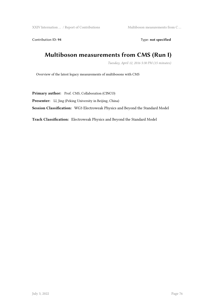XXIV Internation ... / Report of Contributions Multiboson measurements from C ...

Contribution ID: 94 Type: **not specified** 

# **Multiboson measurements from CMS (Run I)**

*Tuesday, April 12, 2016 5:30 PM (15 minutes)*

Overview of the latest legacy measurements of multibosons with CMS

Primary author: Prof. CMS, Collaboration (CINCO)

Presenter: LI, Jing (Peking University in Beijing, China)

**Session Classification:** WG3 Electroweak Physics and Beyond the Standard Model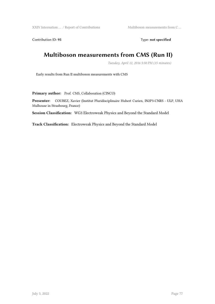XXIV Internation  $\dots$  / Report of Contributions  $\hfill$  Multiboson measurements from C  $\dots$ 

Contribution ID: 95 Type: **not specified** 

# **Multiboson measurements from CMS (Run II)**

*Tuesday, April 12, 2016 5:50 PM (15 minutes)*

Early results from Run II multiboson measurements with CMS

Primary author: Prof. CMS, Collaboration (CINCO)

**Presenter:** COUBEZ, Xavier (Institut Pluridisciplinaire Hubert Curien, IN2P3-CNRS - ULP, UHA Mulhouse in Strasbourg, France)

**Session Classification:** WG3 Electroweak Physics and Beyond the Standard Model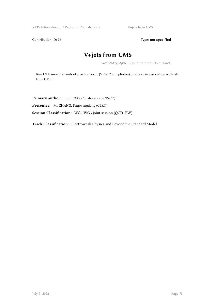XXIV Internation ... / Report of Contributions V+jets from CMS

Contribution ID: 96 Type: **not specified** 

# **V+jets from CMS**

*Wednesday, April 13, 2016 10:10 AM (15 minutes)*

Run I & II measurements of a vector boson (V=W, Z and photon) produced in association with jets from CMS

Primary author: Prof. CMS, Collaboration (CINCO)

**Presenter:** Mr ZHANG, Fengwangdong (CERN)

**Session Classification:** WG2/WG3 joint session (QCD+EW)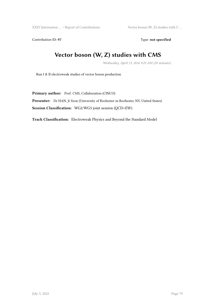XXIV Internation ... / Report of Contributions Vector boson (W, Z) studies with C ...

Contribution ID: 97 Type: **not specified** 

# **Vector boson (W, Z) studies with CMS**

*Wednesday, April 13, 2016 9:25 AM (20 minutes)*

Run I & II electroweak studies of vector boson production

Primary author: Prof. CMS, Collaboration (CINCO)

**Presenter:** Dr HAN, Ji Yeon (University of Rochester in Rochester, NY, United States)

**Session Classification:** WG2/WG3 joint session (QCD+EW)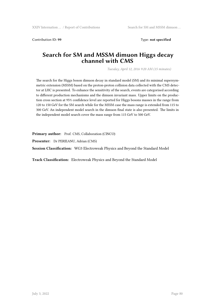Contribution ID: **99** Type: **not specified**

### **Search for SM and MSSM dimuon Higgs decay channel with CMS**

*Tuesday, April 12, 2016 9:20 AM (15 minutes)*

The search for the Higgs boson dimuon decay in standard model (SM) and its minimal supersymmetric extension (MSSM) based on the proton-proton collision data collected with the CMS detector at LHC is presented. To enhance the sensitivity of the search, events are categorised according to different production mechanisms and the dimuon invariant mass. Upper limits on the production cross section at 95% confidence level are reported for Higgs bosons masses in the range from 120 to 150 GeV for the SM search while for the MSSM case the mass range is extended from 115 to 300 GeV. An independent model search in the dimuon final state is also presented. The limits in the independent model search cover the mass range from 115 GeV to 500 GeV.

Primary author: Prof. CMS, Collaboration (CINCO)

**Presenter:** Dr PERIEANU, Adrian (CMS)

**Session Classification:** WG3 Electroweak Physics and Beyond the Standard Model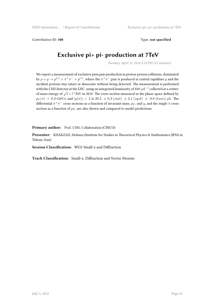Contribution ID: **100** Type: **not specified**

# **Exclusive pi+ pi- production at 7TeV**

*Tuesday, April 12, 2016 5:10 PM (15 minutes)*

We report a measurement of exclusive pion pair production in proton-proton collisions, dominated by  $p + p \rightarrow p^{(*)} + \pi^+ \pi^- + p^{(*)}$ , where the  $\pi^+ \pi^-$  pair is produced at central rapidities *y* and the incident protons stay intact or dissociate without being detected. The measurement is performed with the CMS detector at the LHC, using an integrated luminosity of 450~*µb−*<sup>1</sup> collected at a centerof-mass energy of  $\sqrt{s}$  = 7 \TeV in 2010. The cross section measured in the phase space defined by  $p_T(\pi) > 0.2$ ~GeV/c and  $|y(\pi)| < 2$  is 20.5  $\pm$  0.3 (stat)  $\pm$  3.1 (syst)  $\pm$  0.8 (lumi)  $\mu$ b. The differential  $\pi^+\pi^-$  cross sections as a function of invariant mass,  $p_T$ , and  $y$ , and the single  $\pi$  cross section as a function of  $p_T$ , are also shown and compared to model predictions.

Primary author: Prof. CMS, Collaboration (CINCO)

**Presenter:** KHAKZAD, Mohsen (Institute for Studies in Theoretical Physics & Mathematics (IPM) in Tehran, Iran)

**Session Classification:** WG5 Small-x and Diffraction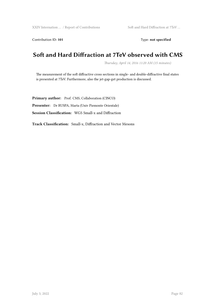Contribution ID: 101 **Type: not specified** 

### **Soft and Hard Diffraction at 7TeV observed with CMS**

*Thursday, April 14, 2016 11:20 AM (15 minutes)*

The measurement of the soft diffractive cross sections in single- and double-diffractive final states is presented at 7TeV. Furthermore, also the jet-gap-get production is discussed.

Primary author: Prof. CMS, Collaboration (CINCO) **Presenter:** Dr RUSPA, Marta (Univ Piemonte Orientale) **Session Classification:** WG5 Small-x and Diffraction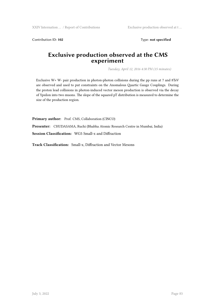Contribution ID: 102 **Type: not specified** 

### **Exclusive production observed at the CMS experiment**

*Tuesday, April 12, 2016 4:30 PM (15 minutes)*

Exclusive W+ W- pair production in photon-photon collisions during the pp runs at 7 and 8TeV are observed and used to put constraints on the Anomalous Quartic Gauge Couplings. During the proton lead collisions in photon-induced vector meson production is observed via the decay of Ypsilon into two muons. The slope of the squared pT distribution is measured to determine the size of the production region.

**Primary author:** Prof. CMS, Collaboration (CINCO)

**Presenter:** CHUDASAMA, Ruchi (Bhabha Atomic Research Centre in Mumbai, India)

**Session Classification:** WG5 Small-x and Diffraction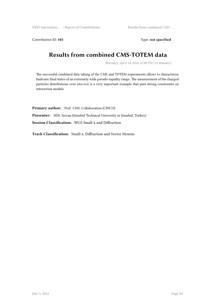Contribution ID: 103 Type: **not specified** 

## **Results from combined CMS-TOTEM data**

*Thursday, April 14, 2016 12:40 PM (15 minutes)*

The successful combined data taking of the CMS and TOTEM experiments allows to characterize hadronic final states of an extremely wide pseudo-rapidity range. The measurement of the charged particles distributions over |eta<6.6| is a very important example that puts strong constraints on interaction models.

Primary author: Prof. CMS, Collaboration (CINCO) Presenter: SEN, Sercan (Istanbul Technical University in Istanbul, Turkey) **Session Classification:** WG5 Small-x and Diffraction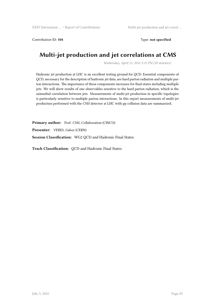Contribution ID: **104** Type: **not specified**

# **Multi-jet production and jet correlations at CMS**

*Wednesday, April 13, 2016 3:15 PM (20 minutes)*

Hadronic jet production at LHC is an excellent testing ground for QCD. Essential components of QCD, necessary for the description of hadronic jet data, are hard parton radiation and multiple parton interactions. The importance of these components increases for final states including multiple jets. We will show results of one observables sensitive to the hard parton radiation, which is the azimuthal correlation between jets. Measurements of multi-jet production in specific topologies is particularly sensitive to multiple parton interactions. In this report measurements of multi-jet production performed with the CMS detector at LHC with pp collision data are summarized.

Primary author: Prof. CMS, Collaboration (CINCO) **Presenter:** VERES, Gabor (CERN) **Session Classification:** WG2 QCD and Hadronic Final States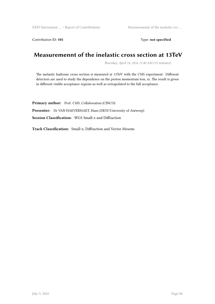Contribution ID: 105 Type: not specified

# **Measuremennt of the inelastic cross section at 13TeV**

*Thursday, April 14, 2016 11:40 AM (15 minutes)*

The inelastic hadronic cross section is measured at 13TeV with the CMS experiment. Different detectors are used to study the dependence on the proton momentum loss, xi. The result is given in different visible acceptance regions as well as extrapolated to the full acceptance.

Primary author: Prof. CMS, Collaboration (CINCO) **Presenter:** Dr VAN HAEVERMAET, Hans (DESY/University of Antwerp) **Session Classification:** WG5 Small-x and Diffraction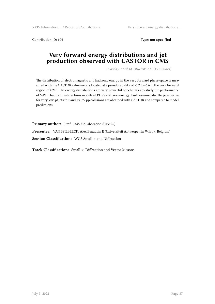XXIV Internation ... / Report of Contributions Very forward energy distributions ...

Contribution ID: 106 **Type:** not specified

### **Very forward energy distributions and jet production observed with CASTOR in CMS**

*Thursday, April 14, 2016 9:00 AM (15 minutes)*

The distribution of electromagnetic and hadronic energy in the very forward phase-space is measured with the CASTOR calorimeters located at a pseudorapidity of -5.2 to -6.6 in the very forward region of CMS. The energy distributions are very powerful benchmarks to study the performance of MPI in hadronic interactions models at 13TeV collision energy. Furthermore, also the jet-spectra for very low-pt jets in 7 and 13TeV pp collisions are obtained with CASTOR and compared to model predictions.

Primary author: Prof. CMS, Collaboration (CINCO)

**Presenter:** VAN SPILBEECK, Alex Beaudoin E (Universiteit Antwerpen in Wilrijk, Belgium)

**Session Classification:** WG5 Small-x and Diffraction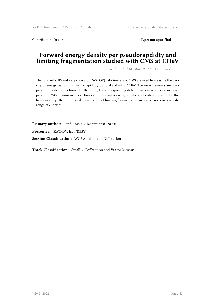XXIV Internation ... / Report of Contributions Forward energy density per pseud ...

Contribution ID: **107** Type: **not specified**

### **Forward energy density per pseudorapdidty and limiting fragmentation studied with CMS at 13TeV**

*Thursday, April 14, 2016 9:20 AM (15 minutes)*

The forward (HF) and very-forward (CASTOR) calorimeters of CMS are used to measure the density of energy per unit of pseudorapiditdy up to eta of 6.6 at 13TeV. The measurements are compared to model predictions. Furthermore, the corresponding data of transverse energy are compared to CMS measurements at lower center-of-mass energies, where all data are shifted by the beam rapidity. The result is a demonstration of limiting fragmentation in pp collisions over a wide range of energies.

Primary author: Prof. CMS, COllaboration (CINCO) **Presenter:** KATKOV, Igor (DESY) **Session Classification:** WG5 Small-x and Diffraction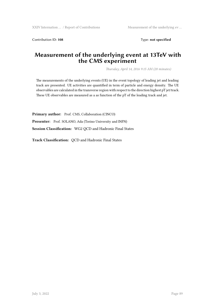Contribution ID: 108 Type: not specified

### **Measurement of the underlying event at 13TeV with the CMS experiment**

*Thursday, April 14, 2016 9:15 AM (20 minutes)*

The measurements of the underlying events (UE) in the event topology of leading jet and leading track are presented. UE activities are quantified in term of particle and energy density. The UE observables are calculated in the transverse region with respect to the direction highest pT jet/track. These UE observables are measured as a as function of the pT of the leading track and jet.

Primary author: Prof. CMS, Collaboration (CINCO)

**Presenter:** Prof. SOLANO, Ada (Torino University and INFN)

**Session Classification:** WG2 QCD and Hadronic Final States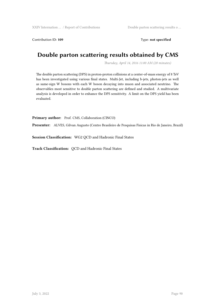Contribution ID: 109 Type: not specified

# **Double parton scattering results obtained by CMS**

*Thursday, April 14, 2016 11:00 AM (20 minutes)*

The double parton scattering (DPS) in proton-proton collisions at a center-of-mass energy of 8 TeV has been investigated using various final states. Multi-Jet, including b-jets, photon-jets as well as same-sign W bosons with each W boson decaying into muon and associated neutrino. The observables most sensitive to double parton scattering are defined and studied. A multivariate analysis is developed in order to enhance the DPS sensitivity. A limit on the DPS yield has been evaluated.

Primary author: Prof. CMS, Collaboration (CINCO)

**Presenter:** ALVES, Gilvan Augusto (Centro Brasileiro de Pesquisas Fisicas in Rio de Janeiro, Brazil)

**Session Classification:** WG2 QCD and Hadronic Final States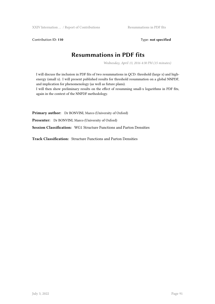Contribution ID: 110 Type: not specified

### **Resummations in PDF fits**

*Wednesday, April 13, 2016 4:30 PM (15 minutes)*

I will discuss the inclusion in PDF fits of two resummations in QCD: threshold (large x) and highenergy (small x). I will present published results for threshold resummation on a global NNPDF, and implication for phenomenology (as well as future plans).

I will then show preliminary results on the effect of resumming small-x logarithms in PDF fits, again in the context of the NNPDF methodology.

**Primary author:** Dr BONVINI, Marco (University of Oxford)

**Presenter:** Dr BONVINI, Marco (University of Oxford)

**Session Classification:** WG1 Structure Functions and Parton Densities

**Track Classification:** Structure Functions and Parton Densities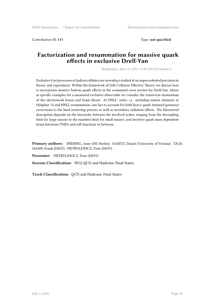Contribution ID: **111** Type: **not specified**

### **Factorization and resummation for massive quark effects in exclusive Drell-Yan**

*Wednesday, April 13, 2016 11:30 AM (20 minutes)*

Exclusive 0-jet processes at hadron colliders are nowadays studied at an unprecedented precision in theory and experiment. Within the framework of Soft-Collinear Effective Theory we discuss how to incorporate massive bottom quark effects in the resummed cross section for Drell-Yan, where as specific examples for a measured exclusive observable we consider the transverse momentum of the electroweak boson and beam thrust. At NNLL' order, i.e. including matrix elements at O(alphas^2) and NNLL resummation, one has to account for both heavy quark initiated (primary) corrections to the hard scattering process as well as secondary radiation effects. The theoretical description depends on the hierarchy between the involved scales, ranging from the decoupling limit for large masses to the massless limit for small masses, and involves quark mass dependent beam functions/TMDs and soft functions in between.

**Primary authors:** SPIERING, Anne (HU Berlin); SAMITZ, Daniel (University of Vienna); TACK-MANN, Frank (DESY); PIETRULEWICZ, Piotr (DESY)

**Presenter:** PIETRULEWICZ, Piotr (DESY)

**Session Classification:** WG2 QCD and Hadronic Final States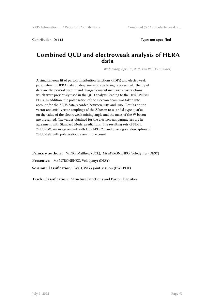Contribution ID: **112** Type: **not specified** 

### **Combined QCD and electroweak analysis of HERA data**

*Wednesday, April 13, 2016 3:20 PM (15 minutes)*

A simultaneous fit of parton distribution functions (PDFs) and electroweak parameters to HERA data on deep inelastic scattering is presented. The input data are the neutral current and charged current inclusive cross sections which were previously used in the QCD analysis leading to the HERAPDF2.0 PDFs. In addition, the polarisation of the electron beam was taken into account for the ZEUS data recorded between 2004 and 2007. Results on the vector and axial-vector couplings of the Z boson to u- and d-type quarks, on the value of the electroweak mixing angle and the mass of the W boson are presented. The values obtained for the electroweak parameters are in agreement with Standard Model predictions. The resulting sets of PDFs, ZEUS-EW, are in agreement with HERAPDF2.0 and give a good description of ZEUS data with polarisation taken into account.

**Primary authors:** WING, Matthew (UCL); Mr MYRONENKO, Volodymyr (DESY) **Presenter:** Mr MYRONENKO, Volodymyr (DESY) **Session Classification:** WG1/WG3 joint session (EW+PDF)

**Track Classification:** Structure Functions and Parton Densities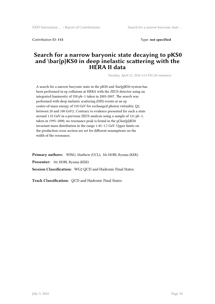Contribution ID: **113** Type: **not specified**

### **Search for a narrow baryonic state decaying to pKS0 and \bar{p}KS0 in deep inelastic scattering with the HERA II data**

*Tuesday, April 12, 2016 3:13 PM (20 minutes)*

A search for a narrow baryonic state in the pKS0 and \bar{p}KS0 system has been performed in ep collisions at HERA with the ZEUS detector using an integrated luminosity of 358 pb−1 taken in 2003-2007. The search was performed with deep inelastic scattering (DIS) events at an ep centre-of-mass energy of 318 GeV for exchanged photon virtuality, Q2, between 20 and 100 GeV2. Contrary to evidence presented for such a state around 1.52 GeV in a previous ZEUS analysis using a sample of 121 pb−1, taken in 1995–2000, no resonance peak is found in the  $p(\bar{p})K$ S0 invariant-mass distribution in the range 1.45–1.7 GeV. Upper limits on the production cross section are set for different assumptions on the width of the resonance.

**Primary authors:** WING, Matthew (UCL); Mr HORI, Ryuma (KEK) **Presenter:** Mr HORI, Ryuma (KEK) **Session Classification:** WG2 QCD and Hadronic Final States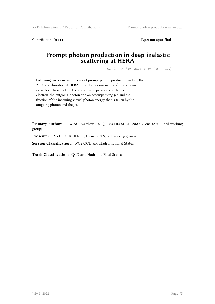XXIV Internation ... / Report of Contributions Prompt photon production in deep ...

Contribution ID: 114 Type: **not specified** 

### **Prompt photon production in deep inelastic scattering at HERA**

*Tuesday, April 12, 2016 12:12 PM (20 minutes)*

Following earlier measurements of prompt photon production in DIS, the ZEUS collaboration at HERA presents measurements of new kinematic variables. These include the azimuthal separations of the recoil electron, the outgoing photon and an accompanying jet, and the fraction of the incoming virtual photon energy that is taken by the outgoing photon and the jet.

Primary authors: WING, Matthew (UCL); Ms HLUSHCHENKO, Olena (ZEUS, qcd working group)

Presenter: Ms HLUSHCHENKO, Olena (ZEUS, qcd working group)

**Session Classification:** WG2 QCD and Hadronic Final States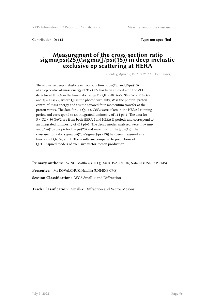Contribution ID: **115** Type: **not specified**

#### **Measurement of the cross-section ratio sigma(psi(2S))/sigma(J/psi(1S)) in deep inelastic exclusive ep scattering at HERA**

*Tuesday, April 12, 2016 11:20 AM (15 minutes)*

The exclusive deep inelastic electroproduction of  $psi(2S)$  and  $J/\psi(1S)$ at an ep centre-of-mass energy of 317 GeV has been studied with the ZEUS detector at HERA in the kinematic range  $2 < Q$ 2 < 80 GeV2, 30 < W < 210 GeV and  $|t|$  < 1 GeV2, where Q2 is the photon virtuality, W is the photon–proton centre-of-mass energy and t is the squared four-momentum transfer at the proton vertex. The data for 2 < Q2 < 5 GeV2 were taken in the HERA I running period and correspond to an integrated luminosity of 114 pb-1. The data for 5 < Q2 < 80 GeV2 are from both HERA I and HERA II periods and correspond to an integrated luminosity of 468 pb-1. The decay modes analysed were mu+ muand J/psi(1S) pi+ pi- for the psi(2S) and mu+ mu- for the J/psi(1S). The cross-section ratio sigma(psi(2S))/sigma(J/psi(1S)) has been measured as a function of Q2, W, and t. The results are compared to predictions of QCD-inspired models of exclusive vector-meson production.

**Primary authors:** WING, Matthew (UCL); Ms KOVALCHUK, Nataliia (UNI/EXP CMS) **Presenter:** Ms KOVALCHUK, Nataliia (UNI/EXP CMS) **Session Classification:** WG5 Small-x and Diffraction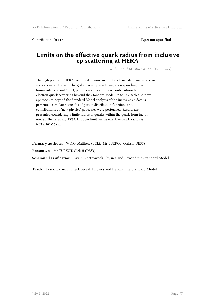Contribution ID: **117** Type: **not specified**

### **Limits on the effective quark radius from inclusive ep scattering at HERA**

*Thursday, April 14, 2016 9:40 AM (15 minutes)*

The high precision HERA combined measurement of inclusive deep inelastic cross sections in neutral and charged current ep scattering, corresponding to a luminosity of about 1 fb-1, permits searches for new contributions to electron-quark scattering beyond the Standard Model up to TeV scales. A new approach to beyond the Standard Model analysis of the inclusive ep data is presented; simulataneous fits of parton distribution functions and contributions of "new physics" processes were performed. Results are presented considering a finite radius of quarks within the quark form-factor model. The resulting 95% C.L. upper limit on the effective quark radius is  $0.43 \times 10^{(-16)}$  cm.

**Primary authors:** WING, Matthew (UCL); Mr TURKOT, Oleksii (DESY)

**Presenter:** Mr TURKOT, Oleksii (DESY)

**Session Classification:** WG3 Electroweak Physics and Beyond the Standard Model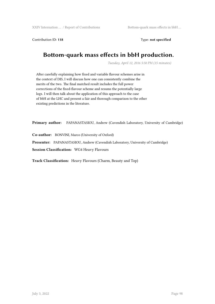Contribution ID: **118** Type: **not specified**

## **Bottom-quark mass effects in bbH production.**

*Tuesday, April 12, 2016 5:50 PM (15 minutes)*

After carefully explaining how fixed and variable flavour schemes arise in the context of DIS, I will discuss how one can consistently combine the merits of the two. The final matched result includes the full power corrections of the fixed-flavour scheme and resums the potentially large logs. I will then talk about the application of this approach to the case of bbH at the LHC and present a fair and thorough comparison to the other existing predictions in the literature.

**Primary author:** PAPANASTASIOU, Andrew (Cavendish Laboratory, University of Cambridge)

**Co-author:** BONVINI, Marco (University of Oxford)

**Presenter:** PAPANASTASIOU, Andrew (Cavendish Laboratory, University of Cambridge)

**Session Classification:** WG4 Heavy Flavours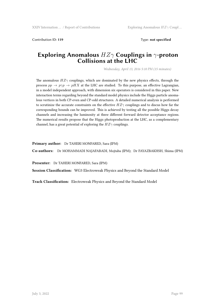Contribution ID: **119** Type: **not specified**

### **Exploring Anomalous** *HZγ* **Couplings in** *γ***-proton Collisions at the LHC**

*Wednesday, April 13, 2016 5:10 PM (15 minutes)*

The anomalous  $HZ\gamma$  couplings, which are dominated by the new physics effects, through the process  $pp \rightarrow p\gamma p \rightarrow pHX$  at the LHC are studied. To this purpose, an effective Lagrangian, in a model independent approach, with dimension six operators is considered in this paper. New interaction terms regarding beyond the standard model physics include the Higgs particle anomalous vertices in both CP-even and CP-odd structures. A detailed numerical analysis is performed to scrutinize the accurate constraints on the effective *HZγ* couplings and to discus how far the corresponding bounds can be improved. This is achieved by testing all the possible Higgs decay channels and increasing the luminosity at three different forward detector acceptance regions. The numerical results propose that the Higgs photoproduction at the LHC, as a complementary channel, has a great potential of exploring the *HZγ* couplings.

**Primary author:** Dr TAHERI MONFARED, Sara (IPM)

**Co-authors:** Dr MOHAMMADI NAJAFABADI, Mojtaba (IPM); Dr FAYAZBAKHSH, Shima (IPM)

**Presenter:** Dr TAHERI MONFARED, Sara (IPM)

**Session Classification:** WG3 Electroweak Physics and Beyond the Standard Model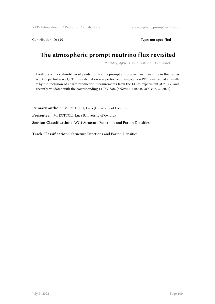XXIV Internation … / Report of Contributions The atmospheric prompt neutrino …

Contribution ID: 120 **Type: not specified** 

# **The atmospheric prompt neutrino flux revisited**

*Thursday, April 14, 2016 11:00 AM (15 minutes)*

I will present a state-of-the-art prediction for the prompt atmospheric neutrino flux in the framework of perturbative QCD. The calculation was performed using a gluon PDF constrained at smallx by the inclusion of charm production measurements from the LHCb experiment at 7 TeV, and recently validated with the corresponding 13 TeV data [arXiv:1511.06346, arXiv:1506.08025]

**Primary author:** Mr ROTTOLI, Luca (University of Oxford) **Presenter:** Mr ROTTOLI, Luca (University of Oxford) **Session Classification:** WG1 Structure Functions and Parton Densities

**Track Classification:** Structure Functions and Parton Densities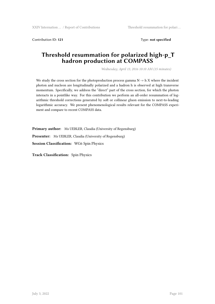Contribution ID: **121** Type: **not specified**

### **Threshold resummation for polarized high-p\_T hadron production at COMPASS**

*Wednesday, April 13, 2016 10:10 AM (15 minutes)*

We study the cross section for the photoproduction process gamma  $N \rightarrow h X$  where the incident photon and nucleon are longitudinally polarized and a hadron h is observed at high transverse momentum. Specifically, we address the "direct" part of the cross section, for which the photon interacts in a pointlike way. For this contribution we perform an all-order resummation of logarithmic threshold corrections generated by soft or collinear gluon emission to next-to-leading logarithmic accuracy. We present phenomenological results relevant for the COMPASS experiment and compare to recent COMPASS data.

**Primary author:** Ms UEBLER, Claudia (University of Regensburg) **Presenter:** Ms UEBLER, Claudia (University of Regensburg) **Session Classification:** WG6 Spin Physics

**Track Classification:** Spin Physics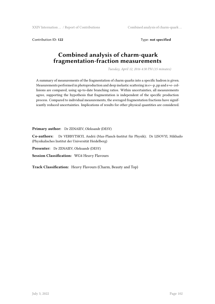XXIV Internation ... / Report of Contributions Combined analysis of charm-quark ...

Contribution ID: 122 Type: **not specified** 

### **Combined analysis of charm-quark fragmentation-fraction measurements**

*Tuesday, April 12, 2016 4:30 PM (15 minutes)*

A summary of measurements of the fragmentation of charm quarks into a specific hadron is given. Measurements performed in photoproduction and deep inelastic scattering in e+-p, pp and e+e- collisions are compared, using up-to-date branching ratios. Within uncertainties, all measurements agree, supporting the hypothesis that fragmentation is independent of the specific production process. Compared to individual measurements, the averaged fragmentation fractions have significantly reduced uncertainties. Implications of results for other physical quantities are considered.

**Primary author:** Dr ZENAIEV, Oleksandr (DESY)

**Co-authors:** Dr VERBYTSKYI, Andrii (Max-Planck-Institut für Physik); Dr LISOVYI, Mikhailo (Physikalisches Institut der Universität Heidelberg)

**Presenter:** Dr ZENAIEV, Oleksandr (DESY)

**Session Classification:** WG4 Heavy Flavours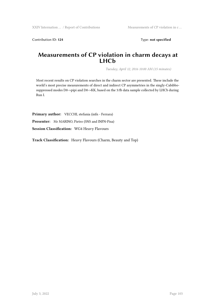Contribution ID: 124 Type: **not specified** 

### **Measurements of CP violation in charm decays at LHCb**

*Tuesday, April 12, 2016 10:00 AM (15 minutes)*

Most recent results on CP violation searches in the charm sector are presented. These include the world's most precise measurements of direct and indirect CP asymmetries in the singly-Cabibbosuppressed modes D0->pipi and D0->KK, based on the 3/fb data sample collected by LHCb during Run I.

Primary author: VECCHI, stefania (infn - Ferrara)

**Presenter:** Mr MARINO, Pietro (SNS and INFN-Pisa)

**Session Classification:** WG4 Heavy Flavours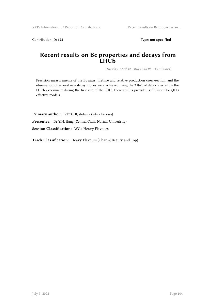Contribution ID: 125 Type: **not specified** 

### **Recent results on Bc properties and decays from LHCb**

*Tuesday, April 12, 2016 12:40 PM (15 minutes)*

Precision measurements of the Bc mass, lifetime and relative production cross-section, and the observation of several new decay modes were achieved using the 3 fb-1 of data collected by the LHCb experiment during the first run of the LHC. These results provide useful input for QCD effective models.

Primary author: VECCHI, stefania (infn - Ferrara)

**Presenter:** Dr YIN, Hang (Central China Normal Univerisity)

**Session Classification:** WG4 Heavy Flavours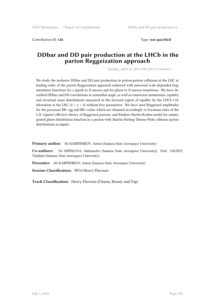Contribution ID: 126 **Type:** not specified

### **DDbar and DD pair production at the LHCb in the parton Reggeization approach**

*Tuesday, April 12, 2016 9:00 AM (15 minutes)*

We study the inclusive DDbar and DD pair production in proton-proton collisions at the LHC at leading order of the parton Reggeization approach endowed with universal scale-depended fragmentation functions for c-quark to D-meson and for gluon to D-meson transitions. We have described DDbar and DD correlations in azimuthal angle, as well as transverse momentum, rapidity, and invariant mass distributions measured in the forward region of rapidity by the LHCb Collaboration at the LHC  $(2 < y < 4)$  without free parameters. We have used Reggeized amplitudes for the processes RR->gg and RR->ccbar which are obtained accordingly to Feynman rules of the L.N. Lipatov effective theory of Reggeized partons, and Kimber-Martin-Ryskin model for unintegrated gluon distribution function in a proton with Martin-Stirling-Thorne-Watt collinear parton distributions as inputs.

**Primary author:** Mr KARPISHKOV, Anton (Samara State Aerospace University)

**Co-authors:** Dr SHIPILOVA, Aleksandra (Samara State Aerospace University); Prof. SALEEV, Vladimir (Samara State Aerospace University)

**Presenter:** Mr KARPISHKOV, Anton (Samara State Aerospace University)

**Session Classification:** WG4 Heavy Flavours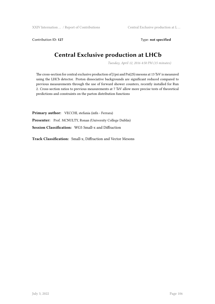Contribution ID: 127 Type: **not specified** 

# **Central Exclusive production at LHCb**

*Tuesday, April 12, 2016 4:50 PM (15 minutes)*

The cross-section for central exclusive production of J/psi and Psi(2S) mesons at 13 TeV is measured using the LHCb detector. Proton dissociative backgrounds are significant reduced compared to previous measurements through the use of forward shower counters, recently installed for Run 2. Cross-section ratios to previous measurements at 7 TeV allow more precise tests of theoretical predictions and constraints on the parton distribution functions

Primary author: VECCHI, stefania (infn - Ferrara) Presenter: Prof. MCNULTY, Ronan (University College Dublin) **Session Classification:** WG5 Small-x and Diffraction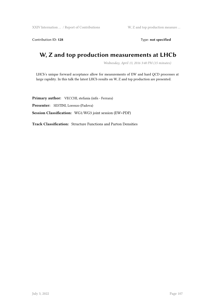XXIV Internation ... / Report of Contributions W, Z and top production measure ...

Contribution ID: 128 Type: not specified

# **W, Z and top production measurements at LHCb**

*Wednesday, April 13, 2016 3:40 PM (15 minutes)*

LHCb's unique forward acceptance allow for measurements of EW and hard QCD processes at large rapidity. In this talk the latest LHCb results on W, Z and top production are presented.

Primary author: VECCHI, stefania (infn - Ferrara) **Presenter:** SESTINI, Lorenzo (Padova) **Session Classification:** WG1/WG3 joint session (EW+PDF)

**Track Classification:** Structure Functions and Parton Densities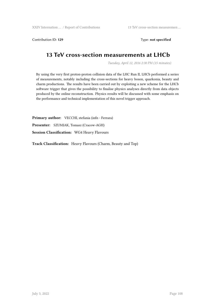Contribution ID: 129 **Type: not specified** 

### **13 TeV cross-section measurements at LHCb**

*Tuesday, April 12, 2016 2:30 PM (15 minutes)*

By using the very first proton-proton collision data of the LHC Run II, LHCb performed a series of measurements, notably including the cross-sections for heavy boson, quarkonia, beauty and charm productions. The results have been carried out by exploiting a new scheme for the LHCb software trigger that gives the possibility to finalise physics analyses directly from data objects produced by the online reconstruction. Physics results will be discussed with some emphasis on the performance and technical implementation of this novel trigger approach.

Primary author: VECCHI, stefania (infn - Ferrara) **Presenter:** SZUMIAK, Tomasz (Cracow-AGH) **Session Classification:** WG4 Heavy Flavours

**Track Classification:** Heavy Flavours (Charm, Beauty and Top)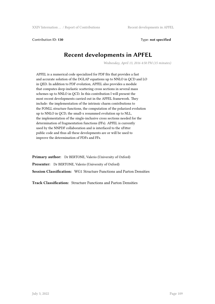Contribution ID: **130** Type: **not specified**

### **Recent developments in APFEL**

*Wednesday, April 13, 2016 4:50 PM (15 minutes)*

APFEL is a numerical code specialized for PDF fits that provides a fast and accurate solution of the DGLAP equations up to NNLO in QCD and LO in QED. In addition to PDF evolution, APFEL also provides a module that computes deep-inelastic scattering cross sections in several mass schemes up to NNLO in QCD. In this contribution I will present the most recent developments carried out in the APFEL framework. They include: the implementation of the intrinsic charm contributions to the FONLL structure functions, the computation of the polarized evolution up to NNLO in QCD, the small-x resummed evolution up to NLL, the implementation of the single-inclusive cross sections needed for the determination of fragmentation functions (FFs). APFEL is currently used by the NNPDF collaboration and is interfaced to the xFitter public code and thus all these developments are or will be used to improve the determination of PDFs and FFs.

**Primary author:** Dr BERTONE, Valerio (University of Oxford) **Presenter:** Dr BERTONE, Valerio (University of Oxford) **Session Classification:** WG1 Structure Functions and Parton Densities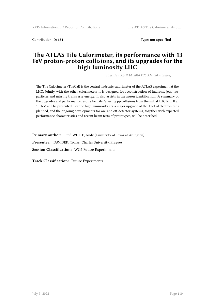Contribution ID: **131** Type: **not specified**

### **The ATLAS Tile Calorimeter, its performance with 13 TeV proton-proton collisions, and its upgrades for the high luminosity LHC**

*Thursday, April 14, 2016 9:23 AM (20 minutes)*

The Tile Calorimeter (TileCal) is the central hadronic calorimeter of the ATLAS experiment at the LHC. Jointly with the other calorimeters it is designed for reconstruction of hadrons, jets, tauparticles and missing transverse energy. It also assists in the muon identification. A summary of the upgrades and performance results for TileCal using pp collisions from the initial LHC Run II at 13 TeV will be presented. For the high luminosity era a major upgrade of the TileCal electronics is planned, and the ongoing developments for on- and off-detector systems, together with expected performance characteristics and recent beam tests of prototypes, will be described.

**Primary author:** Prof. WHITE, Andy (University of Texas at Arlington)

**Presenter:** DAVIDEK, Tomas (Charles University, Prague)

**Session Classification:** WG7 Future Experiments

**Track Classification:** Future Experiments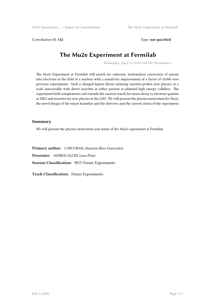Contribution ID: **132** Type: **not specified** 

## **The Mu2e Experiment at Fermilab**

*Wednesday, April 13, 2016 4:30 PM (20 minutes)*

The Mu2e Experiment at Fermilab will search for coherent, neutrinoless conversion of muons into electrons in the field of a nucleus with a sensitivity improvement of a factor of 10,000 over previous experiments. Such a charged lepton flavor-violating reaction probes new physics at a scale inaccessible with direct searches at either present or planned high energy colliders. The experiment both complements and extends the current search for muon decay to electron+gamma at MEG and searches for new physics at the LHC. We will present the physics motivation for Mu2e, the novel design of the muon beamline and the detector, and the current status of the experiment.

#### **Summary**

We will present the physics motivation and status of the Mu2e experiment at Fermilab.

**Primary author:** CORCORAN, Marjorie (Rice University) **Presenter:** MORESCALCHI, Luca (Pisa) **Session Classification:** WG7 Future Experiments

**Track Classification:** Future Experiments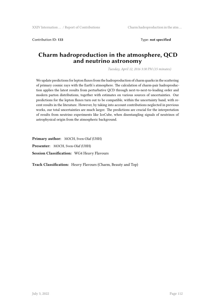Contribution ID: **133** Type: **not specified**

### **Charm hadroproduction in the atmosphere, QCD and neutrino astronomy**

*Tuesday, April 12, 2016 3:30 PM (15 minutes)*

We update predictions for lepton fluxes from the hadroproduction of charm quarks in the scattering of primary cosmic rays with the Earth's atmosphere. The calculation of charm-pair hadroproduction applies the latest results from perturbative QCD through next-to-next-to-leading order and modern parton distributions, together with estimates on various sources of uncertainties. Our predictions for the lepton fluxes turn out to be compatible, within the uncertainty band, with recent results in the literature. However, by taking into account contributions neglected in previous works, our total uncertainties are much larger. The predictions are crucial for the interpretation of results from neutrino experiments like IceCube, when disentangling signals of neutrinos of astrophysical origin from the atmospheric background.

**Primary author:** MOCH, Sven-Olaf (UHH) **Presenter:** MOCH, Sven-Olaf (UHH) **Session Classification:** WG4 Heavy Flavours

**Track Classification:** Heavy Flavours (Charm, Beauty and Top)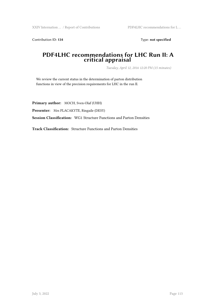Contribution ID: 134 Type: **not specified** 

#### **PDF4LHC recommendations for LHC Run II: A critical appraisal**

*Tuesday, April 12, 2016 12:20 PM (15 minutes)*

We review the current status in the determination of parton distribution functions in view of the precision requirements for LHC in the run II.

**Primary author:** MOCH, Sven-Olaf (UHH) **Presenter:** Mrs PLACAKYTE, Ringaile (DESY) **Session Classification:** WG1 Structure Functions and Parton Densities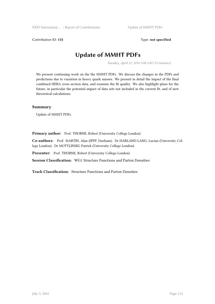Contribution ID: 135 Type: **not specified** 

### **Update of MMHT PDFs**

*Tuesday, April 12, 2016 9:00 AM (15 minutes)*

We present continuing work on the the MMHT PDFs. We discuss the changes in the PDFs and predictions due to variation in heavy quark masses. We present in detail the impact of the final combined HERA cross section data, and examine the fit quality. We also highlight plans for the future, in particular the potential impact of data sets not included in the current fit, and of new theoretical calculations.

#### **Summary**

Update of MMHT PDFs.

Primary author: Prof. THORNE, Robert (University College London)

**Co-authors:** Prof. MARTIN, Alan (IPPP, Durham); Dr HARLAND-LANG, Lucian (University College London); Dr MOTYLINSKI, Patrick (University College London)

**Presenter:** Prof. THORNE, Robert (University College London)

**Session Classification:** WG1 Structure Functions and Parton Densities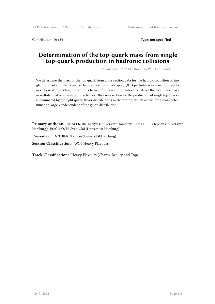Contribution ID: **136** Type: **not specified**

### **Determination of the top-quark mass from single top-quark production in hadronic collisions**

*Wednesday, April 13, 2016 12:20 PM (15 minutes)*

We determine the mass of the top quark from cross section data for the hadro-production of single top quarks in the *t*- and *s*-channel reactions. We apply QCD perturbative corrections up to next-to-next-to-leading order terms from soft-gluon resummation to extract the top-quark mass in well-defined renormalization schemes. The cross section for the production of single top quarks is dominated by the light quark-flavor distributions in the proton, which allows for a mass determination largely independent of the gluon distribution.

**Primary authors:** Dr ALEKHIN, Sergey (Universität Hamburg); Dr THIER, Stephan (Universität Hamburg); Prof. MOCH, Sven-Olaf (Universität Hamburg)

**Presenter:** Dr THIER, Stephan (Universität Hamburg)

**Session Classification:** WG4 Heavy Flavours

**Track Classification:** Heavy Flavours (Charm, Beauty and Top)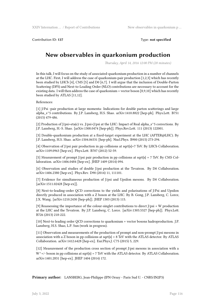Contribution ID: **137** Type: **not specified**

### **New observables in quarkonium production**

*Thursday, April 14, 2016 12:00 PM (20 minutes)*

In this talk, I will focus on the study of associated-quarkonium production in a number of channels at the LHC. First, I will address the case of quarkonium-pair production [1,2,3] which has recently been studied by LHCb [4], CMS [5] and D0 [6,7]. I will argue that the inclusion of Double-Parton Scattering (DPS) and Next-to-Leading Order (NLO) contributions are necessary to account for the existing data. I will then address the case of quarkonium + vector boson [8,9,10] which has recently been studied by ATLAS [11,12].

References:

[1] J/Psi -pair production at large momenta: Indications for double parton scatterings and large alpha\_s^5 contributions. By J.P. Lansberg, H.S. Shao. arXiv:1410.8822 [hep-ph]. Phys.Lett. B751 (2015) 479-486.

[2] Production of J/psi+eta(c) vs. J/psi+J/psi at the LHC: Impact of Real alpha\_s^5 corrections. By J.P. Lansberg, H.-S. Shao. [arXiv:1308.0474 [hep-ph]]. Phys.Rev.Lett. 111 (2013) 122001.

[3] Double-quarkonium production at a fixed-target experiment at the LHC (AFTER@LHC). By J.P. Lansberg, H.S. Shao. arXiv:1504.06531 [hep-ph]. Nucl.Phys. B900 (2015) 273-294.

[4] Observation of J/psi pair production in pp collisions at sqrt{s}=7 TeV. By LHCb Collaboration. arXiv:1109.0963 [hep-ex]. Phys.Lett. B707 (2012) 52-59.

[5] Measurement of prompt J/psi pair production in pp collisions at sqrt $\{s\} = 7$  TeV. By CMS Collaboration. arXiv:1406.0484 [hep-ex]. JHEP 1409 (2014) 094.

[6] Observation and studies of double J/psi production at the Tevatron. By D0 Collaboration. arXiv:1406.2380 [hep-ex]. Phys.Rev. D90 (2014) 11, 111101.

[7] Evidence for simultaneous production of J/psi and Upsilon mesons. By D0 Collaboration. [arXiv:1511.02428 [hep-ex]].

[8] Next-to-leading-order QCD corrections to the yields and polarisations of J/Psi and Upsilon directly produced in association with a Z boson at the LHC. By B. Gong, J.P. Lansberg, C. Lorce, J.X. Wang. [arXiv:1210.2430 [hep-ph]]. JHEP 1303 (2013) 115.

[9] Reassessing the importance of the colour-singlet contributions to direct J/psi + W production at the LHC and the Tevatron. By J.P. Lansberg, C. Lorce. [arXiv:1303.5327 [hep-ph]]. Phys.Lett. B726 (2013) 218-222.

[10] Next-to leading order QCD corrections to quarkonium + vector bosons hadroproduction. J.P. Lansberg, H.S. Shao, L.P. Sun (work in progress).

[11] Observation and measurements of the production of prompt and non-prompt J/psi mesons in association with a Z boson in pp collisions at sqrt{s} = 8 TeV with the ATLAS detector. By ATLAS Collaboration. arXiv:1412.6428 [hep-ex]. Eur.Phys.J. C75 (2015) 5, 229.

[12] Measurement of the production cross section of prompt J/psi mesons in association with a  $W^+$ -/- boson in pp collisions at sqrt{s} = 7 TeV with the ATLAS detector. By ATLAS Collaboration. arXiv:1401.2831 [hep-ex]. JHEP 1404 (2014) 172.

**Primary author:** LANSBERG, Jean-Philippe (IPN Orsay - Paris Sud U. - CNRS/IN2P3)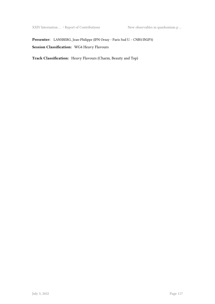XXIV Internation … / Report of Contributions New observables in quarkonium p …

**Presenter:** LANSBERG, Jean-Philippe (IPN Orsay - Paris Sud U. - CNRS/IN2P3) **Session Classification:** WG4 Heavy Flavours

**Track Classification:** Heavy Flavours (Charm, Beauty and Top)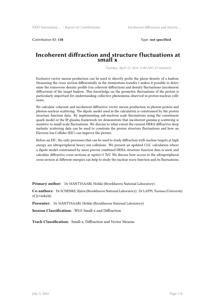Contribution ID: **138** Type: **not specified**

#### **Incoherent diffraction and structure fluctuations at small x**

*Tuesday, April 12, 2016 11:00 AM (15 minutes)*

Exclusive vector meson production can be used to directly probe the gluon density of a hadron. Measuring the cross section differentially in the momentum transfer t makes it possible to determine the transverse density profile (via coherent diffraction) and density fluctuations (incoherent diffraction) of the target hadron. This knowledge on the geometric fluctuations of the proton is particularly important for understanding collective phenomena observed in proton-nucleus collisions.

We calculate coherent and incoherent diffractive vector meson production in photon-proton and photon-nucleus scattering. The dipole model used in the calculation is constrained by the proton structure function data. By implementing sub-nucleon scale fluctuations using the constituent quark model or the IP-glasma framework we demonstrate that incoherent gamma-p scattering is sensitive to small-scale fluctuations. We discuss to what extent the current HERA diffractive deep inelastic scattering data can be used to constrain the proton structure fluctuations and how an Electron Ion Collider (EIC) can improve the picture.

Before an EIC, the only processes that can be used to study diffraction with nuclear targets at high energy are ultraperipheral heavy ion collisions. We present an updated CGC calculation where a dipole model constrained by more precise combined HERA structure function data is used, and calculate diffractive cross sections at sqrt(s)=5 TeV. We discuss how access to the ultraperipheral cross section at different energies can help to study the nuclear wave function and its fluctuations.

**Primary author:** Dr MÄNTYSAARI, Heikki (Brookhaven National Laboratory)

**Co-authors:** Dr SCHENKE, Björn (Brookhaven National Laboratory); Dr LAPPI, Tuomas (University of Jyväskylä)

**Presenter:** Dr MÄNTYSAARI, Heikki (Brookhaven National Laboratory)

**Session Classification:** WG5 Small-x and Diffraction

**Track Classification:** Small-x, Diffraction and Vector Mesons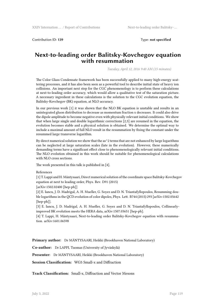Contribution ID: **139** Type: **not specified**

#### **Next-to-leading order Balitsky-Kovchegov equation with resummation**

*Tuesday, April 12, 2016 9:40 AM (15 minutes)*

The Color Glass Condensate framework has been successfully applied to many high-energy scattering processes, and it has also been seen as a powerful tool to describe initial state of heavy ion collisions. An important next step for the CGC phenomenology is to perform these calculations at next-to-leading order accuracy, which would allow a qualitative test of the saturation picture. A necessary ingredient in these calculations is the solution to the CGC evolution equation, the Balitsky-Kovchegov (BK) equation, at NLO accuracy.

In our previous work [1] it was shown that the NLO BK equation is unstable and results in an unintegrated gluon distribution to decrease as momentum fraction x decreases. It could also drive the dipole amplitude to become negative even with physically relevant initial conditions. We show that when large single and double logarithmic corrections [2,3] are resumed in the equation, the evolution becomes stable and a physical solution is obtained. We determine the optimal way to include a maximal amount of full NLO result in the resummation by fixing the constant under the resummed large transverse logarithm.

By direct numerical solution we show that the as  $\alpha$ <sup>2</sup> terms that are not enhanced by large logarithms can be neglected at large saturation scales (late in the evolution). However, these numerically demanding terms have a significant effect close to phenomenologically relevant initial conditions. The NLO evolution obtained in this work should be suitable for phenomenological calculations with NLO cross sections.

The work presented in this talk is published in [4].

References

[1] T. Lappi and H. Mäntysaari, Direct numerical solution of the coordinate space Balitsky-Kovchegov equation at next to leading order, Phys. Rev. D91 (2015)

[arXiv:1502.02400 [hep-ph]]

[2] E. Iancu, J. D. Madrigal, A. H. Mueller, G. Soyez and D. N. Triantafyllopoulos, Resumming double logarithms in the QCD evolution of color dipoles, Phys. Lett. B744 (2015) 293 [arXiv:1502.05642 [hep-ph]].

[3] E. Iancu, J. D. Madrigal, A. H. Mueller, G. Soyez and D. N. Triantafyllopoulos, Collinearlyimproved BK evolution meets the HERA data, arXiv:1507.03651 [hep-ph].

[4] T. Lappi, H. Mäntysaari, Next-to-leading order Balitsky-Kovchegov equation with resummation. arXiv:1601.06598

**Primary author:** Dr MÄNTYSAARI, Heikki (Brookhaven National Laboratory)

**Co-author:** Dr LAPPI, Tuomas (University of Jyväskylä)

**Presenter:** Dr MÄNTYSAARI, Heikki (Brookhaven National Laboratory)

**Session Classification:** WG5 Small-x and Diffraction

**Track Classification:** Small-x, Diffraction and Vector Mesons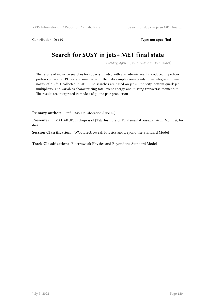Contribution ID: **140** Type: **not specified**

## **Search for SUSY in jets+ MET final state**

*Tuesday, April 12, 2016 11:40 AM (15 minutes)*

The results of inclusive searches for supersymmetry with all-hadronic events produced in protonproton collision at 13 TeV are summarized. The data sample corresponds to an integrated luminosity of 2.3 fb-1 collected in 2015. The searches are based on jet multiplicity, bottom-quark jet multiplicity, and variables characterizing total event energy and missing transverse momentum. The results are interpreted in models of gluino pair production

Primary author: Prof. CMS, Collaboration (CINCO)

**Presenter:** MAHAKUD, Bibhuprasad (Tata Institute of Fundamental Research-A in Mumbai, India)

**Session Classification:** WG3 Electroweak Physics and Beyond the Standard Model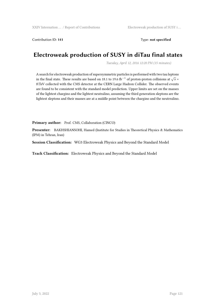Contribution ID: **141** Type: **not specified**

### **Electroweak production of SUSY in diTau final states**

*Tuesday, April 12, 2016 12:20 PM (15 minutes)*

A search for electroweak production of supersymmetric particles is performed with two tau leptons in the final state. These results are based on 18.1 to 19.6 fb*−*<sup>1</sup> of proton-proton collisions at *√ s* = 8\TeV collected with the CMS detector at the CERN Large Hadron Collider. The observed events are found to be consistent with the standard model prediction. Upper limits are set on the masses of the lightest chargino and the lightest neutralino, assuming the third generation sleptons are the lightest sleptons and their masses are at a middle point between the chargino and the neutrralino.

Primary author: Prof. CMS, Collaboration (CINCO)

**Presenter:** BAKHSHIANSOHI, Hamed (Institute for Studies in Theoretical Physics & Mathematics (IPM) in Tehran, Iran)

**Session Classification:** WG3 Electroweak Physics and Beyond the Standard Model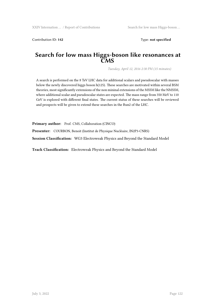Contribution ID: **142** Type: **not specified**

#### **Search for low mass Higgs-boson like resonances at CMS**

*Tuesday, April 12, 2016 2:30 PM (15 minutes)*

A search is performed on the 8 TeV LHC data for additional scalars and pseudoscalar with masses below the newly discovered higgs boson h(125). These searches are motivated within several BSM theories, most significantly extensions of the non mininal extensions of the MSSM like the NMSSM, where additional scalar and pseudoscalar states are expected. The mass range from 350 MeV to 110 GeV is explored with different final states. The current status of these searches will be reviewed and prospects will be given to extend these searches in the Run2 of the LHC.

Primary author: Prof. CMS, Collaboration (CINCO)

**Presenter:** COURBON, Benoit (Institut de Physique Nucléaire, IN2P3-CNRS)

**Session Classification:** WG3 Electroweak Physics and Beyond the Standard Model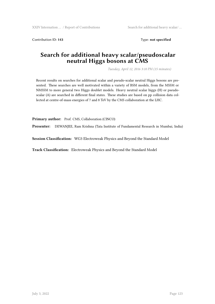Contribution ID: 143 Type: **not specified** 

### **Search for additional heavy scalar/pseudoscalar neutral Higgs bosons at CMS**

*Tuesday, April 12, 2016 3:10 PM (15 minutes)*

Recent results on searches for additional scalar and pseudo-scalar neutral Higgs bosons are presented. These searches are well motivated within a variety of BSM models, from the MSSM or NMSSM to more general two Higgs doublet models. Heavy neutral scalar higgs (H) or pseudoscalar (A) are searched in different final states. These studies are based on pp collision data collected at centre-of-mass energies of 7 and 8 TeV by the CMS collaboration at the LHC.

Primary author: Prof. CMS, Collaboration (CINCO)

**Presenter:** DEWANJEE, Ram Krishna (Tata Institute of Fundamental Research in Mumbai, India)

**Session Classification:** WG3 Electroweak Physics and Beyond the Standard Model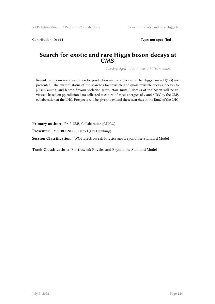Contribution ID: 144 **Type: not specified** 

#### **Search for exotic and rare Higgs boson decays at CMS**

*Tuesday, April 12, 2016 10:00 AM (15 minutes)*

Recent results on searches for exotic production and rare decays of the Higgs boson H(125) are presented. The current status of the searches for invisible and quasi invisible decays, decays to J/Psi+Gamma, and lepton flavour violation (emu, etau, mutau) decays of the boson will be reviewed, based on pp collision data collected at centre-of-mass energies of 7 and 8 TeV by the CMS collaboration at the LHC. Prospects will be given to extend these searches in the Run2 of the LHC.

Primary author: Prof. CMS, Collaboration (CINCO)

**Presenter:** Mr TROENDLE, Daniel (Uni Hamburg)

**Session Classification:** WG3 Electroweak Physics and Beyond the Standard Model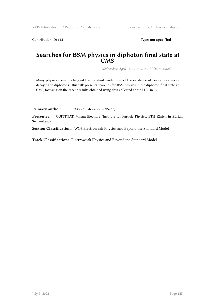Contribution ID: 145 Type: not specified

#### **Searches for BSM physics in diphoton final state at CMS**

*Wednesday, April 13, 2016 11:15 AM (15 minutes)*

Many physics scenarios beyond the standard model predict the existence of heavy resonances decaying to diphotons. This talk presents searches for BSM physics in the diphoton final state at CMS, focusing on the recent results obtained using data collected at the LHC in 2015.

Primary author: Prof. CMS, Collaboration (CINCO)

**Presenter:** QUITTNAT, Milena Eleonore (Institute for Particle Physics, ETH Zürich in Zürich, Switzerland)

**Session Classification:** WG3 Electroweak Physics and Beyond the Standard Model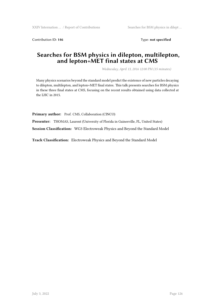Contribution ID: 146 Type: not specified

### **Searches for BSM physics in dilepton, multilepton, and lepton+MET final states at CMS**

*Wednesday, April 13, 2016 12:00 PM (15 minutes)*

Many physics scenarios beyond the standard model predict the existence of new particles decaying to dilepton, multilepton, and lepton+MET final states. This talk presents searches for BSM physics in these three final states at CMS, focusing on the recent results obtained using data collected at the LHC in 2015.

Primary author: Prof. CMS, Collaboration (CINCO)

**Presenter:** THOMAS, Laurent (University of Florida in Gainesville, FL, United States)

**Session Classification:** WG3 Electroweak Physics and Beyond the Standard Model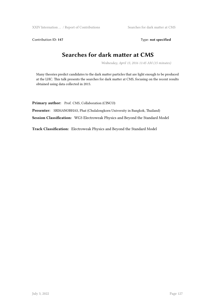XXIV Internation ... / Report of Contributions Searches for dark matter at CMS

Contribution ID: 147 Type: **not specified** 

# **Searches for dark matter at CMS**

*Wednesday, April 13, 2016 11:45 AM (15 minutes)*

Many theories predict candidates to the dark matter particles that are light enough to be produced at the LHC. This talk presents the searches for dark matter at CMS, focusing on the recent results obtained using data collected in 2015.

Primary author: Prof. CMS, Collaboration (CINCO)

**Presenter:** SRIMANOBHAS, Phat (Chulalongkorn University in Bangkok, Thailand)

**Session Classification:** WG3 Electroweak Physics and Beyond the Standard Model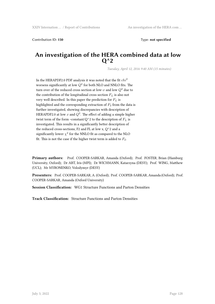Contribution ID: 150 Type: **not specified** 

### **An investigation of the HERA combined data at low Q^2**

*Tuesday, April 12, 2016 9:40 AM (15 minutes)*

In the HERAPDF2.0 PDF analysis it was noted that the fit *chi*<sup>2</sup> worsens significantly at low  $Q^2$  for both NLO and NNLO fits. The turn over of the reduced cross section at low-*x* and low *Q*<sup>2</sup> due to the contribution of the longitudinal cross section *F<sup>L</sup>* is also not very well described. In this paper the prediction for *F<sup>L</sup>* is highlighted and the corresponding extraction of  $F_2$  from the data is further investigated, showing discrepancies with description of HERAPDF2.0 at low  $x$  and  $Q^2$ . The effect of adding a simple higher twist term of the form ~constant/ $Q^2$  to the description of  $F_L$  is investigated. This results in a significantly better description of the reduced cross-sections, F2 and FL at low x,  $Q^2$  and a significantly lower  $\chi^2$  for the NNLO fit as compared to the NLO fit. This is not the case if the higher twist term is added to  $F_2$ .

**Primary authors:** Prof. COOPER-SARKAR, Amanda (Oxford); Prof. FOSTER, Brian (Hamburg University, Oxford); Dr ABT, Iris (MPI); Dr WICHMANN, Katarzyna (DESY); Prof. WING, Matthew (UCL); Mr MYRONENKO, Volodymyr (DESY)

**Presenters:** Prof. COOPER-SARKAR, A. (Oxford); Prof. COOPER-SARKAR, Amanda (Oxford); Prof. COOPER-SARKAR, Amanda (Oxford University)

**Session Classification:** WG1 Structure Functions and Parton Densities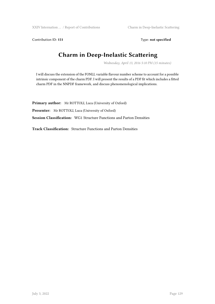Contribution ID: 151 Type: **not specified** 

## **Charm in Deep-Inelastic Scattering**

*Wednesday, April 13, 2016 5:10 PM (15 minutes)*

I will discuss the extension of the FONLL variable flavour number scheme to account for a possible intrinsic component of the charm PDF. I will present the results of a PDF fit which includes a fitted charm PDF in the NNPDF framework, and discuss phenomenological implications.

**Primary author:** Mr ROTTOLI, Luca (University of Oxford) **Presenter:** Mr ROTTOLI, Luca (University of Oxford) **Session Classification:** WG1 Structure Functions and Parton Densities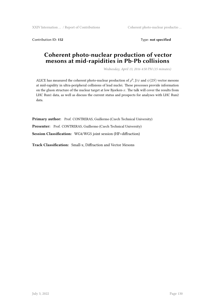Contribution ID: 152 Type: **not specified** 

### **Coherent photo-nuclear production of vector mesons at mid-rapidities in Pb-Pb collisions**

*Wednesday, April 13, 2016 4:50 PM (15 minutes)*

ALICE has measured the coherent photo-nuclear production of  $\rho^0$ , J/ $\psi$  and  $\psi(2S)$  vector mesons at mid-rapidity in ultra-peripheral collisions of lead nuclei. These processes provide information on the gluon structure of the nuclear target at low Bjorken-*x*. The talk will cover the results from LHC Run1 data, as well as discuss the current status and prospects for analyses with LHC Run2 data.

Primary author: Prof. CONTRERAS, Guillermo (Czech Technical University) Presenter: Prof. CONTRERAS, Guillermo (Czech Technical University) **Session Classification:** WG4/WG5 joint session (HF+diffraction)

**Track Classification:** Small-x, Diffraction and Vector Mesons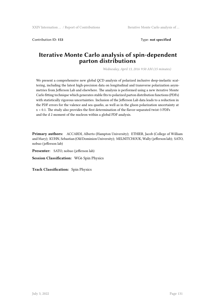Contribution ID: **153** Type: **not specified**

### **Iterative Monte Carlo analysis of spin-dependent parton distributions**

*Wednesday, April 13, 2016 9:50 AM (15 minutes)*

We present a comprehensive new global QCD analysis of polarized inclusive deep-inelastic scattering, including the latest high-precision data on longitudinal and transverse polarization asymmetries from Jefferson Lab and elsewhere. The analysis is performed using a new iterative Monte Carlo fitting technique which generates stable fits to polarized parton distribution functions (PDFs) with statistically rigorous uncertainties. Inclusion of the Jefferson Lab data leads to a reduction in the PDF errors for the valence and sea quarks, as well as in the gluon polarization uncertainty at x > 0.1. The study also provides the first determination of the flavor-separated twist-3 PDFs and the d 2 moment of the nucleon within a global PDF analysis.

**Primary authors:** ACCARDI, Alberto (Hampton University); ETHIER, Jacob (College of William and Mary); KUHN, Sebastian (Old Dominion University); MELNITCHOUK, Wally (jefferson lab); SATO, nobuo (jefferson lab)

**Presenter:** SATO, nobuo (jefferson lab)

**Session Classification:** WG6 Spin Physics

**Track Classification:** Spin Physics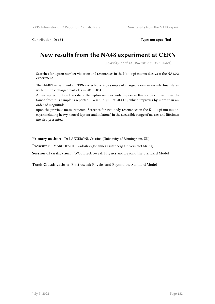Contribution ID: **154** Type: **not specified**

### **New results from the NA48 experiment at CERN**

*Thursday, April 14, 2016 9:00 AM (15 minutes)*

Searches for lepton number violation and resonances in the K+- –>pi mu mu decays at the NA48/2 experiment

The NA48/2 experiment at CERN collected a large sample of charged kaon decays into final states with multiple charged particles in 2003-2004.

A new upper limit on the rate of the lepton number violating decay  $K_{+}$  –> pi-+ mu+- mu+- obtained from this sample is reported:  $8.6 \times 10^{\circ}$  -{11} at 90% CL, which improves by more than an order of magnitude

upon the previous measurements. Searches for two-body resonances in the K+- –>pi mu mu decays (including heavy neutral leptons and inflatons) in the accessible range of masses and lifetimes are also presented.

**Primary author:** Dr LAZZERONI, Cristina (University of Birmingham, UK)

**Presenter:** MARCHEVSKI, Radoslav (Johannes-Gutenberg-Universitaet Mainz)

**Session Classification:** WG3 Electroweak Physics and Beyond the Standard Model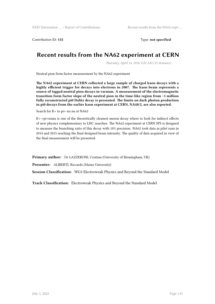Contribution ID: **155** Type: **not specified**

## **Recent results from the NA62 experiment at CERN**

*Thursday, April 14, 2016 9:20 AM (15 minutes)*

Neutral pion form factor measurement by the NA62 experiment

**The NA62 experiment at CERN collected a large sample of charged kaon decays with a highly efficient trigger for decays into electrons in 2007. The kaon beam represents a source of tagged neutral pion decays in vacuum. A measurement of the electromagnetic transition form factor slope of the neutral pion in the time-like region from ~1 million fully reconstructed pi0 Dalitz decay is presented. The limits on dark photon production in pi0 decays from the earlier kaon experiment at CERN, NA48/2, are also reported.**

Search for K+ to pi+ nu nu at NA62

K+->pi+nunu is one of the theoretically cleanest meson decay where to look for indirect effects of new physics complementary to LHC searches. The NA62 experiment at CERN SPS is designed to measure the branching ratio of this decay with 10% precision. NA62 took data in pilot runs in 2014 and 2015 reaching the final designed beam intensity. The quality of data acquired in view of the final measurement will be presented.

**Primary author:** Dr LAZZERONI, Cristina (University of Birmingham, UK)

**Presenter:** ALIBERTI, Riccardo (Mainz University)

**Session Classification:** WG3 Electroweak Physics and Beyond the Standard Model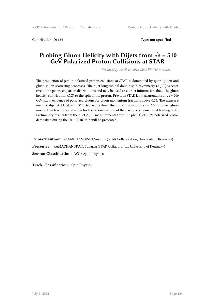Contribution ID: 156 Type: **not specified** 

#### **Probing Gluon Helicity with Dijets from √s = 510 GeV Polarized Proton Collisions at STAR**

*Wednesday, April 13, 2016 12:00 PM (15 minutes)*

The production of jets in polarized proton collisions at STAR is dominated by quark-gluon and gluon-gluon scattering processes. The dijet longitudinal double-spin asymmetry (A\_LL) is sensitive to the polarized parton distributions and may be used to extract information about the gluon helicity contribution ( $\Delta G$ ) to the spin of the proton. Previous STAR jet measurements at  $\sqrt{s} = 200$ GeV show evidence of polarized gluons for gluon momentum fractions above 0.05. The measurement of dijet A\_LL at  $\sqrt{s}$  = 510 GeV will extend the current constraints on  $\Delta G$  to lower gluon momentum fractions and allow for the reconstruction of the partonic kinematics at leading order. Preliminary results from the dijet A\_LL measurements from ~80 pb^(-1) of ~53% polarized proton data taken during the 2012 RHIC run will be presented.

**Primary author:** RAMACHANDRAN, Suvarna (STAR Collaboration, University of Kentucky)

**Presenter:** RAMACHANDRAN, Suvarna (STAR Collaboration, University of Kentucky)

**Session Classification:** WG6 Spin Physics

**Track Classification:** Spin Physics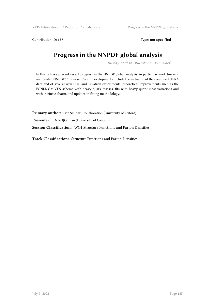Contribution ID: 157 Type: **not specified** 

# **Progress in the NNPDF global analysis**

*Tuesday, April 12, 2016 9:20 AM (15 minutes)*

In this talk we present recent progress in the NNPDF global analysis, in particular work towards an updated NNPDF3.1 release. Recent developments include the inclusion of the combined HERA data and of several new LHC and Tevatron experiments, theoretical improvements such as the FONLL GM-VFN scheme with heavy quark masses, fits with heavy quark mass variations and with intrinsic charm, and updates in fitting methodology.

**Primary author:** Mr NNPDF, Collaboration (University of Oxford)

**Presenter:** Dr ROJO, Juan (University of Oxford)

**Session Classification:** WG1 Structure Functions and Parton Densities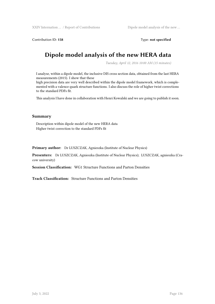Contribution ID: **158** Type: **not specified**

## **Dipole model analysis of the new HERA data**

*Tuesday, April 12, 2016 10:00 AM (15 minutes)*

I analyse, within a dipole model, the inclusive DIS cross section data, obtained from the last HERA measurements (2015). I show that these

high precision data are very well described within the dipole model framework, which is complemented with a valence quark structure functions. I also discuss the role of higher twist corrections to the standard PDFs fit.

This analysis I have done in collaboration with Henri Kowalski and we are going to publish it soon.

#### **Summary**

Description within dipole model of the new HERA data Higher twist correction to the standard PDFs fit

**Primary author:** Dr LUSZCZAK, Agnieszka (Institute of Nuclear Physics)

**Presenters:** Dr LUSZCZAK, Agnieszka (Institute of Nuclear Physics); LUSZCZAK, agnieszka (Cracow university)

**Session Classification:** WG1 Structure Functions and Parton Densities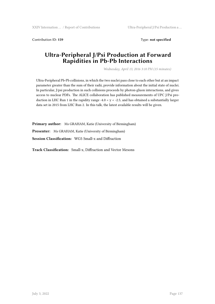Contribution ID: 159 Type: not specified

### **Ultra-Peripheral J/Psi Production at Forward Rapidities in Pb-Pb Interactions**

*Wednesday, April 13, 2016 3:10 PM (15 minutes)*

Ultra-Peripheral Pb-Pb collisions, in which the two nuclei pass close to each other but at an impact parameter greater than the sum of their radii, provide information about the initial state of nuclei. In particular, J/psi production in such collisions proceeds by photon-gluon interactions, and gives access to nuclear PDFs. The ALICE collaboration has published measurements of UPC J/Psi production in LHC Run 1 in the rapidity range -4.0 < y < -2.5, and has obtained a substantially larger data set in 2015 from LHC Run 2. In this talk, the latest available results will be given.

**Primary author:** Ms GRAHAM, Katie (University of Birmingham) **Presenter:** Ms GRAHAM, Katie (University of Birmingham) **Session Classification:** WG5 Small-x and Diffraction

**Track Classification:** Small-x, Diffraction and Vector Mesons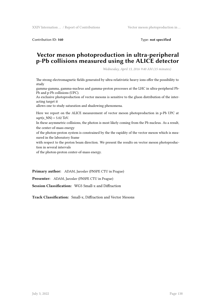Contribution ID: 160 **Type:** not specified

### **Vector meson photoproduction in ultra-peripheral p-Pb collisions measured using the ALICE detector**

*Wednesday, April 13, 2016 9:40 AM (15 minutes)*

The strong electromagnetic fields generated by ultra-relativistic heavy ions offer the possibility to study

gamma-gamma, gamma-nucleus and gamma-proton processes at the LHC in ultra-peripheral Pb-Pb and p-Pb collisions (UPC).

As exclusive photoproduction of vector mesons is sensitive to the gluon distribution of the interacting target it

allows one to study saturation and shadowing phenomena.

Here we report on the ALICE measurement of vector meson photoproduction in p-Pb UPC at  $sqrt(s_NN) = 5.02$  TeV.

In these asymmetric collisions, the photon is most likely coming from the Pb nucleus. As a result, the center-of-mass energy

of the photon-proton system is constrained by the the rapidity of the vector meson which is measured in the laboratory frame

with respect to the proton beam direction. We present the results on vector meson photoproduction in several intervals

of the photon-proton center-of-mass energy.

**Primary author:** ADAM, Jaroslav (FNSPE CTU in Prague)

**Presenter:** ADAM, Jaroslav (FNSPE CTU in Prague)

**Session Classification:** WG5 Small-x and Diffraction

**Track Classification:** Small-x, Diffraction and Vector Mesons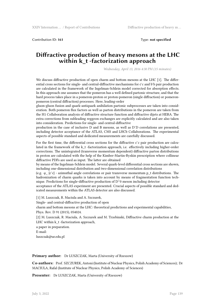Contribution ID: **161** Type: **not specified**

### **Diffractive production of heavy mesons at the LHC within k\_t -factorization approach**

*Wednesday, April 13, 2016 4:30 PM (15 minutes)*

We discuss diffractive production of open charm and bottom mesons at the LHC [1]. The differential cross sections for single- and central-diffractive mechanisms for  $\bar{c}$  c and  $\bar{b}$  b pair production are calculated in the framework of the Ingelman-Schlein model corrected for absorption effects. In this approach one assumes that the pomeron has a well defined partonic structure, and that the hard process takes place in a pomeron-proton or proton-pomeron (single diffraction) or pomeronpomeron (central diffraction) processes. Here, leading-order

gluon-gluon fusion and quark-antiquark anihilation partonic subprocesses are taken into consideration. Both pomeron flux factors as well as parton distributions in the pomeron are taken from the H1 Collaboration analysis of diffractive structure function and diffractive dijets at HERA. The extra corrections from subleading reggeon exchanges are explicitly calculated and are also taken into consideration. Predictions for single- and central-diffractive

production in the case of inclusive D and B mesons, as well as D<sup>-</sup>D correlations are presented, including detector acceptance of the ATLAS, CMS and LHCb Collaborations. The experimental aspects of possible standard and dedicated measurements are carefully discussed.

For the first time, the differential cross sections for the diffractive  $\bar{c}c$  pair production are calculated in the framework of the k\_t -factorization approach, i.e. effectively including higher-order corrections. The unintegrated (transverse momentum dependent) diffractive parton distributions in proton are calculated with the help of the Kimber-Martin-Ryskin prescription where collinear diffractive PDFs are used as input. The latter are obtained

by means of the Ingelman-Schlein model. Several quark-level differential cross sections are shown, including one-dimensional distribution and two-dimensional correlation distributions

(e.g.  $\varphi_{\text{I}}$  {c<sup>-</sup>c} - azimuthal angle correlations or pair transverse momentum p\_t distributions. The hadronization of charm quarks is taken into account by means of fragmentation function technique. Predictions for single-diffractive production of D^0 meson including detector

acceptance of the ATLAS experiment are presented. Crucial aspects of possible standard and dedicated measurements within the ATLAS detector are also discussed.

[1] M. Luszczak, R. Maciula and A. Szczurek,

Single- and central-diffractive production of open

charm and bottom mesons at the LHC: theoretical predictions and experimental capabilities, Phys. Rev. D 91 (2015), 054024.

[2] M. Luszczak, R. Maciula, A. Szczurek and M. Trzebinski, Diffractive charm production at the LHC within k\_t -factorization approach,

a paper in preparation. E-mail:

luszczak@ur.edu.pl

**Primary author:** Dr LUSZCZAK, Marta (University of Rzeszow)

**Co-authors:** Prof. SZCZUREK, Antoni (Institute of Nuclear Physics, Polish Academy of Sciences); Dr MACIULA, Rafal (Institute of Nuclear Physics, Polish Academy of Sciences)

**Presenter:** Dr LUSZCZAK, Marta (University of Rzeszow)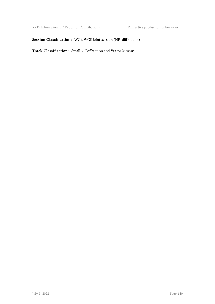XXIV Internation … / Report of Contributions Diffractive production of heavy m …

#### **Session Classification:** WG4/WG5 joint session (HF+diffraction)

**Track Classification:** Small-x, Diffraction and Vector Mesons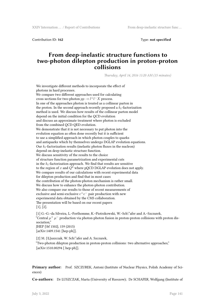Contribution ID: **162** Type: **not specified**

#### **From deep-inelastic structure functions to two-photon dilepton production in proton-proton collisions**

*Thursday, April 14, 2016 11:20 AM (15 minutes)*

We investigate different methods to incorporate the effect of photons in hard processes. We compare two different approaches used for calculating cross sections for two-photon  $pp \to l^+l^-X$  process. In one of the approaches photon is treated as a collinear parton in the proton. In the second approach recently proposed a *kt*-factorization method is used. We discuss how results of the collinear parton model depend on the initial condition for the QCD evolution and discuss an approximate treatment where photon is excluded from the combined QCD-QED evolution. We demonstrate that it is not necessary to put photon into the evolution equation as often done recently but it is sufficient to use a simplified approach in which photon couples to quarks and antiquarks which by themselves undergo DGLAP evolution equations. Our  $k_t$ -factorization results (inelastic photon fluxes in the nucleon) depend on deep-inelastic structure function. We discuss sensitivity of the results to the choice of structure function parametrization and experimental cuts in the  $k_t$ -factorization approach. We find that results are sensitive to the region of  $x$  and  $Q^2$  where pQCD DGLAP evolution does not apply. We compare results of our calculations with recent experimental data for dilepton production and find that in most cases the contribution of the photon-photon mechanism is rather small. We discuss how to enhance the photon-photon contribution. We also compare our results to those of recent measurements of exclusive and semi-exclusive  $e^+e^-$  pair production with new experimental data obtained by the CMS collaboration. The presentation will be based on our recent papers [1], [2]. [1] G.~G.~da Silveira, L.~Forthomme, K.~Piotrzkowski, W.~Sch\"afer and A.~Szczurek, "Central  $\mu^+ \mu^-$  production via photon-photon fusion in proton-proton collisions with proton dissociation," JHEP {\bf 1502}, 159 (2015) [arXiv:1409.1541 [hep-ph]].

[2] M. {\L}uszczak, W. Sch\"afer and A. Szczurek, "Two-photon dilepton production in proton-proton collisions: two alternative approaches," [arXiv:1510.00294 [ hep-ph]].

**Primary author:** Prof. SZCZUREK, Antoni (Institute of Nuclear Physics, Polish Academy of Sciences)

**Co-authors:** Dr LUSZCZAK, Marta (University of Rzeszow); Dr SCHAFER, Wolfgang (Institute of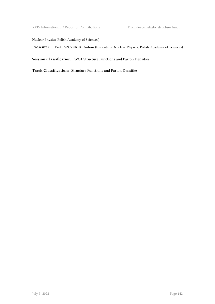XXIV Internation … / Report of Contributions From deep-inelastic structure func …

Nuclear Physics, Polish Academy of Sciences)

Presenter: Prof. SZCZUREK, Antoni (Institute of Nuclear Physics, Polish Academy of Sciences)

**Session Classification:** WG1 Structure Functions and Parton Densities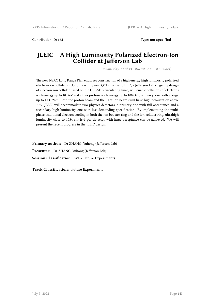Contribution ID: **163** Type: **not specified**

### **JLEIC – A High Luminosity Polarized Electron-Ion Collider at Jefferson Lab**

*Wednesday, April 13, 2016 9:23 AM (20 minutes)*

The new NSAC Long Range Plan endorses construction of a high energy high luminosity polarized electron-ion collider in US for reaching new QCD frontier. JLEIC, a Jefferson Lab ring-ring design of electron-ion collider based on the CEBAF recirculating linac, will enable collisions of electrons with energy up to 10 GeV and either protons with energy up to 100 GeV, or heavy ions with energy up to 40 GeV/u. Both the proton beam and the light-ion beams will have high polarization above 70%. JLEIC will accommodate two physics detectors, a primary one with full acceptance and a secondary high-luminosity one with less demanding specification. By implementing the multiphase traditional electron cooling in both the ion booster ring and the ion collider ring, ultrahigh luminosity close to 1034 cm-2s-1 per detector with large acceptance can be achieved. We will present the recent progress in the JLEIC design.

**Primary author:** Dr ZHANG, Yuhong (Jefferson Lab) **Presenter:** Dr ZHANG, Yuhong (Jefferson Lab) **Session Classification:** WG7 Future Experiments

**Track Classification:** Future Experiments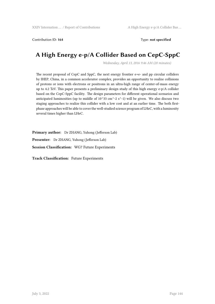### Contribution ID: **164** Type: **not specified**

# **A High Energy e-p/A Collider Based on CepC-SppC**

*Wednesday, April 13, 2016 9:46 AM (20 minutes)*

The recent proposal of CepC and SppC, the next energy frontier e+e- and pp circular colliders by IHEP, China, in a common accelerator complex, provides an opportunity to realize collisions of protons or ions with electrons or positrons in an ultra-high range of center-of-mass energy up to 4.2 TeV. This paper presents a preliminary design study of this high energy e-p/A collider based on the CepC-SppC facility. The design parameters for different operational scenarios and anticipated luminosities (up to middle of  $10^{\text{A}}33 \text{ cm}^2$ -2 s<sup> $\text{A}-1$ </sup>) will be given. We also discuss two staging approaches to realize this collider with a low cost and at an earlier time. The both firstphase approaches will be able to cover the well-studied science program of LHeC, with a luminosity several times higher than LHeC.

**Primary author:** Dr ZHANG, Yuhong (Jefferson Lab) **Presenter:** Dr ZHANG, Yuhong (Jefferson Lab) **Session Classification:** WG7 Future Experiments

**Track Classification:** Future Experiments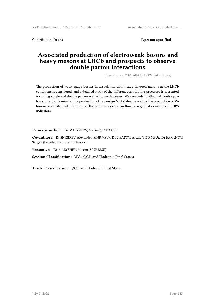Contribution ID: **165** Type: **not specified**

# **Associated production of electroweak bosons and heavy mesons at LHCb and prospects to observe double parton interactions**

*Thursday, April 14, 2016 12:12 PM (20 minutes)*

The production of weak gauge bosons in association with heavy flavored mesons at the LHCb conditions is considered, and a detailed study of the different contributing processes is presented including single and double parton scattering mechanisms. We conclude finally, that double parton scattering dominates the production of same-sign WD states, as well as the production of Wbosons associated with B-mesons. The latter processes can thus be regarded as new useful DPS indicators.

**Primary author:** Dr MALYSHEV, Maxim (SINP MSU)

**Co-authors:** Dr SNIGIREV, Alexander (SINP MSU); Dr LIPATOV, Artem (SINP MSU); Dr BARANOV, Sergey (Lebedev Institute of Physics)

**Presenter:** Dr MALYSHEV, Maxim (SINP MSU)

**Session Classification:** WG2 QCD and Hadronic Final States

**Track Classification:** QCD and Hadronic Final States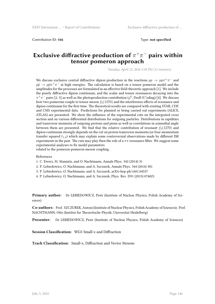Contribution ID: **166** Type: **not specified**

# **Exclusive diffractive production of** *π* +*π <sup>−</sup>* **pairs within tensor pomeron approach**

*Tuesday, April 12, 2016 5:30 PM (15 minutes)*

We discuss exclusive central diffractive dipion production in the reactions  $pp \rightarrow pp\pi^{+}\pi^{-}$  and  $p\bar{p} \rightarrow p\bar{p}\pi^{+}\pi^{-}$  at high energies. The calculation is based on a tensor pomeron model and the amplitudes for the processes are formulated in an effective field-theoretic approach [1]. We include the purely diffractive dipion continuum, and the scalar and tensor resonances decaying into the  $\pi^+\pi^-$  pairs [2, 3] as well as the photoproduction contribution ( $\rho^0$ , Drell-S\"oding) [4]. We discuss how two pomerons couple to tensor meson  $f_2(1270)$  and the interference effects of resonance and dipion continuum for the first time. The theoretical results are compared with existing STAR, CDF, and CMS experimental data. Predictions for planned or being carried out experiments (ALICE, ATLAS) are presented. We show the influence of the experimental cuts on the integrated cross section and on various differential distributions for outgoing particles. Distributions in rapidities and transverse momenta of outgoing protons and pions as well as correlations in azimuthal angle between them are presented. We find that the relative contribution of resonant  $f_2(1270)$  and dipion continuum strongly depends on the cut on proton transverse momenta (or four-momentum transfer squared  $t_{1,2}$ ) which may explain some controversial observations made by different ISR experiments in the past. The cuts may play then the role of a  $\pi\pi$  resonance filter. We suggest some experimental analyses to fix model parameters

related to the pomeron-pomeron-meson coupling.

### References

- 1. C. Ewerz, M. Maniatis, and O. Nachtmann, Annals Phys. 342 (2014) 31
- 2. P. Lebiedowicz, O. Nachtmann, and A. Szczurek, Annals Phys. 344 (2014) 301
- 3. P. Lebiedowicz, O. Nachtmann, and A. Szczurek, arXiv:hep-ph/1601.04537
- 4. P. Lebiedowicz, O. Nachtmann, and A. Szczurek, Phys. Rev. D91 (2015) 074023

**Primary author:** Dr LEBIEDOWICZ, Piotr (Institute of Nuclear Physics, Polish Academy of Sciences)

**Co-authors:** Prof. SZCZUREK, Antoni (Institute of Nuclear Physics, Polish Academy of Sciences); Prof. NACHTMANN, Otto (Institut fur Theoretische Physik, Universitat Heidelberg)

**Presenter:** Dr LEBIEDOWICZ, Piotr (Institute of Nuclear Physics, Polish Academy of Sciences)

**Session Classification:** WG5 Small-x and Diffraction

**Track Classification:** Small-x, Diffraction and Vector Mesons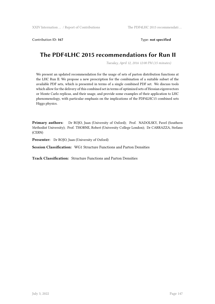Contribution ID: 167 Type: **not specified** 

# **The PDF4LHC 2015 recommendations for Run II**

*Tuesday, April 12, 2016 12:00 PM (15 minutes)*

We present an updated recommendation for the usage of sets of parton distribution functions at the LHC Run II. We propose a new prescription for the combination of a suitable subset of the available PDF sets, which is presented in terms of a single combined PDF set. We discuss tools which allow for the delivery of this combined set in terms of optimized sets of Hessian eigenvectors or Monte Carlo replicas, and their usage, and provide some examples of their application to LHC phenomenology, with particular emphasis on the implications of the PDF4LHC15 combined sets Higgs physics.

**Primary authors:** Dr ROJO, Juan (University of Oxford); Prof. NADOLSKY, Pavel (Southern Methodist University); Prof. THORNE, Robert (University College London); Dr CARRAZZA, Stefano (CERN)

**Presenter:** Dr ROJO, Juan (University of Oxford)

**Session Classification:** WG1 Structure Functions and Parton Densities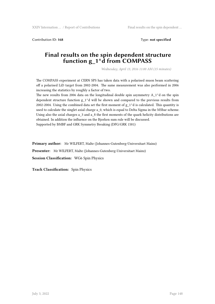Contribution ID: **168** Type: **not specified**

# **Final results on the spin dependent structure function g\_1^d from COMPASS**

*Wednesday, April 13, 2016 11:00 AM (15 minutes)*

The COMPASS experiment at CERN SPS has taken data with a polarised muon beam scattering off a polarised LiD target from 2002-2004. The same measurement was also performed in 2006 increasing the statistics by roughly a factor of two.

The new results from 2006 data on the longitudinal double spin asymmetry  $A_1^A$  on the spin dependent structure function  $g_1$ <sup> $\wedge$ </sup>d will be shown and compared to the previous results from 2002-2004. Using the combined data set the first moment of  $g_1^A$  is calculated. This quantity is used to calculate the singlet axial charge a 0, which is equal to Delta Sigma in the MSbar scheme. Using also the axial charges a 3 and a 8 the first moments of the quark helicity distributions are obtained. In addition the influence on the Bjorken sum rule will be discussed. Supported by BMBF and GRK Symmetry Breaking (DFG/GRK 1581)

**Primary author:** Mr WILFERT, Malte (Johannes-Gutenberg-Universitaet Mainz)

**Presenter:** Mr WILFERT, Malte (Johannes-Gutenberg-Universitaet Mainz)

**Session Classification:** WG6 Spin Physics

**Track Classification:** Spin Physics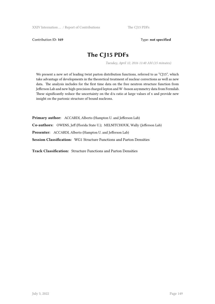### Contribution ID: 169 Type: not specified

# **The CJ15 PDFs**

*Tuesday, April 12, 2016 11:40 AM (15 minutes)*

We present a new set of leading twist parton distribution functions, referred to as "CJ15", which take advantage of developments in the theoretical treatment of nuclear corrections as well as new data. The analysis includes for the first time data on the free neutron structure function from Jefferson Lab and new high-precision charged lepton and W -boson asymmetry data from Fermilab. These significantly reduce the uncertainty on the  $d/u$  ratio at large values of x and provide new insight on the partonic structure of bound nucleons.

**Primary author:** ACCARDI, Alberto (Hampton U. and Jefferson Lab) **Co-authors:** OWENS, Jeff (Florida State U.); MELNITCHOUK, Wally (Jefferson Lab) **Presenter:** ACCARDI, Alberto (Hampton U. and Jefferson Lab) **Session Classification:** WG1 Structure Functions and Parton Densities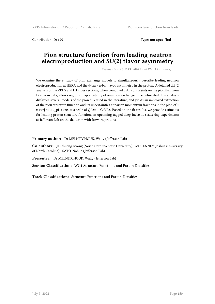Contribution ID: **170** Type: **not specified**

# **Pion structure function from leading neutron electroproduction and SU(2) flavor asymmetry**

*Wednesday, April 13, 2016 12:40 PM (15 minutes)*

We examine the efficacy of pion exchange models to simultaneously describe leading neutron electroproduction at HERA and the d-bar - u-bar flavor asymmetry in the proton. A detailed chi^2 analysis of the ZEUS and H1 cross sections, when combined with constraints on the pion flux from Drell-Yan data, allows regions of applicability of one-pion exchange to be delineated. The analysis disfavors several models of the pion flux used in the literature, and yields an improved extraction of the pion structure function and its uncertainties at parton momentum fractions in the pion of 4 x  $10^{4}-4$  < x\_pi < 0.05 at a scale of  $Q^2=10$  GeV $^2$ . Based on the fit results, we provide estimates for leading proton structure functions in upcoming tagged deep-inelastic scattering experiments at Jefferson Lab on the deuteron with forward protons.

**Primary author:** Dr MELNITCHOUK, Wally (Jefferson Lab)

**Co-authors:** JI, Chueng-Ryong (North Carolina State University); MCKENNEY, Joshua (University of North Carolina); SATO, Nobuo (Jefferson Lab)

**Presenter:** Dr MELNITCHOUK, Wally (Jefferson Lab)

**Session Classification:** WG1 Structure Functions and Parton Densities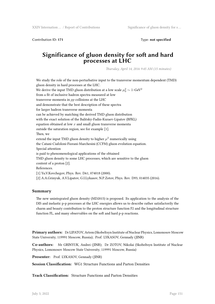Contribution ID: **171** Type: **not specified**

# **Significance of gluon density for soft and hard processes at LHC**

*Thursday, April 14, 2016 9:45 AM (15 minutes)*

We study the role of the non-perturbative input to the transverse momentum dependent (TMD) gluon density in hard processes at the LHC. We derive the input TMD gluon distribution at a low scale  $\mu_0^2 \sim 1$ ~GeV<sup>2</sup> from a fit of inclusive hadron spectra measured at low transverse momenta in *pp* collisions at the LHC and demonstrate that the best description of these spectra for larger hadron transverse momenta can be achieved by matching the derived TMD gluon distribution with the exact solution of the Balitsky-Fadin-Kuraev-Lipatov (BFKL) equation obtained at low *x* and small gluon transverse momenta outside the saturation region, see for example [1]. Then, we extend the input TMD gluon density to higher  $\mu^2$  numerically using the Catani-Ciafoloni-Fiorani-Marchesini (CCFM) gluon evolution equation. Special attention is paid to phenomenological applications of the obtained TMD gluon density to some LHC processes, which are sensitive to the gluon content of a proton [2]. References. [1] Yu.V.Kovchegov, Phys. Rev. D61, 074018 (2000). [2] A.A.Grinyuk, A.V.Lipatov, G.I.Lykasov, N.P.Zotov, Phys. Rev. D93, 014035 (2016).

### **Summary**

The new unintegrated gluon density (MD2015) is proposed. Its application to the analysis of the DIS and inelastic p-p processes at the LHC energies allows us to describe rather satisfactorily the charm and beauty contribution to the proton structure function F2 and the longitudinal structure function FL, and many observables on the soft and hard p-p reactions.

**Primary authors:** Dr LIPATOV, Artem (Skobeltsyn Institute of Nuclear Physics, Lomonosov Moscow State University, 119991 Moscow, Russia); Prof. LYKASOV, Gennady (JINR)

**Co-authors:** Mr GRINYUK, Andrei (JINR); Dr ZOTOV, Nikolai (Skobeltsyn Institute of Nuclear Physics, Lomonosov Moscow State University, 119991 Moscow, Russia)

**Presenter:** Prof. LYKASOV, Gennady (JINR)

**Session Classification:** WG1 Structure Functions and Parton Densities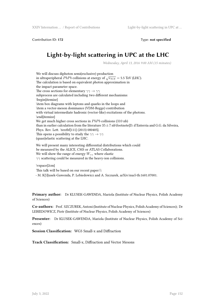Contribution ID: **172** Type: **not specified**

# **Light-by-light scattering in UPC at the LHC**

*Wednesday, April 13, 2016 9:00 AM (15 minutes)*

We will discuss diphoton semi(exclusive) production in ultraperipheral *PbPb* collisions at energy of  $\sqrt{s_{NN}} = 5.5$  TeV (LHC). The calculation is based on equivalent photon approximation in the impact parameter space. The cross sections for elementary *γγ → γγ* subprocess are calculated including two different mechanisms: \begin{itemize} \item box diagrams with leptons and quarks in the loops and \item a vector-meson dominance (VDM-Regge) contribution with virtual intermediate hadronic (vector-like) excitations of the photons. \end{itemize} We get much higher cross sections in *PbPb* collisions (310 nb) than in earlier calculation from the literature 35*±*7 nb\footnote{D. d'Enterria and G.G. da Silveira, Phys. Rev. Lett. \textbf{111} (2013) 080405}. This opens a possibility to study the  $\gamma\gamma \rightarrow \gamma\gamma$ (quasi)elastic scattering at the LHC.

We will present many interesting differential distributions which could be measured by the ALICE, CMS or ATLAS Collaborations. We will show the range of energy  $W_{\gamma\gamma}$  where elastic *γγ* scattering could be measured in the heavy-ion collisions.

\vspace{2cm} This talk will be based on our recent paper:\\ - M. K{\l}usek-Gawenda, P. Lebiedowicz and A. Szczurek, arXiv/nucl-th:1601.07001.

**Primary author:** Dr KLUSEK-GAWENDA, Mariola (Institute of Nuclear Physics, Polish Academy of Sciences)

**Co-authors:** Prof. SZCZUREK, Antoni (Institute of Nuclear Physics, Polish Academy of Sciences); Dr LEBIEDOWICZ, Piotr (Institute of Nuclear Physics, Polish Academy of Sciences)

**Presenter:** Dr KLUSEK-GAWENDA, Mariola (Institute of Nuclear Physics, Polish Academy of Sciences)

**Session Classification:** WG5 Small-x and Diffraction

**Track Classification:** Small-x, Diffraction and Vector Mesons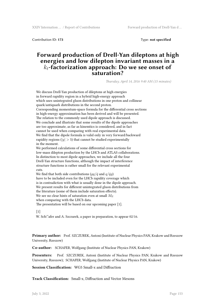Contribution ID: **173** Type: **not specified**

# **Forward production of Drell-Yan dileptons at high energies and low dilepton invariant masses in a** *kt***-factorization approach: Do we see onset of saturation?**

*Thursday, April 14, 2016 9:40 AM (15 minutes)*

We discuss Drell-Yan production of dileptons at high energies in forward rapidity region in a hybrid high-energy approach which uses unintegrated gluon distributions in one proton and collinear quark/antiquark distributions in the second proton. Corresponding momentum-space formula for the differential cross sections in high-energy approximation has been derived and will be presented. The relation to the commonly used dipole approach is discussed. We conclude and illustrate that some results of the dipole approaches are too approximate, as far as kinemtics is considered, and in fact cannot be used when comparing with real experimental data. We find that the dipole formula is valid only in very forward/backward rapidity regions ( $|y| > 5$ ) that cannot be studied experimentally in the moment. We performed calculations of some differential cross sections for low-mass dilepton production by the LHCb and ATLAS collaborations. In distinction to most dipole approaches, we include all the four Drell-Yan structure functions, although the impact of interference structure functions is rather small for the relevant experimental cuts. We find that both side contributions ( $qq/\bar{q}$  and  $q/\bar{q}q$ ) have to be included even for the LHCb rapidity coverage which is in contradiction with what is usually done in the dipole approach. We present results for different unintegrated gluon distributions from

the literature (some of them include saturation effects).

We see no clear hints of saturation even at small *Mll*

when comparing with the LHCb data.

The presentation will be based on our upcoming paper [1].

### $\lceil 1 \rceil$

W. Sch\"afer and A. Szczurek, a paper in preparation, to appear 02/16.

**Primary author:** Prof. SZCZUREK, Antoni (Institute of Nuclear Physics PAN, Krakow and Rzeszow University, Rzeszow)

**Co-author:** SCHAFER, Wolfgang (Institute of Nuclear Physics PAN, Krakow)

**Presenters:** Prof. SZCZUREK, Antoni (Institute of Nuclear Physics PAN, Krakow and Rzeszow University, Rzeszow); SCHAFER, Wolfgang (Institute of Nuclear Physics PAN, Krakow)

**Session Classification:** WG5 Small-x and Diffraction

**Track Classification:** Small-x, Diffraction and Vector Mesons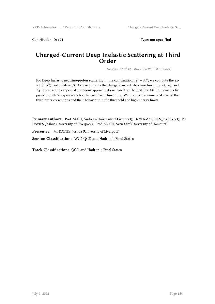Contribution ID: **174** Type: **not specified**

# **Charged-Current Deep Inelastic Scattering at Third Order**

*Tuesday, April 12, 2016 12:36 PM (20 minutes)*

For Deep Inelastic neutrino-proton scattering in the combination  $vP - \bar{v}P$ , we compute the exact  $\mathcal{O}(\alpha_s^3)$  perturbative QCD corrections to the charged-current structure functions  $F_2$ ,  $F_L$  and *F*3. These results supersede previous approximations based on the first few Mellin moments by providing all-*N* expressions for the coefficient functions. We discuss the numerical size of the third-order corrections and their behaviour in the threshold and high-energy limits.

**Primary authors:** Prof. VOGT, Andreas (University of Liverpool); Dr VERMASEREN, Jos (nikhef); Mr DAVIES, Joshua (University of Liverpool); Prof. MOCH, Sven-Olaf (University of Hamburg)

**Presenter:** Mr DAVIES, Joshua (University of Liverpool)

**Session Classification:** WG2 QCD and Hadronic Final States

**Track Classification:** QCD and Hadronic Final States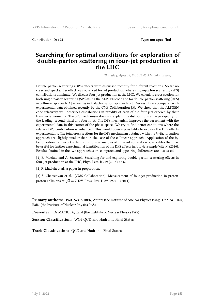Contribution ID: **175** Type: **not specified**

# **Searching for optimal conditions for exploration of double-parton scattering in four-jet production at the LHC**

*Thursday, April 14, 2016 11:48 AM (20 minutes)*

Double-parton scattering (DPS) effects were discussed recently for different reactions. So far no clear and spectacular effect was observed for jet production where single-parton scattering (SPS) contributions dominate. We discuss four-jet production at the LHC. We calculate cross section for both single-parton scattering (SPS) using the ALPGEN code and for double-parton scattering (DPS) in collinear approach [1] as well as in *kt*-factorization approach [2]. Our results are compared with experimental data obtained recently by the CMS Collaboration [3]. We show that the ALPGEN code relatively well describes distributions in rapidity of each of the four jets ordered by their transverse momenta. The SPS mechanism does not explain the distributions at large rapidity for the leading, second, third and fourth jet. The DPS mechanism improves the agreement with the experimental data in this corner of the phase space. We try to find better conditions where the relative DPS contribution is enhanced. This would open a possibility to explore the DPS effects experimentally. The total cross sections for the DPS mechanism obtained witin the *kt*-factorization approach are slightly smaller than in the case of the collinear approach. Application of the *kt*factorization framework extends our former analysis of different correlation observables that may be useful for further experimental identification of the DPS effects in four-jet sample \cite{MS2016}. Results obtained in the two approaches are compared and appearing differences are discussed.

[1] R. Maciula and A. Szczurek, Searching for and exploring double-parton scattering effects in four-jet production at the LHC, Phys. Lett. B 749 (2015) 57-62.

[2] R. Maciula et al., a paper in preparation.

[3] S. Chatrchyan et al. [CMS Collaboration], Measurement of four-jet production in protonproton collisions at *√ s* = 7 TeV, Phys. Rev. D 89, 092010 (2014).

**Primary authors:** Prof. SZCZUREK, Antoni (the Institute of Nuclear Physics PAS); Dr MACIULA, Rafal (the Institute of Nuclear Physics PAS)

**Presenter:** Dr MACIULA, Rafal (the Institute of Nuclear Physics PAS)

**Session Classification:** WG2 QCD and Hadronic Final States

**Track Classification:** QCD and Hadronic Final States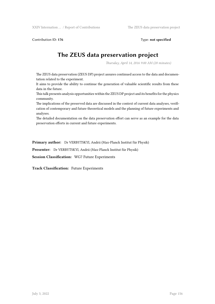Contribution ID: **176** Type: **not specified**

# **The ZEUS data preservation project**

*Thursday, April 14, 2016 9:00 AM (20 minutes)*

The ZEUS data preservation (ZEUS DP) project assures continued access to the data and documentation related to the experiment.

It aims to provide the ability to continue the generation of valuable scientific results from these data in the future.

This talk presents analysis opportunities within the ZEUS DP project and its benefits for the physics community.

The implications of the preserved data are discussed in the context of current data analyses, verification of contemporary and future theoretical models and the planning of future experiments and analyses.

The detailed documentation on the data preservation effort can serve as an example for the data preservation efforts in current and future experiments.

**Primary author:** Dr VERBYTSKYI, Andrii (Max-Planck Institut für Physik)

**Presenter:** Dr VERBYTSKYI, Andrii (Max-Planck Institut für Physik)

**Session Classification:** WG7 Future Experiments

**Track Classification:** Future Experiments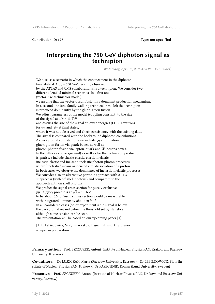Contribution ID: **177** Type: **not specified**

# **Interpreting the 750 GeV diphoton signal as technipion**

*Wednesday, April 13, 2016 4:30 PM (15 minutes)*

We discuss a scenario in which the enhancement in the diphoton final state at  $M_{\gamma\gamma}$  = 750 GeV, recently observed by the ATLAS and CMS collaborations, is a technipion. We consider two different detailed minimal scenarios. In a first one (vector-like technicolor model) we assume that the vector-boson fusion is a dominant production mechanism. In a second one (one family walking technicolor model) the technipion is produced dominantly by the gluon-gluon fusion. We adjust parameters of the model (coupling constant) to the size of the signal at  $\sqrt{s}$  = 13 TeV and discuss the size of the signal at lower energies (LHC, Tevatron) for  $\gamma\gamma$  and jet-jet final states, where it was not observed and check consistency with the existing data. The signal is compared with the background diphoton contributions. As background contributions we include  $q\bar{q}$  annihilation, gluon-gluon fusion via quark boxes, as well as photon-photon fusion via lepton, quark and *W*-bosons boxes. In the latter case (background) as well as for the technipion production (signal) we include elastic-elastic, elastic-inelastic, inelastic-elastic and inelastic-inelastic photon-photon processes, where "inelastic" means associated e.m. dissociation of a proton. In both cases we observe the dominance of inelastic-inelastic processes. We consider also an alternative partonic approach with  $2\to 3$ subprocess (with off-shell photons) and compare it to the approach with on shell photons. We predict the signal cross section for purely exclusive  $pp \rightarrow pp\gamma\gamma$  procesess at  $\sqrt{s}$  = 13 TeV to be about 0.5 fb. Such a cross section would be measurable with integrated luminosity about 20 fb*−*<sup>1</sup> . In all considered cases (other experiments) the signal is below the background or/and below the threshold set by statistics although some tension can be seen. The presentation will be based on our upcoming paper [1].

[1] P. Lebiedowicz, M. {\L}uszczak, R. Pasechnik and A. Szczurek, a paper in preparation.

**Primary author:** Prof. SZCZUREK, Antoni (Institute of Nuclear Physics PAN, Krakow and Rzeszow University, Rzeszow)

**Co-authors:** Dr LUSZCZAK, Marta (Rzeszow University, Rzeszow); Dr LEBIEDOWICZ, Piotr (Institute of Nuclear Physics PAN, Krakow); Dr PASECHNIK, Roman (Lund University, Sweden)

**Presenter:** Prof. SZCZUREK, Antoni (Institute of Nuclear Physics PAN, Krakow and Rzeszow University, Rzeszow)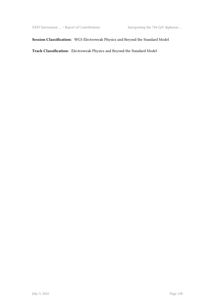### **Session Classification:** WG3 Electroweak Physics and Beyond the Standard Model

**Track Classification:** Electroweak Physics and Beyond the Standard Model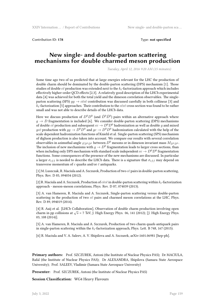Contribution ID: **178** Type: **not specified**

### **New single- and double-parton scattering mechanisms for double charmed meson production**

*Tuesday, April 12, 2016 9:20 AM (15 minutes)*

Some time ago two of us predicted that at large energies relevant for the LHC the production of double charm should be dominated by the double-parton scattering (DPS) mechanism [1]. Those studies of double  $c\bar{c}$  production was extended next to the  $k_t$ -factorization approach which includes effectively higher-order QCD effects [2,3]. A relatively good description of the LHCb experimental data [4] was achieved for both the total yield and the dimeson correlation observables. The singleparton scattering (SPS)  $gg \rightarrow c\bar{c}c\bar{c}$  contribution was discussed carefully in both collinear [3] and  $k_t$ -factorization [5] approaches. Their contribution to the  $c\bar{c}c\bar{c}$  cross section was found to be rather small and was not able to describe details of the LHCb data.

Here we discuss production of  $D^0 D^0$  (and  $\bar{D}^0 \bar{D}^0$ ) pairs within an alternative approach where  $g \rightarrow D$  fragmentation is included [6]. We consider double-parton scattering (DPS) mechanisms of double  $c\bar{c}$  production and subsequent  $cc \to D^0 D^0$  hadronization as well as double *g* and mixed *gcc* production with  $gg \to D^0 D^0$  and  $gc \to D^0 D^0$  hadronization calculated with the help of the scale dependent hadronization functions of Kniehl et al. Single-parton scattering (SPS) mechanism of digluon production is also taken into account. We compare our results with several correlation observables in azimuthal angle  $\varphi_{D^0D^0}$  between *D*<sup>0</sup> mesons or in dimeson invariant mass *M*<sub>*D*<sup>0</sup>*D*<sup>0</sup>.</sub> The inclusion of new mechanisms with  $g \to D^0$  fragmentation leads to larger cross sections, than when including only DPS mechanism with standard scale independent  $cc \to D^0 D^0$  fragmentation functions. Some consequences of the presence of the new mechanisms are discussed. In particular a larger  $\sigma_{eff}$  is needed to describe the LHCb data. There is a signature that  $\sigma_{eff}$  may depend on transverse momentum of  $c$  quarks and/or  $\bar{c}$  antiquarks.

[1] M. Luszczak, R. Maciula and A. Szczurek, Production of two *cc*¯pairs in double-parton scattering, Phys. Rev. D 85, 094034 (2012).

[2] R. Maciula and A. Szczurek, Production of  $c\bar{c}c\bar{c}$  in double-parton scattering within  $k_t$ -factorization approach - meson-meson correlations, Phys. Rev. D 87, 074039 (2013).

[3] A. van Hameren, R. Maciula and A. Szczurek, Single-parton scattering versus double-parton scattering in the production of two  $c\bar{c}$  pairs and charmed meson correlations at the LHC, Phys. Rev. D 89, 094019 (2014).

[4] R. Aaij et al. [LHCb Collaboration], Observation of double charm production involving open charm in pp collisions at *√ s* = 7 TeV, J. High Energy Phys. 06, 141 (2012); [J. High Energy Phys. 03, 108 (2014)].

[5] A. van Hameren, R. Maciula and A. Szczurek, Production of two charm quark-antiquark pairs in single-parton scattering within the *kt*-factorization approach, Phys. Lett. B 748, 167 (2015).

[6] R. Maciula and V. A. Saleev, A. V. Shipilova and A. Szczurek, arXiv:1601.06981 [hep-ph].

**Primary authors:** Prof. SZCZUREK, Antoni (the Institute of Nuclear Physics PAS); Dr MACIULA, Rafal (the Institute of Nuclear Physics PAS); Dr ALEXANDRA, Shipilova (Samara State Aerospace University); Prof. SALEEV, Vladimir (Samara State Aerospace University)

Presenter: Prof. SZCZUREK, Antoni (the Institute of Nuclear Physics PAS)

**Session Classification:** WG4 Heavy Flavours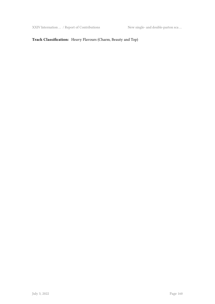XXIV Internation … / Report of Contributions New single- and double-parton sca …

### **Track Classification:** Heavy Flavours (Charm, Beauty and Top)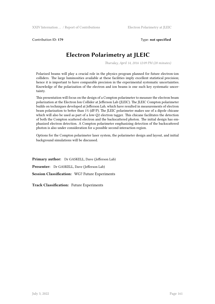Contribution ID: **179** Type: **not specified**

# **Electron Polarimetry at JLEIC**

*Thursday, April 14, 2016 12:09 PM (20 minutes)*

Polarized beams will play a crucial role in the physics program planned for future electron-ion colliders. The large luminosities available at these facilities imply excellent statistical precision; hence it is important to have comparable precision in the experimental systematic uncertainties. Knowledge of the polarization of the electron and ion beams is one such key systematic uncertainty.

This presentation will focus on the design of a Compton polarimeter to measure the electron beam polarization at the Electron Ion Collider at Jefferson Lab (JLEIC). The JLEIC Compton polarimeter builds on techniques developed at Jefferson Lab, which have resulted in measurements of electron beam polarization to better than 1% (dP/P). The JLEIC polarimeter makes use of a dipole chicane which will also be used as part of a low-Q2 electron tagger. This chicane facilitates the detection of both the Compton scattered electron and the backscattered photon. The initial design has emphasized electron detection. A Compton polarimeter emphasizing detection of the backscattered photon is also under consideration for a possible second interaction region.

Options for the Compton polarimeter laser system, the polarimeter design and layout, and initial background simulations will be discussed.

**Primary author:** Dr GASKELL, Dave (Jefferson Lab) **Presenter:** Dr GASKELL, Dave (Jefferson Lab) **Session Classification:** WG7 Future Experiments

**Track Classification:** Future Experiments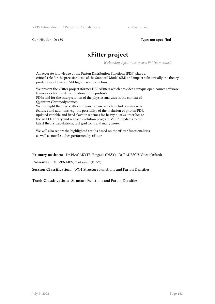Contribution ID: **180** Type: **not specified**

# **xFitter project**

*Wednesday, April 13, 2016 5:30 PM (15 minutes)*

An accurate knowledge of the Parton Distribution Functions (PDF) plays a critical role for the precision tests of the Standard Model (SM) and impact substantially the theory predictions of Beyond SM high mass production.

We present the xFitter project (former HERAFitter) which provides a unique open-source software framework for the determination of the proton's PDFs and for the interpretation of the physics analyses in the context of Quantum Chromodynamics.

We highlight the new xFitter software release which includes many new features and additions, e.g. the possibility of the inclusion of photon PDF, updated variable and fixed-flavour schemes for heavy quarks, interface to the APFEL library and n-space evolution program MELA, updates to the latest theory calculations, fast grid tools and many more.

We will also report the highlighted results based on the xFitter functionalities, as well as novel studies performed by xFitter.

**Primary authors:** Dr PLACAKYTE, Ringaile (DESY); Dr RADESCU, Voica (Oxford)

**Presenter:** Mr ZENAIEV, Oleksandr (DESY)

**Session Classification:** WG1 Structure Functions and Parton Densities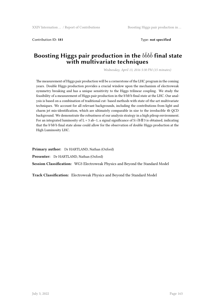Contribution ID: **181** Type: **not specified**

# Boosting Higgs pair production in the  $b\bar{b}b\bar{b}$  final state **with multivariate techniques**

*Wednesday, April 13, 2016 5:30 PM (15 minutes)*

The measurement of Higgs pair production will be a cornerstone of the LHC program in the coming years. Double Higgs production provides a crucial window upon the mechanism of electroweak symmetry breaking and has a unique sensitivity to the Higgs trilinear coupling. We study the feasibility of a measurement of Higgs pair production in the b ̄bb ̄b final state at the LHC. Our analysis is based on a combination of traditional cut- based methods with state-of-the-art multivariate techniques. We account for all relevant backgrounds, including the contributions from light and charm jet mis-identification, which are ultimately comparable in size to the irreducible 4b QCD background. We demonstrate the robustness of our analysis strategy in a high pileup environment. For an integrated luminosity of L = 3 ab−1, a signal significance of S/ $\sqrt{B} \boxtimes 3$  is obtained, indicating that the b bb is final state alone could allow for the observation of double Higgs production at the High Luminosity LHC.

**Primary author:** Dr HARTLAND, Nathan (Oxford)

**Presenter:** Dr HARTLAND, Nathan (Oxford)

**Session Classification:** WG3 Electroweak Physics and Beyond the Standard Model

**Track Classification:** Electroweak Physics and Beyond the Standard Model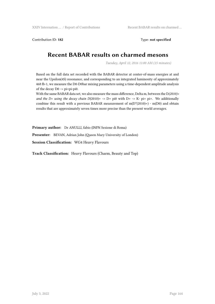Contribution ID: 182 **Type:** not specified

# **Recent BABAR results on charmed mesons**

*Tuesday, April 12, 2016 11:00 AM (15 minutes)*

Based on the full data set recorded with the BABAR detector at center-of-mass energies at and near the Upsilon(4S) resonance, and corresponding to an integrated luminosity of approximately 468 fb-1, we measure the D0-D0bar mixing parameters using a time-dependent amplitude analysis of the decay D0 -> pi+pi-pi0.

With the same BABAR data set, we also measure the mass difference, Delta m, between the D*(2010)+ and the D+ using the decay chain D*(2010)+ -> D+ pi0 with D+ -> K- pi+ pi+. We additionally combine this result with a previous BABAR measurement of  $m(D^*(2010)+)$  -  $m(D0)$  and obtain results that are approximately seven times more precise than the present world averages.

**Primary author:** Dr ANULLI, fabio (INFN Sezione di Roma)

**Presenter:** BEVAN, Adrian John (Queen Mary University of London)

**Session Classification:** WG4 Heavy Flavours

**Track Classification:** Heavy Flavours (Charm, Beauty and Top)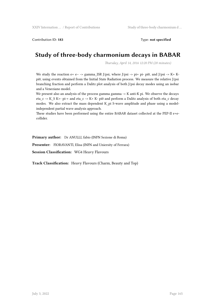Contribution ID: **183** Type: **not specified**

# **Study of three-body charmonium decays in BABAR**

*Thursday, April 14, 2016 12:20 PM (20 minutes)*

We study the reaction e+ e− -> gamma\_ISR J/psi, where J/psi -> pi+ pi- pi0, and J/psi -> K+ Kpi0, using events obtained from the Initial State Radiation process. We measure the relative J/psi branching fraction and perform a Dalitz plot analysis of both J/psi decay modes using an isobar and a Veneziano model.

We present also an analysis of the process gamma gamma -> K anti-K pi. We observe the decays eta\_c -> K\_S K+- pi-+ and eta\_c -> K+ K- pi0 and perform a Dalitz analysis of both eta\_c decay modes. We also extract the mass dependent K\_pi S-wave amplitude and phase using a modelindependent partial wave analysis approach.

These studies have been performed using the entire BABAR dataset collected at the PEP-II e+ecollider.

**Primary author:** Dr ANULLI, fabio (INFN Sezione di Roma)

**Presenter:** FIORAVANTI, Elisa (INFN and Uniersity of Ferrara)

**Session Classification:** WG4 Heavy Flavours

**Track Classification:** Heavy Flavours (Charm, Beauty and Top)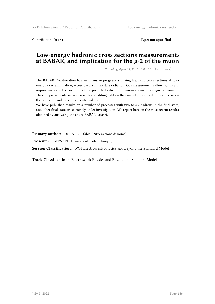XXIV Internation ... / Report of Contributions Low-energy hadronic cross sectio ...

Contribution ID: **184** Type: **not specified**

# **Low-energy hadronic cross sections measurements at BABAR, and implication for the g-2 of the muon**

*Thursday, April 14, 2016 10:00 AM (15 minutes)*

The BABAR Collaboration has an intensive program studying hadronic cross sections at lowenergy e+e- annihilation, accessible via initial-state radiation. Our measurements allow significant improvements in the precision of the predicted value of the muon anomalous magnetic moment. These improvements are necessary for shedding light on the current ~3 sigma difference between the predicted and the experimental values.

We have published results on a number of processes with two to six hadrons in the final state, and other final state are currently under investigation. We report here on the most recent results obtained by analysing the entire BABAR dataset.

**Primary author:** Dr ANULLI, fabio (INFN Sezione di Roma)

**Presenter:** BERNARD, Denis (Ecole Polytechnique)

**Session Classification:** WG3 Electroweak Physics and Beyond the Standard Model

**Track Classification:** Electroweak Physics and Beyond the Standard Model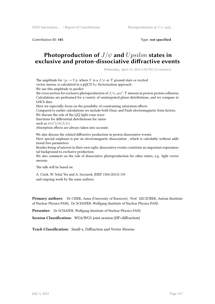XXIV Internation … / Report of Contributions Photoproduction of *J*/*ψ* and …

Contribution ID: **185** Type: **not specified**

# **Photoproduction of** *J*/*ψ* **and** *Upsilon* **states in exclusive and proton-dissociative diffractive events**

*Wednesday, April 13, 2016 5:30 PM (15 minutes)*

The amplitude for  $\gamma p \to Vp$ , where *V* is a  $J/\psi$  or  $\Upsilon$  ground state or excited vector meson, is calculated in a pQCD *k<sup>T</sup>* -factorization approach.

We use this amplitude to predict

the cross section for exclusive photoproduction of  $J/\psi, psi', \Upsilon$  mesons in proton-proton collisions. Calculations are performed for a variety of unintegrated gluon distributions, and we compare to LHCb data.

Here we especially focus on the possibilty of constraining saturation effects.

Compared to earlier calculations we include both Dirac and Pauli electromagnetic form factors. We discuss the role of the  $Q\bar{Q}$  light-cone wave

functions for differential distributions for ratios

such as  $\sigma(\psi')/\sigma(J/\psi)$ .

Absorption effects are always taken into account.

We also discuss the related diffractive production in proton dissociative events.

Here special emphasis is put on electromagnetic dissociation , which is calculable without additional free parameters.

Besides being of interest in their own right, dissociative events constitute an important experimental background to exclusive production.

We also comment on the role of dissociative photoproduction for other states, e.g. light vector mesons.

The talk will be based on

A. Cisek, W. Scha\"fer and A. Szczurek, JHEP 1504 (2015) 159 and ongoing work by the same authors.

**Primary authors:** Dr CISEK, Anna (University of Rzeszow); Prof. SZCZUREK, Antoni (Institute of Nuclear Physics PAN); Dr SCHAFER, Wolfgang (Institute of Nuclear Physics PAN)

**Presenter:** Dr SCHAFER, Wolfgang (Institute of Nuclear Physics PAN)

**Session Classification:** WG4/WG5 joint session (HF+diffraction)

**Track Classification:** Small-x, Diffraction and Vector Mesons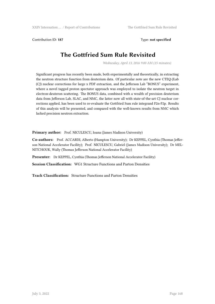Contribution ID: **187** Type: **not specified**

# **The Gottfried Sum Rule Revisited**

*Wednesday, April 13, 2016 9:00 AM (15 minutes)*

Significant progress has recently been made, both experimentally and theoretically, in extracting the neutron structure function from deuterium data. Of particular note are the new CTEQ-JLab (CJ) nuclear corrections for large x PDF extraction, and the Jefferson Lab "BONUS" experiment, where a novel tagged proton spectator approach was employed to isolate the neutron target in electron-deuteron scattering. The BONUS data, combined with a wealth of precision deuterium data from Jefferson Lab, SLAC, and NMC, the latter now all with state-of-the-art CJ nuclear corrections applied, has been used to re-evaluate the Gottfried Sum rule integrand F2n-F2p. Results of this analysis will be presented, and compared with the well-known results from NMC which lacked precision neutron extraction.

Primary author: Prof. NICULESCU, Ioana (James Madison University)

**Co-authors:** Prof. ACCARDI, Alberto (Hampton University); Dr KEPPEL, Cynthia (Thomas Jefferson National Accelerator Facility); Prof. NICULESCU, Gabriel (James Madison University); Dr MEL-NITCHOUK, Wally (Thomas Jefferson National Accelerator Facility)

**Presenter:** Dr KEPPEL, Cynthia (Thomas Jefferson National Accelerator Facility)

**Session Classification:** WG1 Structure Functions and Parton Densities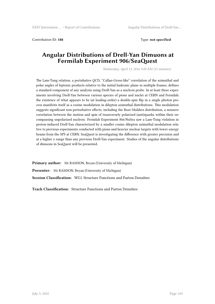Contribution ID: **188** Type: **not specified**

# **Angular Distributions of Drell-Yan Dimuons at Fermilab Experiment 906/SeaQuest**

*Wednesday, April 13, 2016 9:20 AM (15 minutes)*

The Lam-Tung relation, a pertubative QCD, "Callan-Gross-like" correlation of the azimuthal and polar angles of leptonic products relative to the initial hadronic plane in multiple frames, defines a standard component of any analysis using Drell-Yan as a nucleon probe. In at least three experiments involving Drell-Yan between various species of pions and nuclei at CERN and Fermilab, the existence of what appears to be (at leading-order) a double-spin flip in a single photon process manifests itself as a cosine modulation in dilepton azimuthal distributions. This modulation suggests significant non-perturbative effects, including the Boer-Mulders distribution, a nonzero correlation between the motion and spin of transversely polarized (anti)quarks within their encompassing unpolarized nucleon. Fermilab Experiment 866/NuSea saw a Lam-Tung violation in proton-induced Drell-Yan characterized by a smaller cosine dilepton azimuthal modulation relative to previous experiments conducted with pions and heavier nuclear targets with lower energy beams from the SPS at CERN. SeaQuest is investigating the difference with greater precision and at a higher x range than any previous Drell-Yan experiment. Studies of the angular distributions of dimuons in SeaQuest will be presented.

**Primary author:** Mr RAMSON, Bryan (University of Michigan) **Presenter:** Mr RAMSON, Bryan (University of Michigan) **Session Classification:** WG1 Structure Functions and Parton Densities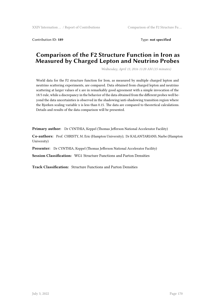Contribution ID: **189** Type: **not specified**

# **Comparison of the F2 Structure Function in Iron as Measured by Charged Lepton and Neutrino Probes**

*Wednesday, April 13, 2016 11:20 AM (15 minutes)*

World data for the F2 structure function for Iron, as measured by multiple charged lepton and neutrino scattering experiments, are compared. Data obtained from charged lepton and neutrino scattering at larger values of x are in remarkably good agreement with a simple invocation of the 18/5 rule, while a discrepancy in the behavior of the data obtained from the different probes well beyond the data uncertainties is observed in the shadowing/anti-shadowing transition region where the Bjorken scaling variable x is less than 0.15. The data are compared to theoretical calculations. Details and results of the data comparison will be presented.

**Primary author:** Dr CYNTHIA, Keppel (Thomas Jefferson National Accelerator Facility)

**Co-authors:** Prof. CHRISTY, M. Eric (Hampton University); Dr KALANTARIANS, Narbe (Hampton University)

**Presenter:** Dr CYNTHIA, Keppel (Thomas Jefferson National Accelerator Facility)

**Session Classification:** WG1 Structure Functions and Parton Densities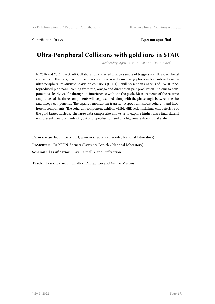Contribution ID: **190** Type: **not specified**

# **Ultra-Peripheral Collisions with gold ions in STAR**

*Wednesday, April 13, 2016 10:00 AM (15 minutes)*

In 2010 and 2011, the STAR Collaboration collected a large sample of triggers for ultra-peripheral collisions.In this talk, I will present several new results involving photonuclear interactions in ultra-peripheral relativistic heavy ion collisions (UPCs). I will present an analysis of 384,000 photoproduced pion pairs, coming from rho, omega and direct pion pair production.The omega component is clearly visible through its interference with the rho peak. Measurements of the relative amplitudes of the three components will be presented, along with the phase angle between the rho and omega components. The squared momentum transfer (t) spectrum shows coherent and incoherent components. The coherent component exhibits visible diffraction minima, characteristic of the gold target nucleus. The large data sample also allows us to explore higher mass final states.I will present measurements of J/psi photoproduction and of a high-mass dipion final state.

Primary author: Dr KLEIN, Spencer (Lawrence Berkeley National Laboratory) Presenter: Dr KLEIN, Spencer (Lawrence Berkeley National Laboratory) **Session Classification:** WG5 Small-x and Diffraction

**Track Classification:** Small-x, Diffraction and Vector Mesons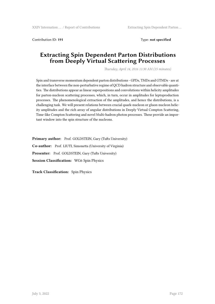Contribution ID: **191** Type: **not specified**

# **Extracting Spin Dependent Parton Distributions from Deeply Virtual Scattering Processes**

*Thursday, April 14, 2016 11:30 AM (15 minutes)*

Spin and transverse momentum dependent parton distributions - GPDs, TMDs and GTMDs - are at the interface between the non-perturbative regime of QCD hadron structure and observable quantities. The distributions appear as linear superpositions and convolutions within helicity amplitudes for parton-nucleon scattering processes, which, in turn, occur in amplitudes for leptoproduction processes. The phenomenological extraction of the amplitudes, and hence the distributions, is a challenging task. We will present relations between crucial quark-nucleon or gluon-nucleon helicity amplitudes and the rich array of angular distributions in Deeply Virtual Compton Scattering, Time-like Compton Scattering and novel Multi-hadron photon processes. These provide an important window into the spin structure of the nucleons.

**Primary author:** Prof. GOLDSTEIN, Gary (Tufts University) **Co-author:** Prof. LIUTI, Simonetta (University of Virginia) Presenter: Prof. GOLDSTEIN, Gary (Tufts University) **Session Classification:** WG6 Spin Physics

**Track Classification:** Spin Physics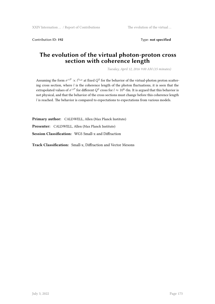Contribution ID: **192** Type: **not specified**

# **The evolution of the virtual photon-proton cross section with coherence length**

*Tuesday, April 12, 2016 9:00 AM (15 minutes)*

Assuming the form  $\sigma^{\gamma P} \propto l^{\lambda_{\rm eff}}$  at fixed  $Q^2$  for the behavior of the virtual-photon proton scattering cross section, where *l* is the coherence length of the photon fluctuations, it is seen that the extrapolated values of  $\sigma^{\gamma P}$  for different  $Q^2$  cross for  $l \approx 10^8$ ~fm. It is argued that this behavior is not physical, and that the behavior of the cross sections must change before this coherence length *l* is reached. The behavior is compared to expectations to expectations from various models.

**Primary author:** CALDWELL, Allen (Max Planck Institute) **Presenter:** CALDWELL, Allen (Max Planck Institute) **Session Classification:** WG5 Small-x and Diffraction

**Track Classification:** Small-x, Diffraction and Vector Mesons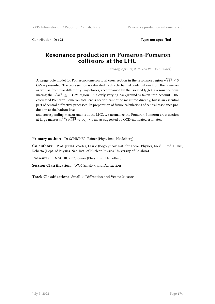Contribution ID: **193** Type: **not specified**

### **Resonance production in Pomeron-Pomeron collisions at the LHC**

*Tuesday, April 12, 2016 5:50 PM (15 minutes)*

A Regge pole model for Pomeron-Pomeron total cross section in the resonance region  $\sqrt{M^2} \leq$  5 GeV is presented. The cross section is saturated by direct-channel contributions from the Pomeron as well as from two different *f* trajectories, accompanied by the isolated  $f_0(500)$  resonance dominating the  $\sqrt{M^2} \le 1$  GeV region. A slowly varying background is taken into account. The calculated Pomeron-Pomeron total cross section cannot be measured directly, but is an essential part of central diffractive processes. In preparation of future calculations of central resonance production at the hadron level,

and corresponding measurements at the LHC, we normalize the Pomeron-Pomeron cross section at large masses  $\sigma_t^{PP}(\sqrt{M^2} \to \infty) \approx 1$  mb as suggested by QCD-motivated estimates.

**Primary author:** Dr SCHICKER, Rainer (Phys. Inst., Heidelberg)

**Co-authors:** Prof. JENKOVSZKY, Laszlo (Bogolyubov Inst. for Theor. Physics, Kiev); Prof. FIORE, Roberto (Dept. of Physics, Nat. Inst. of Nuclear Physics, University of Calabria)

**Presenter:** Dr SCHICKER, Rainer (Phys. Inst., Heidelberg)

**Session Classification:** WG5 Small-x and Diffraction

**Track Classification:** Small-x, Diffraction and Vector Mesons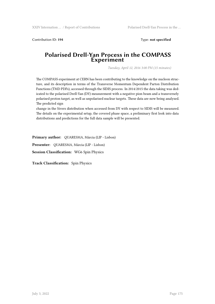Contribution ID: **194** Type: **not specified**

### **Polarised Drell-Yan Process in the COMPASS Experiment**

*Tuesday, April 12, 2016 3:00 PM (15 minutes)*

The COMPASS experiment at CERN has been contributing to the knowledge on the nucleon structure, and its description in terms of the Transverse Momentum Dependent Parton Distribution Functions (TMD PDFs), accessed through the SIDIS process. In 2014/2015 the data taking was dedicated to the polarised Drell-Yan (DY) measurement with a negative pion beam and a transversely polarised proton target, as well as unpolarised nuclear targets. These data are now being analysed. The predicted sign

change in the Sivers distribution when accessed from DY with respect to SIDIS will be measured. The details on the experimental setup, the covered phase space, a preliminary first look into data distributions and predictions for the full data sample will be presented.

**Primary author:** QUARESMA, Márcia (LIP - Lisbon) **Presenter:** QUARESMA, Márcia (LIP - Lisbon) **Session Classification:** WG6 Spin Physics

**Track Classification:** Spin Physics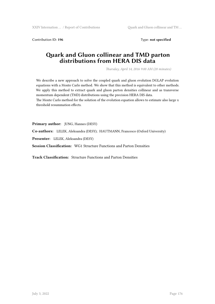Contribution ID: **196** Type: **not specified**

# **Quark and Gluon collinear and TMD parton distributions from HERA DIS data**

*Thursday, April 14, 2016 9:00 AM (20 minutes)*

We describe a new approach to solve the coupled quark and gluon evolution DGLAP evolution equations with a Monte Carlo method. We show that this method is equivalent to other methods. We apply this method to extract quark and gluon parton densities collinear and as transverse momentum dependent (TMD) distributions using the precision HERA DIS data.

The Monte Carlo method for the solution of the evolution equation allows to estimate also large x threshold resummation effects.

**Primary author:** JUNG, Hannes (DESY)

**Co-authors:** LELEK, Aleksandra (DESY); HAUTMANN, Francesco (Oxford University)

**Presenter:** LELEK, Aleksandra (DESY)

**Session Classification:** WG1 Structure Functions and Parton Densities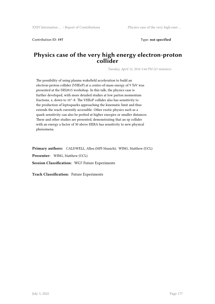Contribution ID: **197** Type: **not specified**

# **Physics case of the very high energy electron-proton collider**

*Tuesday, April 12, 2016 5:44 PM (21 minutes)*

The possibility of using plasma wakefield acceleration to build an electron-proton collider (VHEeP) at a centre-of-mass energy of 9 TeV was presented at the DIS2015 workshop. In this talk, the physics case is further developed, with more detailed studies at low parton momentum fractions, x, down to 10^-8. The VHEeP collider also has sensitivity to the production of leptoquarks approaching the kinematic limit and thus extends the reach currently accessible. Other exotic physics such as a quark sensitivity can also be probed at higher energies or smaller distances. These and other studies are presented, demonstrating that an ep collider with an energy a factor of 30 above HERA has sensitivity to new physical phenomena.

**Primary authors:** CALDWELL, Allen (MPI Munich); WING, Matthew (UCL) **Presenter:** WING, Matthew (UCL) **Session Classification:** WG7 Future Experiments

**Track Classification:** Future Experiments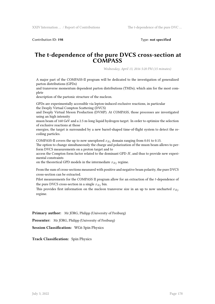Contribution ID: **198** Type: **not specified**

### **The t-dependence of the pure DVCS cross-section at COMPASS**

*Wednesday, April 13, 2016 5:20 PM (15 minutes)*

A major part of the COMPASS-II program will be dedicated to the investigation of generalized parton distributions (GPDs)

and transverse momentum dependent parton distributions (TMDs), which aim for the most complete

description of the partonic structure of the nucleon.

GPDs are experimentally accessible via lepton-induced exclusive reactions, in particular the Deeply Virtual Compton Scattering (DVCS)

and Deeply Virtual Meson Production (DVMP). At COMPASS, those processes are investigated using an high intensity

muon beam of 160 GeV and a 2.5 m-long liquid hydrogen target. In order to optimize the selection of exclusive reactions at those

energies, the target is surrounded by a new barrel-shaped time-of-flight system to detect the recoiling particles.

COMPASS-II covers the up to now unexplored  $x_{Bj}$  domain ranging from 0.01 to 0.15.

The option to change simultaneously the charge and polarization of the muon beam allows to perform DVCS measurements on a proton target and to

access the Compton form factor related to the dominant GPD *H*, and thus to provide new experimental constraints

on the theoretical GPD models in the intermediate  $x_{Bj}$  regime.

From the sum of cross-sections measured with positive and negative beam polarity, the pure DVCS cross-section can be extracted.

Pilot measurements for the COMPASS II program allow for an extraction of the *t*-dependence of the pure DVCS cross-section in a single  $x_{Bj}$  bin.

This provides first information on the nucleon transverse size in an up to now uncharted *xBj* regime.

**Primary author:** Mr JÖRG, Philipp (University of Freiburg)

**Presenter:** Mr JÖRG, Philipp (University of Freiburg)

**Session Classification:** WG6 Spin Physics

**Track Classification:** Spin Physics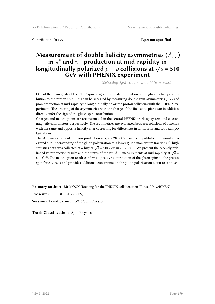Contribution ID: **199** Type: **not specified**

# **Measurement of double helicity asymmetries (***ALL***) in** *π* <sup>0</sup> **and** *π <sup>±</sup>* **production at mid-rapidity in longitudinally polarized**  $p + p$  **collisions at**  $\sqrt{s}$  = 510 **GeV with PHENIX experiment**

*Wednesday, April 13, 2016 11:40 AM (15 minutes)*

One of the main goals of the RHIC spin program is the determination of the gluon helicity contribution to the proton spin. This can be accessed by measuring double spin asymmetries  $(A_{LL})$  of pion production at mid-rapidity in longitudinally polarized proton collisions with the PHENIX experiment. The ordering of the asymmetries with the charge of the final state pions can in addition directly infer the sign of the gluon spin contribution.

Charged and neutral pions are reconstructed in the central PHENIX tracking system and electromagnetic calorimeters, respectively. The asymmetries are evaluated between collisions of bunches with the same and opposite helicity after correcting for differences in luminosity and for beam polarizations.

The  $A_{LL}$  measurements of pion production at  $\sqrt{s}$  = 200 GeV have been published previously. To extend our understanding of the gluon polarization to a lower gluon momentum fraction (*x*), high statistics data was collected at a higher  $\sqrt{s}$  = 510 GeV in 2012-2013. We present the recently published  $\pi^0$  production results and the status of the  $\pi^{\pm}$  *A<sub>LL</sub>* measurements at mid-rapidity at  $\sqrt{s}$  = 510 GeV. The neutral pion result confirms a positive contribution of the gluon spins to the proton spin for *x >* 0.05 and provides additional constraints on the gluon polarization down to *x ∼* 0.01.

**Primary author:** Mr MOON, Taebong for the PHENIX collaboration (Yonsei Univ./RIKEN)

**Presenter:** SEIDL, Ralf (RIKEN)

**Session Classification:** WG6 Spin Physics

**Track Classification:** Spin Physics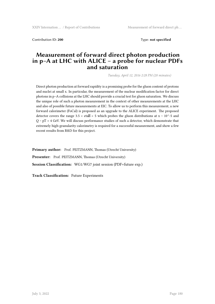Contribution ID: **200** Type: **not specified**

## **Measurement of forward direct photon production in p–A at LHC with ALICE – a probe for nuclear PDFs and saturation**

*Tuesday, April 12, 2016 2:28 PM (20 minutes)*

Direct photon production at forward rapidity is a promising probe for the gluon content of protons and nuclei at small x. In particular, the measurement of the nuclear modification factor for direct photons in p–A collisions at the LHC should provide a crucial test for gluon saturation. We discuss the unique role of such a photon measurement in the context of other measurements at the LHC and also of possible future measurements at EIC. To allow us to perform this measurement, a new forward calorimeter (FoCal) is proposed as an upgrade to the ALICE experiment. The proposed detector covers the range 3.5 < eta $\mathbb{Z}$  < 5 which probes the gluon distributions at x ~ 10^-5 and  $Q \sim pT > 4$  GeV. We will discuss performance studies of such a detector, which demonstrate that extremely high-granularity calorimetry is required for a successful measurement, and show a few recent results from R&D for this project.

**Primary author:** Prof. PEITZMANN, Thomas (Utrecht University) Presenter: Prof. PEITZMANN, Thomas (Utrecht University) **Session Classification:** WG1/WG7 joint session (PDF+future exp.)

**Track Classification:** Future Experiments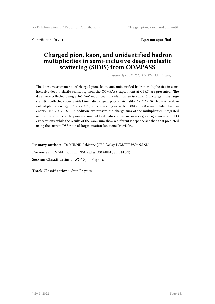Contribution ID: **201** Type: **not specified**

# **Charged pion, kaon, and unidentified hadron multiplicities in semi-inclusive deep-inelastic scattering (SIDIS) from COMPASS**

*Tuesday, April 12, 2016 5:30 PM (15 minutes)*

The latest measurements of charged pion, kaon, and unidentified hadron multiplicities in semiinclusive deep-inelastic scattering from the COMPASS experiment at CERN are presented. The data were collected using a 160 GeV muon beam incident on an isoscalar 6LiD target. The large statistics collected cover a wide kinematic range in photon virtuality:  $1 < Q$ 2 < 50 (GeV/c)2, relative virtual-photon energy:  $0.1 < y < 0.7$ , Bjorken scaling variable:  $0.004 < x < 0.4$ , and relative hadron energy:  $0.2 < z < 0.85$ . In addition, we present the charge sum of the multiplicities integrated over z. The results of the pion and unidentified hadron sums are in very good agreement with LO expectations, while the results of the kaon sum show a different x dependence than that predicted using the current DSS ratio of fragmentation functions Dstr/Dfav.

**Primary author:** Dr KUNNE, Fabienne (CEA Saclay DSM/IRFU/SPhN/LSN)

**Presenter:** Dr SEDER, Erin (CEA Saclay DSM/IRFU/SPhN/LSN)

**Session Classification:** WG6 Spin Physics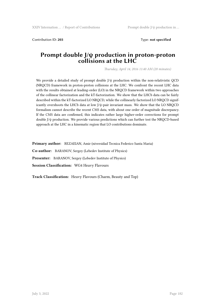Contribution ID: **203** Type: **not specified**

### **Prompt double J/ψ production in proton-proton collisions at the LHC**

*Thursday, April 14, 2016 11:40 AM (20 minutes)*

We provide a detailed study of prompt double  $J/\psi$  production within the non-relativistic QCD (NRQCD) framework in proton-proton collisions at the LHC. We confront the recent LHC data with the results obtained at leading-order (LO) in the NRQCD framework within two approaches of the collinear factorization and the kT-factorization. We show that the LHCb data can be fairly described within the kT-factorized LO NRQCD, while the collinearly factorized LO NRQCD significantly overshoots the LHCb data at low J/ψ-pair invariant mass. We show that the LO NRQCD formalism cannot describe the recent CMS data, with about one order of magnitude discrepancy. If the CMS data are confirmed, this indicates rather large higher-order corrections for prompt double J/ψ production. We provide various predictions which can further test the NRQCD-based approach at the LHC in a kinematic region that LO contributions dominate.

**Primary author:** REZAEIAN, Amir (niversidad Tecnica Federico Santa Maria)

**Co-author:** BARANOV, Sergey (Lebedev Institute of Physics)

**Presenter:** BARANOV, Sergey (Lebedev Institute of Physics)

**Session Classification:** WG4 Heavy Flavours

**Track Classification:** Heavy Flavours (Charm, Beauty and Top)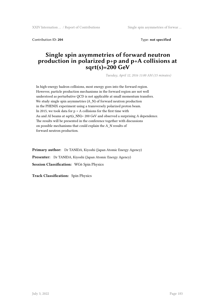XXIV Internation ... / Report of Contributions Single spin asymmetries of forwar ...

Contribution ID: **204** Type: **not specified**

# **Single spin asymmetries of forward neutron production in polarized p+p and p+A collisions at sqrt(s)=200 GeV**

*Tuesday, April 12, 2016 11:00 AM (15 minutes)*

In high-energy hadron collisions, most energy goes into the forward region. However, particle production mechanisms in the forward region are not well understood as perturbative QCD is not applicable at small momentum transfers. We study single spin asymmetries (A\_N) of forward neutron production in the PHENIX experiment using a transversely polarized proton beam. In 2015, we took data for  $p + A$  collisions for the first time with Au and Al beams at sqrt(s\_NN)= 200 GeV and observed a surprising A dependence. The results will be presented in the conference together with discussions on possible mechanisms that could explain the A\_N results of forward neutron production.

**Primary author:** Dr TANIDA, Kiyoshi (Japan Atomic Energy Agency) **Presenter:** Dr TANIDA, Kiyoshi (Japan Atomic Energy Agency) **Session Classification:** WG6 Spin Physics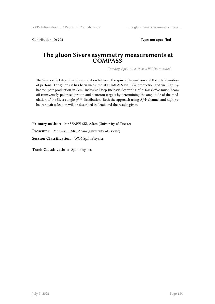Contribution ID: **205** Type: **not specified**

### **The gluon Sivers asymmetry measurements at COMPASS**

*Tuesday, April 12, 2016 3:20 PM (15 minutes)*

The Sivers effect describes the correlation between the spin of the nucleon and the orbital motion of partons. For gluons it has been measured at COMPASS via *J*/Ψ production and via high-*p<sup>T</sup>* hadron pair production in Semi-Inclusive Deep Inelastic Scattering of a 160 GeV/*c* muon beam off transversely polarised proton and deuteron targets by determining the amplitude of the modulation of the Sivers angle  $\phi^{Siv}$  distribution. Both the approach using  $J/\Psi$  channel and high- $p_T$ hadron pair selection will be described in detail and the results given.

**Primary author:** Mr SZABELSKI, Adam (University of Trieste) **Presenter:** Mr SZABELSKI, Adam (University of Trieste) **Session Classification:** WG6 Spin Physics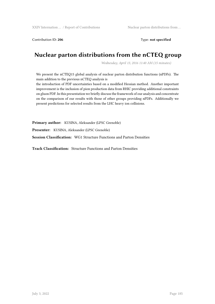Contribution ID: 206 **Type: not specified** 

# **Nuclear parton distributions from the nCTEQ group**

*Wednesday, April 13, 2016 11:40 AM (15 minutes)*

We present the nCTEQ15 global analysis of nuclear parton distribution functions (nPDFs). The main addition to the previous nCTEQ analysis is

the introduction of PDF uncertainties based on a modified Hessian method. Another important improvement is the inclusion of pion production data from RHIC providing additional constraints on gluon PDF. In this presentation we briefly discuss the framework of our analysis and concentrate on the comparison of our results with those of other groups providing nPDFs. Additionally we present predictions for selected results from the LHC heavy ion collisions.

**Primary author:** KUSINA, Aleksander (LPSC Grenoble)

**Presenter:** KUSINA, Aleksander (LPSC Grenoble)

**Session Classification:** WG1 Structure Functions and Parton Densities

**Track Classification:** Structure Functions and Parton Densities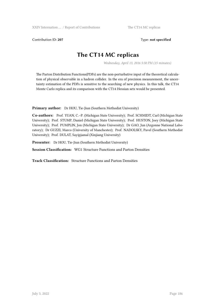Contribution ID: **207** Type: **not specified**

# **The CT14 MC replicas**

*Wednesday, April 13, 2016 5:50 PM (15 minutes)*

The Parton Distribution Functions(PDFs) are the non-perturbative input of the theoretical calculation of physical observable in a hadron collider. In the era of precision measurement, the uncertainty estimation of the PDFs is sensitive to the searching of new physics. In this talk, the CT14 Monte Carlo replica and its comparison with the CT14 Hessian sets would be presented.

**Primary author:** Dr HOU, Tie-Jiun (Southern Methodist University)

**Co-authors:** Prof. YUAN, C.–P. (Michigan State University); Prof. SCHMIDT, Carl (Michigan State University); Prof. STUMP, Daniel (Michigan State University); Prof. HUSTON, Joey (Michigan State University); Prof. PUMPLIN, Jon (Michigan State University); Dr GAO, Jun (Argonne National Laboratory); Dr GUZZI, Marco (University of Manchester); Prof. NADOLSKY, Pavel (Southern Methodist University); Prof. DULAT, Sayipjamal (Xinjiang University)

**Presenter:** Dr HOU, Tie-Jiun (Southern Methodist University)

**Session Classification:** WG1 Structure Functions and Parton Densities

**Track Classification:** Structure Functions and Parton Densities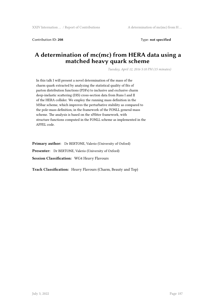Contribution ID: **208** Type: **not specified**

# **A determination of mc(mc) from HERA data using a matched heavy quark scheme**

*Tuesday, April 12, 2016 5:10 PM (15 minutes)*

In this talk I will present a novel determination of the mass of the charm quark extracted by analyzing the statistical quality of fits of parton distribution functions (PDFs) to inclusive and exclusive charm deep-inelastic scattering (DIS) cross-section data from Runs I and II of the HERA collider. We employ the running mass definition in the MSbar scheme, which improves the perturbative stability as compared to the pole-mass definition, in the framework of the FONLL general-mass scheme. The analysis is based on the xFfitter framework, with structure functions computed in the FONLL scheme as implemented in the APFEL code.

**Primary author:** Dr BERTONE, Valerio (University of Oxford) **Presenter:** Dr BERTONE, Valerio (University of Oxford) **Session Classification:** WG4 Heavy Flavours

**Track Classification:** Heavy Flavours (Charm, Beauty and Top)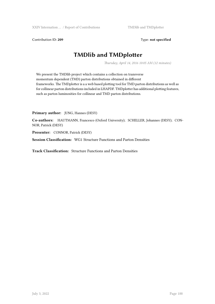Contribution ID: 209 Type: not specified

# **TMDlib and TMDplotter**

*Thursday, April 14, 2016 10:05 AM (12 minutes)*

We present the TMDlib project which contains a collection on transverse momentum dependent (TMD) parton distributions obtained in different frameworks. The TMDplotter is a a web based plotting tool for TMD parton distributions as well as for collinear parton distributions included in LHAPDF. TMDplotter has additional plotting features, such as parton luminosities for collinear and TMD parton distributions.

**Primary author:** JUNG, Hannes (DESY)

**Co-authors:** HAUTMANN, Francesco (Oxford University); SCHELLER, Johannes (DESY); CON-NOR, Patrick (DESY)

**Presenter:** CONNOR, Patrick (DESY)

**Session Classification:** WG1 Structure Functions and Parton Densities

**Track Classification:** Structure Functions and Parton Densities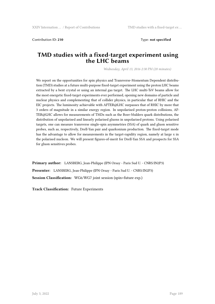Contribution ID: **210** Type: **not specified**

### **TMD studies with a fixed-target experiment using the LHC beams**

*Wednesday, April 13, 2016 2:30 PM (20 minutes)*

We report on the opportunities for spin physics and Transverse-Momentum Dependent distribution (TMD) studies at a future multi-purpose fixed-target experiment using the proton LHC beams extracted by a bent crystal or using an internal gas target. The LHC multi-TeV beams allow for the most energetic fixed-target experiments ever performed, opening new domains of particle and nuclear physics and complementing that of collider physics, in particular that of RHIC and the EIC projects. The luminosity achievable with AFTER@LHC surpasses that of RHIC by more that 3 orders of magnitude in a similar energy region. In unpolarised proton-proton collisions, AF-TER@LHC allows for measurements of TMDs such as the Boer-Mulders quark distributions, the distribution of unpolarised and linearly polarised gluons in unpolarised protons. Using polarised targets, one can measure transverse single-spin asymmetries (SSA) of quark and gluon sensitive probes, such as, respectively, Drell-Yan pair and quarkonium production. The fixed-target mode has the advantage to allow for measurements in the target-rapidity region, namely at large x in the polarised nucleon. We will present figures-of-merit for Drell-Yan SSA and prospects for SSA for gluon sensitives probes.

**Primary author:** LANSBERG, Jean-Philippe (IPN Orsay - Paris Sud U. - CNRS/IN2P3) **Presenter:** LANSBERG, Jean-Philippe (IPN Orsay - Paris Sud U. - CNRS/IN2P3) **Session Classification:** WG6/WG7 joint session (spin+future exp.)

**Track Classification:** Future Experiments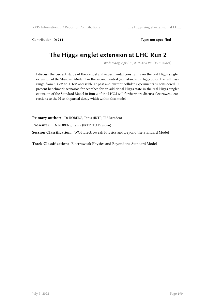Contribution ID: 211 Type: **not specified** 

# **The Higgs singlet extension at LHC Run 2**

*Wednesday, April 13, 2016 4:50 PM (15 minutes)*

I discuss the current status of theoretical and experimental constraints on the real Higgs singlet extension of the Standard Model. For the second neutral (non-standard) Higgs boson the full mass range from 1 GeV to 1 TeV accessible at past and current collider experiments is considered. I present benchmark scenarios for searches for an additional Higgs state in the real Higgs singlet extension of the Standard Model in Run 2 of the LHC.I will furthermore discuss electroweak corrections to the H to hh partial decay width within this model.

**Primary author:** Dr ROBENS, Tania (IKTP, TU Dresden)

**Presenter:** Dr ROBENS, Tania (IKTP, TU Dresden)

**Session Classification:** WG3 Electroweak Physics and Beyond the Standard Model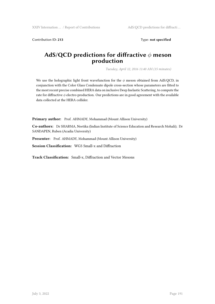Contribution ID: 213 Type: **not specified** 

# **AdS/QCD predictions for diffractive** *ϕ* **meson production**

*Tuesday, April 12, 2016 11:40 AM (15 minutes)*

We use the holographic light front wavefunction for the  $\phi$  meson obtained from AdS/QCD, in conjunction with the Color Glass Condensate dipole cross-section whose parameters are fitted to the most recent precise combined HERA data on inclusive Deep Inelastic Scattering, to compute the rate for diffractive *ϕ* electro-production. Our predictions are in good agreement with the available data collected at the HERA collider.

Primary author: Prof. AHMADY, Mohammad (Mount Allison University)

**Co-authors:** Dr SHARMA, Neetika (Indian Institute of Science Education and Research Mohali); Dr SANDAPEN, Ruben (Acadia University)

Presenter: Prof. AHMADY, Mohammad (Mount Allison University)

**Session Classification:** WG5 Small-x and Diffraction

**Track Classification:** Small-x, Diffraction and Vector Mesons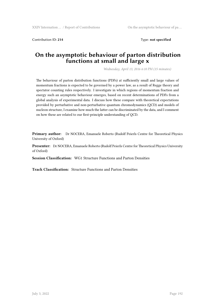Contribution ID: **214** Type: **not specified**

## **On the asymptotic behaviour of parton distribution functions at small and large x**

*Wednesday, April 13, 2016 6:10 PM (15 minutes)*

The behaviour of parton distribution functions (PDFs) at sufficiently small and large values of momentum fractions is expected to be governed by a power law, as a result of Regge theory and spectator counting rules respectively. I investigate in which regions of momentum fraction and energy such an asymptotic behaviour emerges, based on recent determinations of PDFs from a global analysis of experimental data. I discuss how these compare with theoretical expectations provided by perturbative and non-perturbative quantum chromodynamics (QCD) and models of nucleon structure, I examine how much the latter can be discriminated by the data, and I comment on how these are related to our first-principle understanding of QCD.

**Primary author:** Dr NOCERA, Emanuele Roberto (Rudolf Peierls Centre for Theoretical Physics University of Oxford)

**Presenter:** Dr NOCERA, Emanuele Roberto (Rudolf Peierls Centre for Theoretical Physics University of Oxford)

**Session Classification:** WG1 Structure Functions and Parton Densities

**Track Classification:** Structure Functions and Parton Densities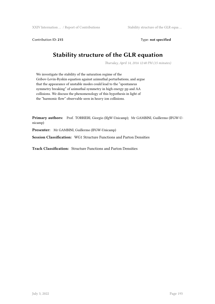Contribution ID: 215 Type: **not specified** 

# **Stability structure of the GLR equation**

*Thursday, April 14, 2016 12:40 PM (15 minutes)*

We investigate the stability of the saturation regime of the Gribov-Levin-Ryskin equation against azimuthal perturbations, and argue that the appearance of unstable modes could lead to the "spontaneus symmetry breaking" of azimuthal symmetry in high energy pp and AA collisions. We discuss the phenomenology of this hypothesis in light of the "harmonic flow" observable seen in heavy ion collisions.

**Primary authors:** Prof. TORRIERI, Giorgio (IfgW-Unicamp); Mr GAMBINI, Guillermo (IFGW-Unicamp)

**Presenter:** Mr GAMBINI, Guillermo (IFGW-Unicamp)

**Session Classification:** WG1 Structure Functions and Parton Densities

**Track Classification:** Structure Functions and Parton Densities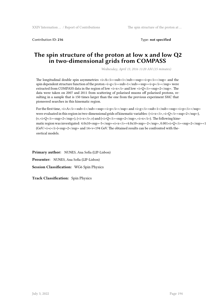Contribution ID: **216** Type: **not specified**

# **The spin structure of the proton at low x and low Q2 in two-dimensional grids from COMPASS**

*Wednesday, April 13, 2016 11:20 AM (15 minutes)*

The longitudinal double spin asymmetries  $\langle i \rangle A \langle i \rangle \langle \langle s \rangle A \langle j \rangle \langle s \rangle$  and the longitudinal double spin asymmetries  $\langle i \rangle A \langle j \rangle \langle s \rangle$ spin dependent structure function of the proton  $\langle i \rangle g \langle i \rangle \langle s \rangle$  sub $\langle i \rangle g \langle j \rangle \langle s \rangle = \langle j \rangle g \langle j \rangle$  were extracted from COMPASS data in the region of low *<i>x</i>* and low *<i>Q*</i></u>><sup>2</sup>. The data were taken on 2007 and 2011 from scattering of polarised muons off polarised protons, resulting in a sample that is 150 times larger than the one from the previous experiment SMC that pioneered searches in this kinematic region.

For the first time,  $\langle i \rangle A \langle j \rangle \langle sub \rangle = \langle |i \rangle \langle sub \rangle$  and  $\langle i \rangle \langle sub \rangle = \langle ib \rangle \langle sub \rangle = \langle sub \rangle \langle sub \rangle$ were evaluated in this region in two-dimensional grids of kinematic variables:  $\langle$ *z*,*z*/ $\langle$ *i*>,*zi*> $Q$ *</i>* $\langle$ *z*/ $\langle$ *sup>2</sup>*), (v, \lefta i>Q\lefta i>Sup>2\lefta i\tip (\lefta i\tip control), (\lefta i>Suppermum (i) and (\lefta i>Q\lefta i>Q\lefta integration, \lefta integration, \end{math}\$ \cdot i\_{\lefta i\tip control). The following kinematic region was investigated:  $4.0x10 \leq \frac{\text{sup}}{2}$  -5</sup>  $\frac{\text{sup}}{2}$  -x<sup>2</sup>/i> $\frac{\text{sup}}{2}$  -2</sup>  $2\frac{\text{sup}}{2}$  -2</sup> $\frac{\text{sup}}{2}$  -2</sup> $\frac{\text{sup}}{2}$  -2</sup>2</sup>2</sup>2 (GeV/<i>c</i>)<sup>2</sup> and 14<ν<194 GeV. The obtained results can be confronted with theoretical models.

**Primary author:** NUNES, Ana Sofia (LIP-Lisbon) **Presenter:** NUNES, Ana Sofia (LIP-Lisbon) **Session Classification:** WG6 Spin Physics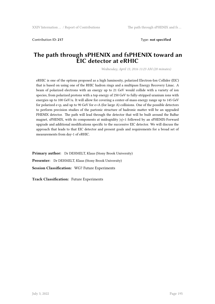Contribution ID: **217** Type: **not specified**

### **The path through sPHENIX and fsPHENIX toward an EIC detector at eRHIC**

*Wednesday, April 13, 2016 11:23 AM (20 minutes)*

eRHIC is one of the options proposed as a high luminosity, polarized Electron-Ion Collider (EIC) that is based on using one of the RHIC hadron rings and a multipass Energy Recovery Linac. A beam of polarized electrons with an energy up to 21 GeV would collide with a variety of ion species, from polarized protons with a top energy of 250 GeV to fully-stripped uranium ions with energies up to 100 GeV/u. It will allow for covering a center-of-mass energy range up to 145 GeV for polarized e+p, and up to 90 GeV for e+A (for large A) collisions. One of the possible detectors to perform precision studies of the partonic structure of hadronic matter will be an upgraded PHENIX detector. The path will lead through the detector that will be built around the BaBar magnet, sPHENIX, with its components at midrapidity |*η*|<1 followed by an sPHENIX-Forward upgrade and additional modifications specific to the successive EIC detector. We will discuss the approach that leads to that EIC detector and present goals and requirements for a broad set of measurements from day-1 of eRHIC.

**Primary author:** Dr DEHMELT, Klaus (Stony Brook University) **Presenter:** Dr DEHMELT, Klaus (Stony Brook University) **Session Classification:** WG7 Future Experiments

**Track Classification:** Future Experiments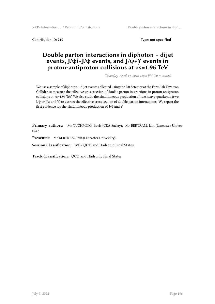XXIV Internation … / Report of Contributions Double parton interactions in diph …

Contribution ID: **219** Type: **not specified**

# **Double parton interactions in diphoton + dijet events, J/ψi+J/ψ events, and J/ψ+Υ events in proton-antiproton collisions at √s=1.96 TeV**

*Thursday, April 14, 2016 12:36 PM (20 minutes)*

We use a sample of diphoton + dijet events collected using the D0 detector at the Fermilab Tevatron Collider to measure the effective cross section of double parton interactions in proton-antiproton collisions at √s=1.96 TeV. We also study the simultaneous production of two heavy quarkonia (two J/ψ or J/ψ and Υ) to extract the effective cross section of double parton interactions. We report the first evidence for the simultaneous production of J/ψ and Υ.

**Primary authors:** Mr TUCHMING, Boris (CEA Saclay); Mr BERTRAM, Iain (Lancaster University)

**Presenter:** Mr BERTRAM, Iain (Lancaster University)

**Session Classification:** WG2 QCD and Hadronic Final States

**Track Classification:** QCD and Hadronic Final States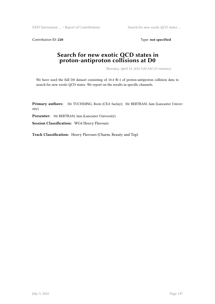XXIV Internation ... / Report of Contributions Search for new exotic QCD states ...

Contribution ID: 220 Type: **not specified** 

## **Search for new exotic QCD states in proton-antiproton collisions at D0**

*Thursday, April 14, 2016 9:20 AM (15 minutes)*

We have used the full D0 dataset consisting of 10.4 fb-1 of proton-antiproton collision data to search for new exotic QCD states. We report on the results in specific channels.

**Primary authors:** Mr TUCHMING, Boris (CEA Saclay); Mr BERTRAM, Iain (Lancaster University)

**Presenter:** Mr BERTRAM, Iain (Lancaster University)

**Session Classification:** WG4 Heavy Flavours

**Track Classification:** Heavy Flavours (Charm, Beauty and Top)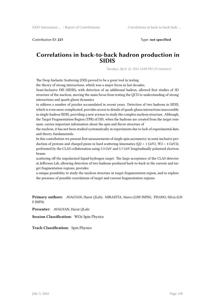Contribution ID: **221** Type: **not specified**

### **Correlations in back-to-back hadron production in SIDIS**

*Tuesday, April 12, 2016 12:00 PM (15 minutes)*

The Deep Inelastic Scattering (DIS) proved to be a great tool in testing

the theory of strong interactions, which was a major focus in last decades.

Semi-Inclusive DIS (SIDIS), with detection of an additional hadron, allowed first studies of 3D structure of the nucleon, moving the main focus from testing the QCD to understanding of strong interactions and quark-gluon dynamics

to address a number of puzzles accumulated in recent years. Detection of two hadrons in SIDIS, which is even more complicated, provides access to details of quark-gluon interactions inaccessible in single-hadron SIDIS, providing a new avenue to study the complex nucleon structure. Although, the Target Fragmentation Region (TFR) of DIS, when the hadrons are created from the target remnant, carries important information about the spin and flavor structure of

the nucleon, it has not been studied systematically in experiments due to lack of experimental data and theory fundamentals.

In this contribution we present first measurements of single spin asymmetry in semi-inclusive production of protons and charged pions in hard scattering kinematics ( $Q2 > 1$  GeV2,  $W2 > 4$  GeV2), performed by the CLAS collaboration using 5.5 GeV and 5.7 GeV longitudinally polarized electron beams

scattering off the unpolarized liquid-hydrogen target. The large acceptance of the CLAS detector at Jefferson Lab, allowing detection of two hadrons produced back-to-back in the current and target fragmentation regions, provides

a unique possibility to study the nucleon structure in target fragmentation region, and to explore the presence of possible correlations of target and current fragmentation regions.

**Primary authors:** AVAGYAN, Harut (JLab); MIRAZITA, Marco (LNF-INFN); PISANO, Silvia (LN-F-INFN)

**Presenter:** AVAGYAN, Harut (JLab)

**Session Classification:** WG6 Spin Physics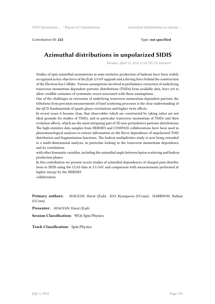Contribution ID: **222** Type: **not specified**

# **Azimuthal distributions in unpolarized SIDIS**

*Tuesday, April 12, 2016 12:20 PM (15 minutes)*

Studies of spin-azimuthal asymmetries in semi-inclusive production of hadrons have been widely recognized as key objectives of the JLab 12 GeV upgrade and a driving force behind the construction of the Electron Ion Collider. Various assumptions involved in preliminary extraction of underlying transverse momentum dependent partonic distributions (TMDs) from available data, have yet to allow credible estimates of systematic errors associated with those assumptions.

One of the challenges in extraction of underlying transverse momentum dependent partonic distributions from precision measurements of hard scattering processes is the clear understanding of the QCD fundamentals of quark-gluon correlations and higher twist effects.

In recent years it became clear, that observables which are constructed by taking ratios are not ideal grounds for studies of TMDs, and in particular transverse momentum of TMDs and their evolution effects, which are the most intriguing part of 3D non-perturbative partonic distributions. The high-statistics data samples from HERMES and COMPASS collaborations have been used in phenomenological analyses to extract information on the flavor dependence of unpolarized TMD distribution and fragmentation functions. The hadron multiplicities study is now being extended to a multi-dimensional analysis, in particular looking to the transverse momentum dependence and its correlations

with other kinematic variables, including the azimuthal angle between lepton scattering and hadron production planes.

In this contribution we present recent studies of azimuthal dependences of charged pion distributions in SIDIS using the CLAS data at 5.5 GeV, and comparison with measurements performed at higher energy by the HERMES

collaboration.

**Primary authors:** AVAGYAN, Harut (JLab); JOO, Kyungseon (UConn); HARRISON, Nathan (UConn)

**Presenter:** AVAGYAN, Harut (JLab)

**Session Classification:** WG6 Spin Physics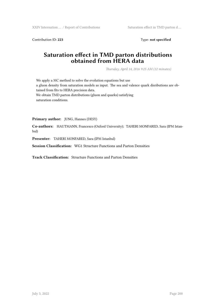Contribution ID: 223 Type: **not specified** 

# **Saturation effect in TMD parton distributions obtained from HERA data**

*Thursday, April 14, 2016 9:25 AM (12 minutes)*

We apply a MC method to solve the evolution equations but use a gluon density from saturation models as input. The sea and valence quark disributions are obtained from fits to HERA precision data. We obtain TMD parton distributions (gluon and quarks) satisfying saturation conditions.

**Primary author:** JUNG, Hannes (DESY)

**Co-authors:** HAUTMANN, Francesco (Oxford University); TAHERI MONFARED, Sara (IPM Istanbul)

**Presenter:** TAHERI MONFARED, Sara (IPM Istanbul)

**Session Classification:** WG1 Structure Functions and Parton Densities

**Track Classification:** Structure Functions and Parton Densities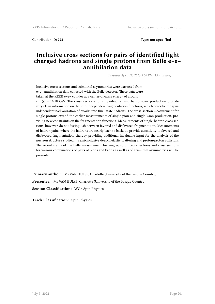Contribution ID: **225** Type: **not specified**

## **Inclusive cross sections for pairs of identified light charged hadrons and single protons from Belle e+e− annihilation data**

*Tuesday, April 12, 2016 5:50 PM (15 minutes)*

Inclusive cross sections and azimuthal asymmetries were extracted from e+e− annihilation data collected with the Belle detector. These data were taken at the KEKB e+e− collider at a center-of-mass energy of around  $sart(s) = 10.58$  GeV. The cross sections for single-hadron and hadron-pair production provide very clean information on the spin-independent fragmentation functions, which describe the spinindependent hadronization of quarks into final-state hadrons. The cross-section measurement for single protons extend the earlier measurements of single-pion and single-kaon production, providing new constraints on the fragmentation functions. Measurements of single-hadron cross sections, however, do not distinguish between favored and disfavored fragmentation. Measurements of hadron pairs, where the hadrons are nearly back to back, do provide sensitivity to favored and disfavored fragmentation, thereby providing additional invaluable input for the analysis of the nucleon structure studied in semi-inclusive deep-inelastic scattering and proton-proton collisions The recent status of the Belle measurement for single-proton cross sections and cross sections for various combinations of pairs of pions and kaons as well as of azimuthal asymmetries will be presented.

**Primary author:** Ms VAN HULSE, Charlotte (University of the Basque Country) **Presenter:** Ms VAN HULSE, Charlotte (University of the Basque Country) **Session Classification:** WG6 Spin Physics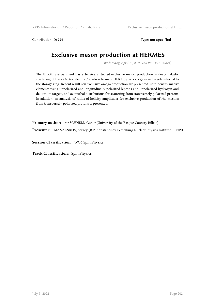XXIV Internation ... / Report of Contributions Exclusive meson production at HE ...

Contribution ID: 226 Type: **not specified** 

# **Exclusive meson production at HERMES**

*Wednesday, April 13, 2016 5:40 PM (15 minutes)*

The HERMES experiment has extensively studied exclusive meson production in deep-inelastic scattering of the 27.6 GeV electron/positron beam of HERA by various gaseous targets internal to the storage ring. Recent results on exclusive omega production are presented: spin-density matrix elements using unpolarized and longitudinally polarized leptons and unpolarized hydrogen and deuterium targets, and azimuthal distributions for scattering from transversely polarized protons. In addition, an analysis of ratios of helicity-amplitudes for exclusive production of rho mesons from transversely polarized protons is presented.

**Primary author:** Mr SCHNELL, Gunar (University of the Basque Country Bilbao)

**Presenter:** MANAENKOV, Sergey (B.P. Konstantinov Petersburg Nuclear Physics Institute - PNPI)

**Session Classification:** WG6 Spin Physics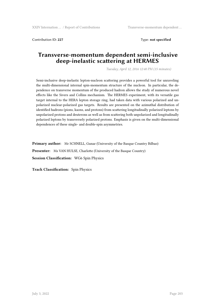Contribution ID: **227** Type: **not specified**

### **Transverse-momentum dependent semi-inclusive deep-inelastic scattering at HERMES**

*Tuesday, April 12, 2016 12:40 PM (15 minutes)*

Semi-inclusive deep-inelastic lepton-nucleon scattering provides a powerful tool for unraveling the multi-dimensional internal spin-momentum structure of the nucleon. In particular, the dependence on transverse momentum of the produced hadron allows the study of numerous novel effects like the Sivers and Collins mechanism. The HERMES experiment, with its versatile gas target internal to the HERA lepton storage ring, had taken data with various polarized and unpolarized nuclear-polarized gas targets. Results are presented on the azimuthal distribution of identified hadrons (pions, kaons, and protons) from scattering longitudinally polarized leptons by unpolarized protons and deuterons as well as from scattering both unpolarized and longitudinally polarized leptons by transversely polarized protons. Emphasis is given on the multi-dimensional dependences of these single- and double-spin asymmetries.

**Primary author:** Mr SCHNELL, Gunar (University of the Basque Country Bilbao) **Presenter:** Ms VAN HULSE, Charlotte (University of the Basque Country) **Session Classification:** WG6 Spin Physics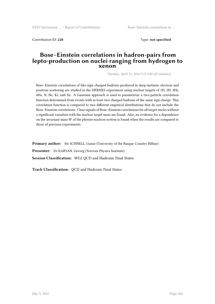Contribution ID: **228** Type: **not specified**

#### **Bose–Einstein correlations in hadron-pairs from lepto-production on nuclei ranging from hydrogen to xenon**

*Tuesday, April 12, 2016 9:15 AM (20 minutes)*

Bose–Einstein correlations of like-sign charged hadrons produced in deep-inelastic electron and positron scattering are studied in the HERMES experiment using nuclear targets of 1H, 2H, 3He, 4He, N, Ne, Kr, and Xe. A Gaussian approach is used to parametrize a two-particle correlation function determined from events with at least two charged hadrons of the same sign charge. This correlation function is compared to two different empirical distributions that do not include the Bose–Einstein correlations. Clear signals of Bose–Einstein correlations for all target nuclei without a significant variation with the nuclear target mass are found. Also, no evidence for a dependence on the invariant mass W of the photon-nucleon system is found when the results are compared to those of previous experiments.

**Primary author:** Mr SCHNELL, Gunar (University of the Basque Country Bilbao) **Presenter:** Dr KARYAN, Gevorg (Yerevan Physics Institute) **Session Classification:** WG2 QCD and Hadronic Final States

**Track Classification:** QCD and Hadronic Final States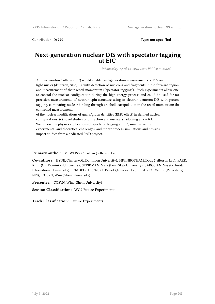Contribution ID: **229** Type: **not specified**

### **Next-generation nuclear DIS with spectator tagging at EIC**

*Wednesday, April 13, 2016 12:09 PM (20 minutes)*

An Electron-Ion Collider (EIC) would enable next-generation measurements of DIS on light nuclei (deuteron, 3He, …) with detection of nucleons and fragments in the forward region and measurement of their recoil momentum ("spectator tagging"). Such experiments allow one to control the nuclear configuration during the high-energy process and could be used for (a) precision measurements of neutron spin structure using in electron-deuteron DIS with proton tagging, eliminating nuclear binding through on-shell extrapolation in the recoil momentum; (b) controlled measurements

of the nuclear modifications of quark/gluon densities (EMC effect) in defined nuclear configurations; (c) novel studies of diffraction and nuclear shadowing at x « 0.1. We review the physics applications of spectator tagging at EIC, summarize the experimental and theoretical challenges, and report process simulations and physics impact studies from a dedicated R&D project.

**Primary author:** Mr WEISS, Christian (Jefferson Lab)

**Co-authors:** HYDE, Charles (Old Dominion University); HIGINBOTHAM, Doug (Jefferson Lab); PARK, Kijun (Old Dominion University); STRIKMAN, Mark (Penn State University); SARGSIAN, Misak (Florida International University); NADEL-TURONSKI, Pawel (Jefferson Lab); GUZEY, Vadim (Petersburg NPI); COSYN, Wim (Ghent University)

**Presenter:** COSYN, Wim (Ghent University)

**Session Classification:** WG7 Future Experiments

**Track Classification:** Future Experiments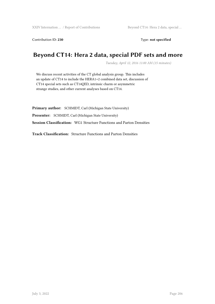Contribution ID: 230 Type: **not specified** 

# **Beyond CT14: Hera 2 data, special PDF sets and more**

*Tuesday, April 12, 2016 11:00 AM (15 minutes)*

We discuss recent activities of the CT global analysis group. This includes an update of CT14 to include the HERA1+2 combined data set, discussion of CT14 special sets such as CT14QED, intrinsic charm or asymmetric strange studies, and other current analyses based on CT14.

**Primary author:** SCHMIDT, Carl (Michigan State University) **Presenter:** SCHMIDT, Carl (Michigan State University) **Session Classification:** WG1 Structure Functions and Parton Densities

**Track Classification:** Structure Functions and Parton Densities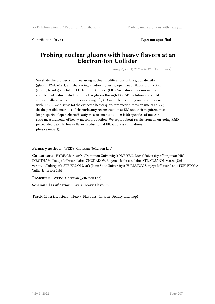Contribution ID: **231** Type: **not specified**

## **Probing nuclear gluons with heavy flavors at an Electron-Ion Collider**

*Tuesday, April 12, 2016 6:10 PM (15 minutes)*

We study the prospects for measuring nuclear modifications of the gluon density (gluonic EMC effect, antishadowing, shadowing) using open heavy flavor production (charm, beauty) at a future Electron-Ion Collider (EIC). Such direct measurements complement indirect studies of nuclear gluons through DGLAP evolution and could substantially advance our understanding of QCD in nuclei. Building on the experience with HERA, we discuss (a) the expected heavy quark production rates on nuclei at EIC; (b) the possible methods of charm/beauty reconstruction at EIC and their requirements; (c) prospects of open charm/beauty measurements at  $x > 0.1$ ; (d) specifics of nuclear ratio measurements of heavy meson production. We report about results from an on-going R&D project dedicated to heavy flavor production at EIC (process simulations, physics impact).

**Primary author:** WEISS, Christian (Jefferson Lab)

**Co-authors:** HYDE, Charles (Old Dominion University); NGUYEN, Dien (University of Virginia); HIG-INBOTHAM, Doug (Jefferson Lab); CHUDAKOV, Eugene (Jefferson Lab); STRATMANN, Marco (University at Tubingen); STRIKMAN, Mark (Penn State University); FURLETOV, Sergey (Jefferson Lab); FURLETOVA, Yulia (Jefferson Lab)

**Presenter:** WEISS, Christian (Jefferson Lab)

**Session Classification:** WG4 Heavy Flavours

**Track Classification:** Heavy Flavours (Charm, Beauty and Top)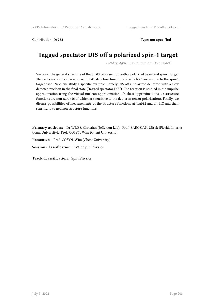Contribution ID: **232** Type: **not specified**

# **Tagged spectator DIS off a polarized spin-1 target**

*Tuesday, April 12, 2016 10:10 AM (15 minutes)*

We cover the general structure of the SIDIS cross section with a polarized beam and spin-1 target. The cross section is characterized by 41 structure functions of which 23 are unique to the spin-1 target case. Next, we study a specific example, namely DIS off a polarized deuteron with a slow detected nucleon in the final state ("tagged spectator DIS"). The reaction is studied in the impulse approximation using the virtual nucleon approximation. In these approximations, 25 structure functions are non-zero (16 of which are sensitive to the deuteron tensor polarization). Finally, we discuss possibilities of measurements of the structure functions at JLab12 and an EIC and their sensitivity to neutron structure functions.

**Primary authors:** Dr WEISS, Christian (Jefferson Lab); Prof. SARGSIAN, Misak (Florida International University); Prof. COSYN, Wim (Ghent University)

**Presenter:** Prof. COSYN, Wim (Ghent University)

**Session Classification:** WG6 Spin Physics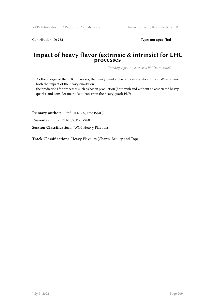Contribution ID: 233 Type: **not specified** 

#### **Impact of heavy flavor (extrinsic & intrinsic) for LHC processes**

*Tuesday, April 12, 2016 5:30 PM (15 minutes)*

As the energy of the LHC increases, the heavy quarks play a more significant role. We examine both the impact of the heavy quarks on

the predictions for processes such as boson production (both with and without an associated heavy quark), and consider methods to constrain the heavy quark PDFs.

Primary author: Prof. OLNESS, Fred (SMU)

Presenter: Prof. OLNESS, Fred (SMU)

**Session Classification:** WG4 Heavy Flavours

**Track Classification:** Heavy Flavours (Charm, Beauty and Top)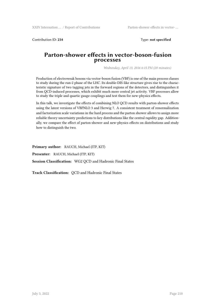Contribution ID: **234** Type: **not specified**

#### **Parton-shower effects in vector-boson-fusion processes**

*Wednesday, April 13, 2016 6:15 PM (20 minutes)*

Production of electroweak bosons via vector-boson fusion (VBF) is one of the main process classes to study during the run-2 phase of the LHC. Its double-DIS-like structure gives rise to the characteristic signature of two tagging jets in the forward regions of the detectors, and distinguishes it from QCD-induced processes, which exhibit much more central jet activity. VBF processes allow to study the triple and quartic gauge couplings and test them for new-physics effects.

In this talk, we investigate the effects of combining NLO QCD results with parton-shower effects using the latest versions of VBFNLO 3 and Herwig 7. A consistent treatment of renormalization and factorization scale variations in the hard process and the parton shower allows to assign more reliable theory uncertainty predictions to key distributions like the central rapidity gap. Additionally, we compare the effect of parton-shower and new-physics effects on distributions and study how to distinguish the two.

**Primary author:** RAUCH, Michael (ITP, KIT) **Presenter:** RAUCH, Michael (ITP, KIT) **Session Classification:** WG2 QCD and Hadronic Final States

**Track Classification:** QCD and Hadronic Final States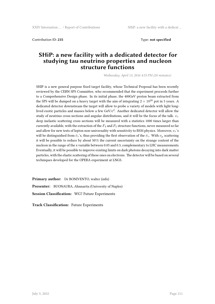Contribution ID: **235** Type: **not specified**

## **SHiP: a new facility with a dedicated detector for studying tau neutrino properties and nucleon structure functions**

*Wednesday, April 13, 2016 4:53 PM (20 minutes)*

SHIP is a new general purpose fixed target facility, whose Technical Proposal has been recently reviewed by the CERN SPS Committee, who recommended that the experiment proceeds further to a Comprehensive Design phase. In its initial phase, the 400GeV proton beam extracted from the SPS will be dumped on a heavy target with the aim of integrating  $2 \times 10^{20}$  pot in 5 years. A dedicated detector downstream the target will allow to probe a variety of models with light longlived exotic particles and masses below a few GeV/ $c^2$ . Another dedicated detector will allow the study of neutrino cross-sections and angular distributions, and it will be the focus of the talk. *ν<sup>τ</sup>* deep inelastic scattering cross sections will be measured with a statistics 1000 times larger than currently available, with the extraction of the  $F_4$  and  $F_5$  structure functions, never measured so far and allow for new tests of lepton non-universality with sensitivity to BSM physics. Moreover, *ν<sup>τ</sup>* 's will be distinguished from  $\bar{\nu}_{\tau}$ 's, thus providing the first observation of the  $\bar{\nu}_{\tau}$ . With  $\nu_{\mu}$  scattering it will be possible to reduce by about 50\% the current uncertainty on the strange content of the nucleon in the range of the x variable between 0.05 and 0.3, complementary to LHC measurements. Eventually, it will be possible to improve existing limits on dark photons decaying into dark matter particles, with the elastic scattering of these ones on electrons. The detector will be based on several techniques developed for the OPERA experiment at LNGS.

**Primary author:** Dr BONIVENTO, walter (infn) **Presenter:** BUONAURA, Ahnnarita (University of Naples) **Session Classification:** WG7 Future Experiments

**Track Classification:** Future Experiments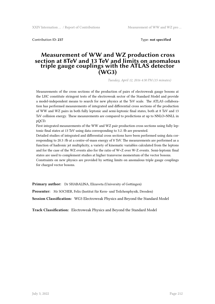Contribution ID: **237** Type: **not specified**

#### **Measurement of WW and WZ production cross section at 8TeV and 13 TeV and limits on anomalous triple gauge couplings with the ATLAS detector (WG3)**

*Tuesday, April 12, 2016 4:30 PM (15 minutes)*

Measurements of the cross sections of the production of pairs of electroweak gauge bosons at the LHC constitute stringent tests of the electroweak sector of the Standard Model and provide a model-independent means to search for new physics at the TeV scale. The ATLAS collaboration has performed measurements of integrated and differential cross sections of the production of WW and WZ pairs in both fully leptonic and semi-leptonic final states, both at 8 TeV and 13 TeV collision energy. These measurements are compared to predictions at up to NNLO+NNLL in pQCD.

First integrated measurements of the WW and WZ pair production cross sections using fully leptonic final states at 13 TeV using data corresponding to 3.2 /fb are presented.

Detailed studies of integrated and differential cross sections have been performed using data corresponding to 20.3 /fb at a centre-of-mass energy of 8 TeV. The measurements are performed as a function of hadronic jet multiplicity, a variety of kinematic variables calculated from the leptons and for the case of the WZ events also for the ratio of W+Z over W-Z events. Semi-leptonic final states are used to complement studies at higher transverse momentum of the vector bosons. Constraints on new physics are provided by setting limits on anomalous triple gauge couplings for charged vector bosons.

**Primary author:** Dr SHABALINA, Elizaveta (University of Gottingen)

**Presenter:** Mr SOCHER, Felix (Institut für Kern- und Teilchenphysik, Dresden)

**Session Classification:** WG3 Electroweak Physics and Beyond the Standard Model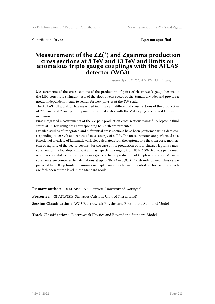Contribution ID: **238** Type: **not specified**

#### **Measurement of the ZZ(\*) and Zgamma production cross sections at 8 TeV and 13 TeV and limits on anomalous triple gauge couplings with the ATLAS detector (WG3)**

*Tuesday, April 12, 2016 4:50 PM (15 minutes)*

Measurements of the cross sections of the production of pairs of electroweak gauge bosons at the LHC constitute stringent tests of the electroweak sector of the Standard Model and provide a model-independent means to search for new physics at the TeV scale.

The ATLAS collaboration has measured inclusive and differential cross sections of the production of ZZ pairs and Z and photon pairs, using final states with the Z decaying to charged leptons or neutrinos.

First integrated measurements of the ZZ pair production cross sections using fully leptonic final states at 13 TeV using data corresponding to 3.2 /fb are presented.

Detailed studies of integrated and differential cross sections have been performed using data corresponding to 20.3 /fb at a centre-of-mass energy of 8 TeV. The measurements are performed as a function of a variety of kinematic variables calculated from the leptons, like the transverse momentum or rapidity of the vector bosons. For the case of the production of four charged leptons a measurement of the four-lepton invariant mass spectrum ranging from 80 to 1000 GeV was performed, where several distinct physics processes give rise to the production of 4-lepton final state. All measurements are compared to calculations at up to NNLO in pQCD. Constraints on new physics are provided by setting limits on anomalous triple couplings between neutral vector bosons, which are forbidden at tree level in the Standard Model.

**Primary author:** Dr SHABALINA, Elizaveta (University of Gottingen)

**Presenter:** GKAITATZIS, Stamatios (Aristotle Univ. of Thessaloniki)

**Session Classification:** WG3 Electroweak Physics and Beyond the Standard Model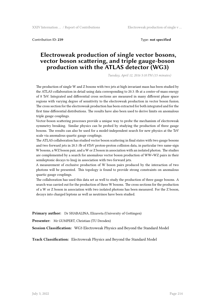Contribution ID: **239** Type: **not specified**

## **Electroweak production of single vector bosons, vector boson scattering, and triple gauge-boson production with the ATLAS detector (WG3)**

*Tuesday, April 12, 2016 5:10 PM (15 minutes)*

The production of single W and Z bosons with two jets at high invariant mass has been studied by the ATLAS collaboration in detail using data corresponding to 20.3 /fb at a centre-of-mass energy of 8 TeV. Integrated and differential cross sections are measured in many different phase space regions with varying degree of sensitivity to the electroweak production in vector boson fusion. The cross section for the electroweak production has been extracted for both integrated and for the first time differential distributions. The results have also been used to derive limits on anomalous triple gauge couplings.

Vector-boson scattering processes provide a unique way to probe the mechanism of electroweak symmetry breaking. Similar physics can be probed by studying the production of three gauge bosons. The results can also be used for a model-independent search for new physics at the TeV scale via anomalous quartic gauge couplings.

The ATLAS collaboration has studied vector boson scattering in final states with two gauge bosons and two forward jets in 20.3 /fb of 8TeV proton-proton collision data, in particular two same-sign W bosons, a WZ boson pair, and a W or Z boson in association with an isolated photon. The studies are complemented by a search for anomalous vector boson production of WW+WZ pairs in their semileptonic decays to lnujj in association with two forward jets.

A measurement of exclusive production of W boson pairs produced by the interaction of two photons will be presented. This topology is found to provide strong constraints on anomalous quartic gauge couplings.

The collaboration has used this data set as well to study the production of three gauge bosons. A search was carried out for the production of three W bosons. The cross sections for the production of a W or Z boson in association with two isolated photons has been measured. For the Z boson, decays into charged leptons as well as neutrinos have been studied.

**Primary author:** Dr SHABALINA, Elizaveta (University of Gottingen)

**Presenter:** Mr GUMPERT, Christian (TU Dresden)

**Session Classification:** WG3 Electroweak Physics and Beyond the Standard Model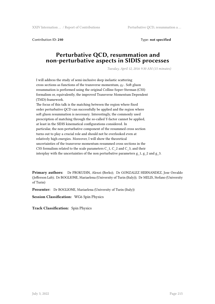Contribution ID: **240** Type: **not specified**

### **Perturbative QCD, resummation and non-perturbative aspects in SIDIS processes**

*Tuesday, April 12, 2016 9:30 AM (15 minutes)*

I will address the study of semi-inclusive deep inelastic scattering cross sections as functions of the transverse momentum,  $q_T$ . Soft gluon resummation is performed using the original Collins-Soper-Sterman (CSS) formalism or, equivalently, the improved Transverse Momentum Dependent (TMD) framework.

The focus of this talk is the matching between the region where fixed order perturbative QCD can successfully be applied and the region where soft gluon resummation is necessary. Interestingly, the commonly used prescription of matching through the so-called Y-factor cannot be applied, at least in the SIDIS kinematical configurations considered. In particular, the non-perturbative component of the resummed cross section turns out to play a crucial role and should not be overlooked even at relatively high energies. Moreover, I will show the theoretical uncertainties of the transverse momentum resummed cross sections in the CSS formalism related to the scale parameters C\_1, C\_2 and C\_3, and their interplay with the uncertainties of the non perturbative parameters  $g_1$ ,  $g_2$  and  $g_3$ .

**Primary authors:** Dr PROKUDIN, Alexei (Berks); Dr GONZALEZ HERNANDEZ, Jose Osvaldo (Jefferson Lab); Dr BOGLIONE, Mariaelena (University of Turin (Italy)); Dr MELIS, Stefano (University of Turin)

**Presenter:** Dr BOGLIONE, Mariaelena (University of Turin (Italy))

**Session Classification:** WG6 Spin Physics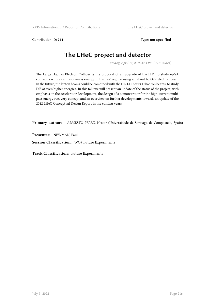Contribution ID: 241 **Type: not specified** 

# **The LHeC project and detector**

*Tuesday, April 12, 2016 4:53 PM (25 minutes)*

The Large Hadron Electron Collider is the proposal of an upgrade of the LHC to study ep/eA collisions with a centre-of-mass energy in the TeV regime using an about 60 GeV electron beam. In the future, the lepton beams could be combined with the HE-LHC or FCC hadron beams, to study DIS at even higher energies. In this talk we will present an update of the status of the project, with emphasis on the accelerator development, the design of a demonstrator for the high-current multipass energy recovery concept and an overview on further developments towards an update of the 2012 LHeC Conceptual Design Report in the coming years.

**Primary author:** ARMESTO PEREZ, Nestor (Universidade de Santiago de Compostela, Spain)

**Presenter:** NEWMAN, Paul

**Session Classification:** WG7 Future Experiments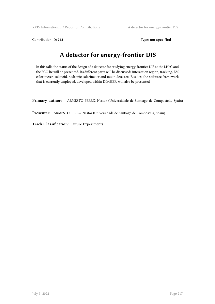Contribution ID: 242 Type: **not specified** 

# **A detector for energy-frontier DIS**

In this talk, the status of the design of a detector for studying energy-frontier DIS at the LHeC and the FCC-he will be presented. Its different parts will be discussed: interaction region, tracking, EM calorimeter, solenoid, hadronic calorimeter and muon detector. Besides, the software framework that is currently employed, developed within DD4HEP, will also be presented.

**Primary author:** ARMESTO PEREZ, Nestor (Universidade de Santiago de Compostela, Spain)

**Presenter:** ARMESTO PEREZ, Nestor (Universidade de Santiago de Compostela, Spain)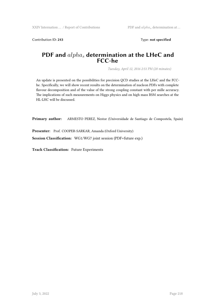Contribution ID: 243 Type: **not specified** 

### **PDF and** *alpha<sup>s</sup>* **determination at the LHeC and FCC-he**

*Tuesday, April 12, 2016 2:51 PM (20 minutes)*

An update is presented on the possibilities for precision QCD studies at the LHeC and the FCChe. Specifically, we will show recent results on the determination of nucleon PDFs with complete flavour decomposition and of the value of the strong coupling constant with per mille accuracy. The implications of such measurements on Higgs physics and on high mass BSM searches at the HL-LHC will be discussed.

**Primary author:** ARMESTO PEREZ, Nestor (Universidade de Santiago de Compostela, Spain)

**Presenter:** Prof. COOPER-SARKAR, Amanda (Oxford University)

**Session Classification:** WG1/WG7 joint session (PDF+future exp.)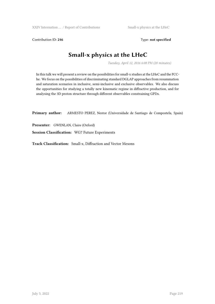Contribution ID: 246 Type: not specified

# **Small-x physics at the LHeC**

*Tuesday, April 12, 2016 6:08 PM (20 minutes)*

In this talk we will present a review on the possibilities for small-x studies at the LHeC and the FCChe. We focus on the possibilities of discriminating standard DGLAP approaches from resummation and saturation scenarios in inclusive, semi-inclusive and exclusive observables. We also discuss the opportunities for studying a totally new kinematic regime in diffractive production, and for analysing the 3D proton structure through different observables constraining GPDs.

**Primary author:** ARMESTO PEREZ, Nestor (Universidade de Santiago de Compostela, Spain)

**Presenter:** GWENLAN, Claire (Oxford)

**Session Classification:** WG7 Future Experiments

**Track Classification:** Small-x, Diffraction and Vector Mesons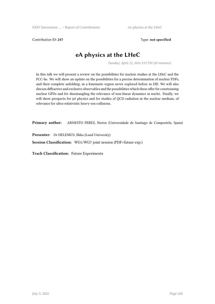Contribution ID: 247 Type: **not specified** 

# **eA physics at the LHeC**

*Tuesday, April 12, 2016 3:37 PM (20 minutes)*

In this talk we will present a review on the possibilities for nuclear studies at the LHeC and the FCC-he. We will show an update on the possibilities for a precise determination of nuclear PDFs, and their complete unfolding, in a kinematic region never explored before in DIS. We will also discuss diffractive and exclusive observables and the possibilities which these offer for constraining nuclear GPDs and for disentangling the relevance of non-linear dynamics in nuclei. Finally, we will show prospects for jet physics and for studies of QCD radiation in the nuclear medium, of relevance for ultra-relativistic heavy-ion collisions.

**Primary author:** ARMESTO PEREZ, Nestor (Universidade de Santiago de Compostela, Spain)

**Presenter:** Dr HELENIUS, Ilkka (Lund University)

**Session Classification:** WG1/WG7 joint session (PDF+future exp.)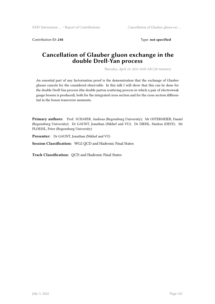Contribution ID: 248 Type: **not specified** 

### **Cancellation of Glauber gluon exchange in the double Drell-Yan process**

*Thursday, April 14, 2016 10:05 AM (20 minutes)*

An essential part of any factorisation proof is the demonstration that the exchange of Glauber gluons cancels for the considered observable. In this talk I will show that this can be done for the double Drell-Yan process (the double parton scattering process in which a pair of electroweak gauge bosons is produced), both for the integrated cross section and for the cross section differential in the boson transverse momenta.

**Primary authors:** Prof. SCHAFER, Andreas (Regensburg University); Mr OSTERMEIER, Daniel (Regensburg University); Dr GAUNT, Jonathan (Nikhef and VU); Dr DIEHL, Markus (DESY); Mr PLOESSL, Peter (Regensburg University)

**Presenter:** Dr GAUNT, Jonathan (Nikhef and VU)

**Session Classification:** WG2 QCD and Hadronic Final States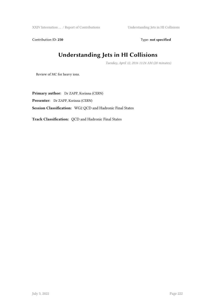XXIV Internation ... / Report of Contributions Understanding Jets in HI Collisions

Contribution ID: 250 Type: **not specified** 

# **Understanding Jets in HI Collisions**

*Tuesday, April 12, 2016 11:24 AM (20 minutes)*

Review of MC for heavy ions.

**Primary author:** Dr ZAPP, Korinna (CERN) **Presenter:** Dr ZAPP, Korinna (CERN) **Session Classification:** WG2 QCD and Hadronic Final States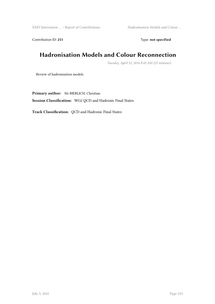XXIV Internation ... / Report of Contributions Hadronisation Models and Colour ...

Contribution ID: 251 Type: **not specified** 

# **Hadronisation Models and Colour Reconnection**

*Tuesday, April 12, 2016 8:45 AM (25 minutes)*

Review of hadronisation models.

**Primary author:** Mr BIERLICH, Christian **Session Classification:** WG2 QCD and Hadronic Final States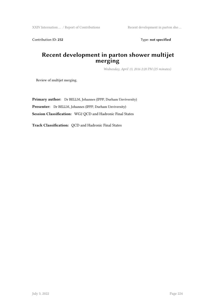Contribution ID: 252 Type: **not specified** 

### **Recent development in parton shower multijet merging**

*Wednesday, April 13, 2016 2:20 PM (25 minutes)*

Review of multijet merging.

**Primary author:** Dr BELLM, Johannes (IPPP, Durham Unviversity) **Presenter:** Dr BELLM, Johannes (IPPP, Durham Unviversity) **Session Classification:** WG2 QCD and Hadronic Final States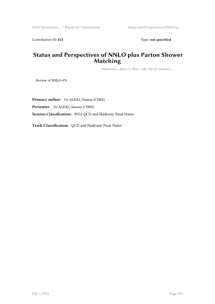Contribution ID: 253 Type: **not specified** 

### **Status and Perspectives of NNLO plus Parton Shower Matching**

*Wednesday, April 13, 2016 11:00 AM (25 minutes)*

Review of NNLO+PS

**Primary author:** Dr ALIOLI, Simone (CERN) **Presenter:** Dr ALIOLI, Simone (CERN) **Session Classification:** WG2 QCD and Hadronic Final States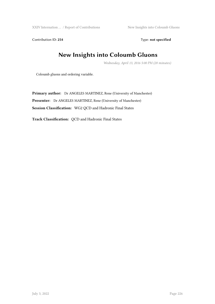XXIV Internation ... / Report of Contributions New Insights into Coloumb Gluons

Contribution ID: 254 Type: **not specified** 

# **New Insights into Coloumb Gluons**

*Wednesday, April 13, 2016 5:00 PM (20 minutes)*

Coloumb gluons and ordering variable.

**Primary author:** Dr ANGELES MARTINEZ, Rene (University of Manchester) **Presenter:** Dr ANGELES MARTINEZ, Rene (University of Manchester) **Session Classification:** WG2 QCD and Hadronic Final States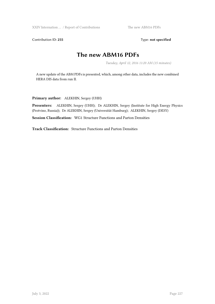XXIV Internation ... / Report of Contributions The new ABM16 PDFs

Contribution ID: 255 Type: **not specified** 

## **The new ABM16 PDFs**

*Tuesday, April 12, 2016 11:20 AM (15 minutes)*

A new update of the ABM PDFs is presented, which, among other data, includes the new combined HERA DIS data from run II.

**Primary author:** ALEKHIN, Sergey (UHH)

**Presenters:** ALEKHIN, Sergey (UHH); Dr ALEKHIN, Sergey (Institute for High Energy Physics (Protvino, Russia)); Dr ALEKHIN, Sergey (Universität Hamburg); ALEKHIN, Sergey (DESY)

**Session Classification:** WG1 Structure Functions and Parton Densities

**Track Classification:** Structure Functions and Parton Densities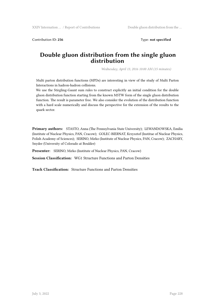Contribution ID: **256** Type: **not specified**

### **Double gluon distribution from the single gluon distribution**

*Wednesday, April 13, 2016 10:00 AM (15 minutes)*

Multi parton distribution functions (MPDs) are interesting in view of the study of Multi Parton Interactions in hadron-hadron collisions.

We use the Stirgling-Gaunt sum rules to construct explicitly an initial condition for the double gluon distribution function starting from the known MSTW form of the single gluon distribution function. The result is parameter free. We also consider the evolution of the distribution function with a hard scale numerically and discuss the perspective for the extension of the results to the quark sector.

**Primary authors:** STASTO, Anna (The Pennsylvania State University); LEWANDOWSKA, Emilia (Institute of Nuclear Physics, PAN, Cracow); GOLEC-BIERNAT, Krzysztof (Institue of Nuclear Physics, Polish Academy of Sciences); SERINO, Mirko (Institute of Nuclear Physics, PAN, Cracow); ZACHARY, Snyder (University of Colorado at Boulder)

**Presenter:** SERINO, Mirko (Institute of Nuclear Physics, PAN, Cracow)

**Session Classification:** WG1 Structure Functions and Parton Densities

**Track Classification:** Structure Functions and Parton Densities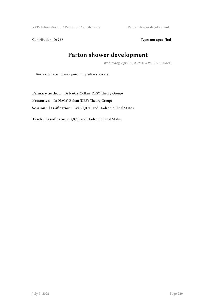XXIV Internation ... / Report of Contributions Parton shower development

Contribution ID: 257 Type: **not specified** 

# **Parton shower development**

*Wednesday, April 13, 2016 4:30 PM (25 minutes)*

Review of recent development in parton showers.

**Primary author:** Dr NAGY, Zoltan (DESY Theory Group) **Presenter:** Dr NAGY, Zoltan (DESY Theory Group) **Session Classification:** WG2 QCD and Hadronic Final States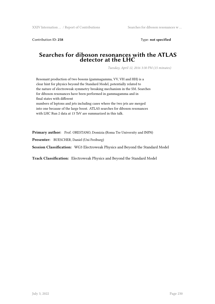Contribution ID: **258** Type: **not specified**

#### **Searches for diboson resonances with the ATLAS detector at the LHC**

*Tuesday, April 12, 2016 3:30 PM (15 minutes)*

Resonant production of two bosons (gammagamma, VV, VH and HH) is a clear hint for physics beyond the Standard Model, potentially related to the nature of electroweak symmetry breaking mechanism in the SM. Searches for diboson resonances have been performed in gammagamma and in final states with different numbers of leptons and jets including cases where the two jets are merged into one because of the large boost. ATLAS searches for diboson resonances with LHC Run 2 data at 13 TeV are summarized in this talk.

**Primary author:** Prof. ORESTANO, Domizia (Roma Tre University and INFN)

**Presenter:** BUESCHER, Daniel (Uni Freiburg)

**Session Classification:** WG3 Electroweak Physics and Beyond the Standard Model

**Track Classification:** Electroweak Physics and Beyond the Standard Model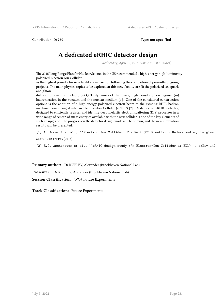Contribution ID: **259** Type: **not specified**

# **A dedicated eRHIC detector design**

*Wednesday, April 13, 2016 11:00 AM (20 minutes)*

The 2015 Long Range Plan for Nuclear Science in the US recommended a high-energy high-luminosity polarized Electron-Ion Collider

as the highest priority for new facility construction following the completion of presently ongoing projects. The main physics topics to be explored at this new facility are (i) the polarized sea quark and gluon

distributions in the nucleon, (ii) QCD dynamics of the low-x, high density gluon regime, (iii) hadronization in the vacuum and the nuclear medium [1]. One of the considered construction options is the addition of a high-energy polarized electron beam to the existing RHIC hadron machine, converting it into an Electron-Ion Collider (eRHIC) [2]. A dedicated eRHIC detector, designed to efficiently register and identify deep inelastic electron scattering (DIS) processes in a wide range of center-of-mass energies available with the new collider is one of the key elements of such an upgrade. The progress on the detector design work will be shown, and the new simulation results will be presented.

[1] A. Accardi et al., ``Electron Ion Collider: The Next QCD Frontier - Understanding the glue arXiv:1212.1701v3 (2014).

[2] E.C. Aschenauer et al., ``eRHIC design study (An Electron-Ion Collider at BNL)'', arXiv:140

**Primary author:** Dr KISELEV, Alexander (Brookhaven National Lab)

**Presenter:** Dr KISELEV, Alexander (Brookhaven National Lab)

**Session Classification:** WG7 Future Experiments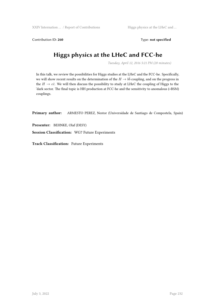Contribution ID: 260 Type: **not specified** 

# **Higgs physics at the LHeC and FCC-he**

*Tuesday, April 12, 2016 5:21 PM (20 minutes)*

In this talk, we review the possibilities for Higgs studies at the LHeC and the FCC-he. Specifically, we will show recent results on the determination of the  $H\to b\bar b$  coupling, and on the progress in the  $H \to c\bar{c}$ . We will then discuss the possibility to study at LHeC the coupling of Higgs to the 'dark sector. The final topic is HH production at FCC-he and the sensitivity to anomalous (=BSM) couplings.

**Primary author:** ARMESTO PEREZ, Nestor (Universidade de Santiago de Compostela, Spain)

**Presenter:** BEHNKE, Olaf (DESY)

**Session Classification:** WG7 Future Experiments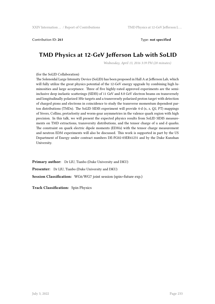Contribution ID: **261** Type: **not specified**

## **TMD Physics at 12-GeV Jefferson Lab with SoLID**

*Wednesday, April 13, 2016 3:39 PM (20 minutes)*

#### (for the SoLID Collaboration)

The Solenoidal Large Intensity Device (SoLID) has been proposed in Hall A at Jefferson Lab, which will fully utilize the great physics potential of the 12-GeV energy upgrade by combining high luminosities and large acceptance. Three of five highly-rated approved experiments are the semiinclusive deep inelastic scatterings (SIDIS) of 11 GeV and 8.8 GeV electron beams on transversely and longitudinally polarized 3He targets and a transversely polarized proton target with detection of charged pions and electrons in coincidence to study the transverse momentum dependent parton distributions (TMDs). The SoLID SIDIS experiment will provide 4-d (x, z, Q2, PT) mappings of Sivers, Collins, pretzelostiy and worm-gear asymmetries in the valence quark region with high precision. In this talk, we will present the expected physics results from SoLID SIDIS measurements on TMD extractions, transversity distributions, and the tensor charge of u and d quarks. The constraint on quark electric dipole moments (EDMs) with the tensor charge measurement and neutron EDM experiments will also be discussed. This work is supported in part by the US Department of Energy under contract numbers DE-FG02-03ER41231 and by the Duke Kunshan University.

**Primary author:** Dr LIU, Tianbo (Duke University and DKU) **Presenter:** Dr LIU, Tianbo (Duke University and DKU) **Session Classification:** WG6/WG7 joint session (spin+future exp.)

**Track Classification:** Spin Physics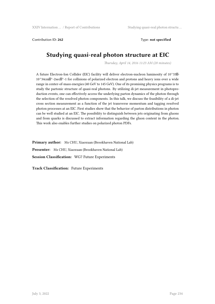Contribution ID: **262** Type: **not specified**

# **Studying quasi-real photon structure at EIC**

*Thursday, April 14, 2016 11:23 AM (20 minutes)*

A future Electron-Ion Collider (EIC) facility will deliver electron-nucleon luminosity of 10^33 $\boxtimes$ - $10^{\circ}34$ cm $\mathbb{Z}^{\wedge}$ -2sec $\mathbb{Z}^{\wedge}$ -1 for collisions of polarized electron and protons and heavy ions over a wide range in center-of-mass energies (40 GeV to 145 GeV). One of its promising physics programs is to study the partonic structure of quasi-real photons. By utilizing di-jet measurement in photoproduction events, one can effectively access the underlying parton dynamics of the photon through the selection of the resolved photon components. In this talk, we discuss the feasibility of a di-jet cross section measurement as a function of the jet transverse momentum and tagging resolved photon processes at an EIC. First studies show that the behavior of parton distributions in photon can be well studied at an EIC. The possibility to distinguish between jets originating from gluons and from quarks is discussed to extract information regarding the gluon content in the photon. This work also enables further studies on polarized photon PDFs.

**Primary author:** Ms CHU, Xiaoxuan (Brookhaven National Lab)

**Presenter:** Ms CHU, Xiaoxuan (Brookhaven National Lab) **Session Classification:** WG7 Future Experiments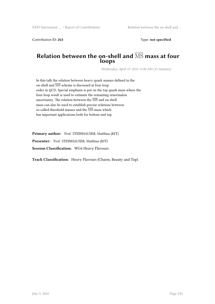Contribution ID: **263** Type: **not specified**

#### **Relation between the on-shell and** MS **mass at four loops**

*Wednesday, April 13, 2016 11:00 AM (15 minutes)*

In this talk the relation between heavy quark masses defined in the on-shell and  $\overline{\text{MS}}$  scheme is discussed at four-loop order in QCD. Special emphasis is put on the top quark mass where the four-loop result is used to estimate the remaining renormalon uncertainty. The relation between the  $\overline{\text{MS}}$  and on-shell mass can also be used to establish precise relations between so-called threshold masses and the  $\overline{\rm MS}$  mass which has important applications both for bottom and top.

Primary author: Prof. STEINHAUSER, Matthias (KIT)

**Presenter:** Prof. STEINHAUSER, Matthias (KIT)

**Session Classification:** WG4 Heavy Flavours

**Track Classification:** Heavy Flavours (Charm, Beauty and Top)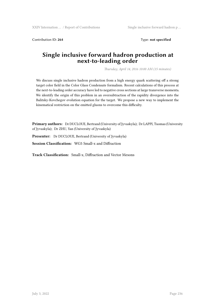Contribution ID: **264** Type: **not specified**

### **Single inclusive forward hadron production at next-to-leading order**

*Thursday, April 14, 2016 10:00 AM (15 minutes)*

We discuss single inclusive hadron production from a high energy quark scattering off a strong target color field in the Color Glass Condensate formalism. Recent calculations of this process at the next-to-leading order accuracy have led to negative cross sections at large transverse momenta. We identify the origin of this problem in an oversubtraction of the rapidity divergence into the Balitsky-Kovchegov evolution equation for the target. We propose a new way to implement the kinematical restriction on the emitted gluons to overcome this difficulty.

**Primary authors:** Dr DUCLOUE, Bertrand (University of Jyvaskyla); Dr LAPPI, Tuomas (University of Jyvaskyla); Dr ZHU, Yan (University of Jyvaskyla)

**Presenter:** Dr DUCLOUE, Bertrand (University of Jyvaskyla)

**Session Classification:** WG5 Small-x and Diffraction

**Track Classification:** Small-x, Diffraction and Vector Mesons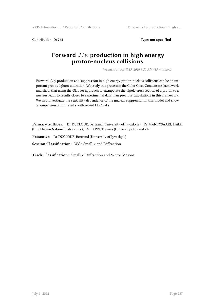XXIV Internation … / Report of Contributions Forward  $J/\psi$  production in high e …

Contribution ID: **265** Type: **not specified**

### **Forward** *J*/*ψ* **production in high energy proton-nucleus collisions**

*Wednesday, April 13, 2016 9:20 AM (15 minutes)*

Forward  $J/\psi$  production and suppression in high energy proton-nucleus collisions can be an important probe of gluon saturation. We study this process in the Color Glass Condensate framework and show that using the Glauber approach to extrapolate the dipole cross section of a proton to a nucleus leads to results closer to experimental data than previous calculations in this framework. We also investigate the centrality dependence of the nuclear suppression in this model and show a comparison of our results with recent LHC data.

**Primary authors:** Dr DUCLOUE, Bertrand (University of Jyvaskyla); Dr MANTYSAARI, Heikki (Brookhaven National Laboratory); Dr LAPPI, Tuomas (University of Jyvaskyla)

**Presenter:** Dr DUCLOUE, Bertrand (University of Jyvaskyla)

**Session Classification:** WG5 Small-x and Diffraction

**Track Classification:** Small-x, Diffraction and Vector Mesons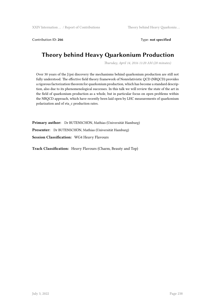Contribution ID: 266 Type: **not specified** 

# **Theory behind Heavy Quarkonium Production**

*Thursday, April 14, 2016 11:20 AM (20 minutes)*

Over 30 years of the J/psi discovery the mechanisms behind quarkonium production are still not fully understood. The effective field theory framework of Nonrelativistic QCD (NRQCD) provides a rigorous factorization theorem for quarkonium production, which has become a standard description, also due to its phenomenological successes. In this talk we will review the state of the art in the field of quarkonium production as a whole, but in particular focus on open problems within the NRQCD approach, which have recently been laid open by LHC measurements of quarkonium polarization and of eta\_c production rates.

**Primary author:** Dr BUTENSCHÖN, Mathias (Universität Hamburg) **Presenter:** Dr BUTENSCHÖN, Mathias (Universität Hamburg) **Session Classification:** WG4 Heavy Flavours

**Track Classification:** Heavy Flavours (Charm, Beauty and Top)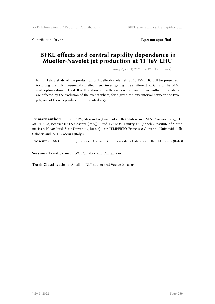Contribution ID: **267** Type: **not specified**

### **BFKL effects and central rapidity dependence in Mueller-Navelet jet production at 13 TeV LHC**

*Tuesday, April 12, 2016 2:30 PM (15 minutes)*

In this talk a study of the production of Mueller-Navelet jets at 13 TeV LHC will be presented, including the BFKL resummation effects and investigating three different variants of the BLM scale optimization method. It will be shown how the cross section and the azimuthal observables are affected by the exclusion of the events where, for a given rapidity interval between the two jets, one of these is produced in the central region.

**Primary authors:** Prof. PAPA, Alessandro (Università della Calabria and INFN-Cosenza (Italy)); Dr MURDACA, Beatrice (INFN-Cosenza (Italy)); Prof. IVANOV, Dmitry Yu. (Sobolev Institute of Mathematics & Novosibirsk State University, Russia); Mr CELIBERTO, Francesco Giovanni (Università della Calabria and INFN-Cosenza (Italy))

**Presenter:** Mr CELIBERTO, Francesco Giovanni (Università della Calabria and INFN-Cosenza (Italy))

**Session Classification:** WG5 Small-x and Diffraction

**Track Classification:** Small-x, Diffraction and Vector Mesons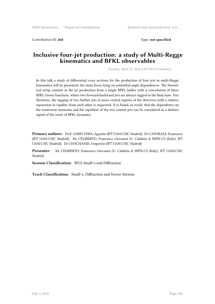Contribution ID: **268** Type: **not specified**

### **Inclusive four-jet production: a study of Multi-Regge kinematics and BFKL observables**

*Tuesday, April 12, 2016 2:50 PM (15 minutes)*

In this talk a study of differential cross sections for the production of four jets in multi-Regge kinematics will be presented, the main focus lying on azimuthal angle dependences. The theoretical setup consists in the jet production from a single BFKL ladder with a convolution of three BFKL Green functions, where two forward/backward jets are always tagged in the final state. Furthermore, the tagging of two further jets in more central regions of the detectors with a relative separation in rapidity from each other is requested. It is found, as result, that the dependence on the transverse momenta and the rapidities of the two central jets can be considered as a distinct signal of the onset of BFKL dynamics.

**Primary authors:** Prof. SABIO VERA, Agustin (IFT UAM/CSIC Madrid); Dr CAPORALE, Francesco (IFT UAM/CSIC Madrid); Mr CELIBERTO, Francesco Giovanni (U. Calabria & INFN-CS (Italy); IFT UAM/CSIC Madrid); Dr CHACHAMIS, Grigorios (IFT UAM/CSIC Madrid)

**Presenter:** Mr CELIBERTO, Francesco Giovanni (U. Calabria & INFN-CS (Italy); IFT UAM/CSIC Madrid)

**Session Classification:** WG5 Small-x and Diffraction

**Track Classification:** Small-x, Diffraction and Vector Mesons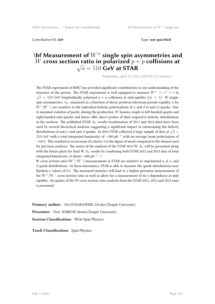Contribution ID: **269** Type: **not specified**

### **\bf Measurement of** *W<sup>±</sup>* **single spin asymmetries and**  $W$  cross section ratio in polarized  $p+p$  collisions at  $\sqrt{s} = 510$  GeV at STAR

*Wednesday, April 13, 2016 12:20 PM (15 minutes)*

The STAR experiment at RHIC has provided significant contributions to our understanding of the structure of the proton. The STAR experiment is well equipped to measure  $W^{\pm} \rightarrow e^{\pm} + \nu$  in  $\sqrt{s}$  = 510 GeV longitudinally polarized *p* + *p* collisions at mid-rapidity ( $|\eta|$  < 1). W singlespin asymmetries,  $A_L$ , measured as a function of decay positron (electron) pseudo-rapidity  $\eta$  for  $W^+(W^-)$  are sensitive to the individual helicity polarizations of *u* and *d* (*d* and  $\bar{u}$ ) quarks. Due to maximal violation of parity, during the production, *W* bosons couple to left-handed quarks and right-handed anti-quarks and hence offer direct probes of their respective helicity distributions in the nucleon. The published STAR *A<sup>L</sup>* results (combination of 2011 and 2012 data) have been used by several theoretical analyses suggesting a significant impact in constraining the helicity distributions of anti-*u* and anti-*d* quarks. In 2013 STAR collected a large sample of data at  $\sqrt{s}$  = <sup>510</sup> GeV with a total integrated luminosity of *<sup>∼</sup>*300 pb*−*<sup>1</sup> with an average beam polarization of *∼*54\%. This resulted in an increase of a factor 3 in the figure of merit compared to the dataset used for previous analyses. The status of the analysis of the STAR 2013 W *A<sup>L</sup>* will be presented along with the future plans for final W *A<sup>L</sup>* results by combining both STAR 2012 and 2013 data of total integrated luminosity of about *<sup>∼</sup>*400 pb*−*<sup>1</sup> . \\

W cross section ratio ( $W^+/W^-$ ) measurements at STAR are sensitive to unpolarized u, d,  $\bar{u}$ , and  $\bar{d}$  quark distributions. At these kinematics, STAR is able to measure the quark distributions near Bjorken-x values of 0.1. The increased statistics will lead to a higher precision measurement of the *W*+/*W<sup>−</sup>* cross section ratio as well as allow for a measurement of its *η* dependence at midrapidity. An update of the W cross section ratio analysis from the STAR 2011, 2012 and 2013 runs is presented.

**Primary author:** Ms GUNARATHNE, Devika (Temple University)

Presenter: Prof. SURROW, Bernd (Temple University)

**Session Classification:** WG6 Spin Physics

**Track Classification:** Spin Physics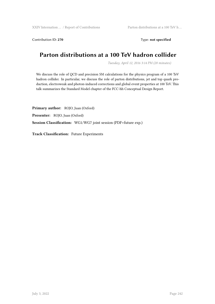Contribution ID: 270 Type: not specified

### **Parton distributions at a 100 TeV hadron collider**

*Tuesday, April 12, 2016 3:14 PM (20 minutes)*

We discuss the role of QCD and precision SM calculations for the physics program of a 100 TeV hadron collider. In particular, we discuss the role of parton distributions, jet and top quark production, electroweak and photon-induced corrections and global event properties at 100 TeV. This talk summarizes the Standard Model chapter of the FCC-hh Conceptual Design Report.

**Primary author:** ROJO, Juan (Oxford) **Presenter:** ROJO, Juan (Oxford) **Session Classification:** WG1/WG7 joint session (PDF+future exp.)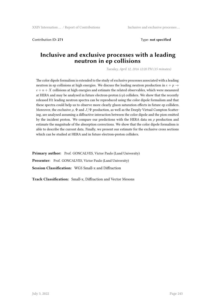Contribution ID: **271** Type: **not specified**

### **Inclusive and exclusive processes with a leading neutron in ep collisions**

*Tuesday, April 12, 2016 12:20 PM (15 minutes)*

The color dipole formalism is extended to the study of exclusive processes associated with a leading neutron in ep collisions at high energies. We discuss the leading neutron production in  $e + p \rightarrow$  $e + n + X$  collisions at high energies and estimate the related observables, which were measured at HERA and may be analysed in future electron-proton (*ep*) colliders. We show that the recently released H1 leading neutron spectra can be reproduced using the color dipole formalism and that these spectra could help us to observe more clearly gluon saturation effects in future ep colliders. Moreover, the exclusive  $\rho$ ,  $\Phi$  and  $J/\Psi$  production, as well as the Deeply Virtual Compton Scattering, are analysed assuming a diffractive interaction between the color dipole and the pion emitted by the incident proton. We compare our predictions with the HERA data on *ρ* production and estimate the magnitude of the absorption corrections. We show that the color dipole formalism is able to describe the current data. Finally, we present our estimate for the exclusive cross sections which can be studied at HERA and in future electron-proton colliders.

Primary author: Prof. GONCALVES, Victor Paulo (Lund University) **Presenter:** Prof. GONCALVES, Victor Paulo (Lund University) **Session Classification:** WG5 Small-x and Diffraction

**Track Classification:** Small-x, Diffraction and Vector Mesons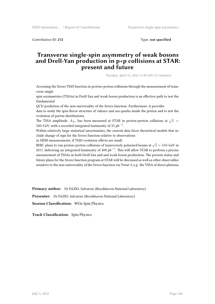Contribution ID: **272** Type: **not specified**

### **Transverse single-spin asymmetry of weak bosons and Drell-Yan production in p+p collisions at STAR: present and future**

*Tuesday, April 12, 2016 11:40 AM (15 minutes)*

Accessing the Sivers TMD function in proton+proton collisions through the measurement of transverse single

spin asymmetries (TSSAs) in Drell-Yan and weak boson production is an effective path to test the fundamental

QCD prediction of the non-universality of the Sivers function. Furthermore, it provides data to study the spin-flavor structure of valence and sea quarks inside the proton and to test the evolution of parton distributions.

The TSSA amplitude,  $A_N$ , has been measured at STAR in proton+proton collisions at  $\sqrt{s}$  = 500~GeV, with a recorded integrated luminosity of 25 pb*−*<sup>1</sup> .

Within relatively large statistical uncertainties, the current data favor theoretical models that include change of sign for the Sivers function relative to observations

in SIDIS measurements, if TMD evolution effects are small.

RHIC plans to run proton+proton collisions of transversely polarized beams at  $\sqrt{s}=510$ ~GeV in 2017, delivering an integrated luminosity of 400 pb*−*<sup>1</sup> . This will allow STAR to perform a precise measurement of TSSAs in both Drell-Yan and and weak boson production. The present status and future plans for the Sivers function program at STAR will be discussed as well as other observables sensitive to the non-universality of the Sivers function via Twist-3, e.g. the TSSA of direct photons.

**Primary author:** Dr FAZIO, Salvatore (Brookhaven National Laboratory)

**Presenter:** Dr FAZIO, Salvatore (Brookhaven National Laboratory)

**Session Classification:** WG6 Spin Physics

**Track Classification:** Spin Physics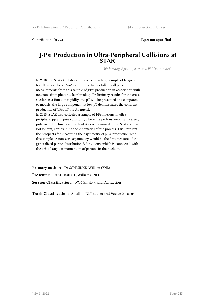Contribution ID: **273** Type: **not specified**

#### **J/Psi Production in Ultra-Peripheral Collisions at STAR**

*Wednesday, April 13, 2016 2:30 PM (15 minutes)*

In 2010, the STAR Collaboration collected a large sample of triggers for ultra-peripheral AuAu collisions. In this talk, I will present measurements from this sample of J/Psi production in association with neutrons from photonuclear breakup. Preliminary results for the cross section as a function rapidity and pT will be presented and compared to models; the large component at low pT demonstrates the coherent production of J/Psi off the Au nuclei. In 2015, STAR also collected a sample of J/Psi mesons in ultraperipheral pp and pAu collisions, where the protons were transversely polarized. The final state proton(s) were measured in the STAR Roman Pot system, constraining the kinematics of the process. I will present the prospects for measuring the asymmetry of J/Psi production with this sample. A non-zero asymmetry would be the first measure of the generalized parton distribution E for gluons, which is connected with the orbital angular momentum of partons in the nucleon.

**Primary author:** Dr SCHMIDKE, William (BNL) **Presenter:** Dr SCHMIDKE, William (BNL) **Session Classification:** WG5 Small-x and Diffraction

**Track Classification:** Small-x, Diffraction and Vector Mesons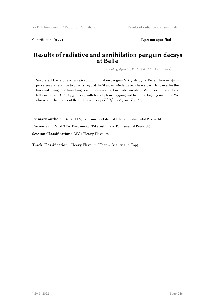Contribution ID: **274** Type: **not specified**

### **Results of radiative and annihilation penguin decays at Belle**

*Tuesday, April 12, 2016 11:40 AM (15 minutes)*

We present the results of radiative and annihilation penguin  $B(B_s)$  decays at Belle. The  $b \to s(d)\gamma$ processes are sensitive to physics beyond the Standard Model as new heavy particles can enter the loop and change the branching fractions and/or the kinematic variables. We report the results of fully inclusive  $B \to X_{s,d} \gamma$  decay with both leptonic tagging and hadronic tagging methods. We also report the results of the exclusive decays  $B(B_s) \to \phi \gamma$  and  $B_s \to \gamma \gamma$ .

**Primary author:** Dr DUTTA, Deepanwita (Tata Institute of Fundamental Research)

**Presenter:** Dr DUTTA, Deepanwita (Tata Institute of Fundamental Research)

**Session Classification:** WG4 Heavy Flavours

**Track Classification:** Heavy Flavours (Charm, Beauty and Top)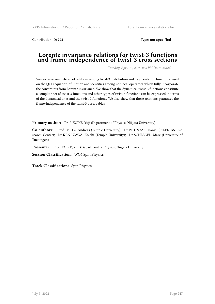Contribution ID: **275** Type: **not specified**

#### **Lorentz invariance relations for twist-3 functions and frame-independence of twist-3 cross sections**

*Tuesday, April 12, 2016 4:30 PM (15 minutes)*

We derive a complete set of relations among twist-3 distribution and fragmentation functions based on the QCD equation-of-motion and identities among nonlocal operators which fully incorporate the constraints from Lorentz invariance. We show that the dynamical twist-3 functions constitute a complete set of twist-3 functions and other types of twist-3 functions can be expressed in terms of the dynamical ones and the twist-2 functions. We also show that those relations guarantee the frame-independence of the twist-3 observables.

Primary author: Prof. KOIKE, Yuji (Department of Physics, Niigata University)

**Co-authors:** Prof. METZ, Andreas (Temple University); Dr PITONYAK, Daniel (RIKEN BNL Research Center); Dr KANAZAWA, Koichi (Temple University); Dr SCHLEGEL, Marc (University of Tuebingen)

Presenter: Prof. KOIKE, Yuji (Department of Physics, Niigata University)

**Session Classification:** WG6 Spin Physics

**Track Classification:** Spin Physics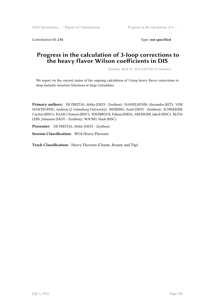Contribution ID: 276 Type: not specified

### **Progress in the calculation of 3-loop corrections to the heavy flavor Wilson coefficients in DIS**

*Tuesday, April 12, 2016 4:50 PM (15 minutes)*

We report on the current status of the ongoing calculation of 3-loop heavy flavor corrections to deep inelastic structure functions at large virtualities.

**Primary authors:** DE FREITAS, Abilio (DESY - Zeuthen); HASSELHUHN, Alexander (KIT); VON MANTEUFFEL, Andreas (J. Gutenberg University); BEHRING, Arnd (DESY - Zeuthen); SCHNEIDER, Carsten (RISC); RAAB, Clemens (RISC); WISSBROCK, Fabian (IHES); ABLINGER, Jakob (RISC); BLÜM-LEIN, Johannes (DESY - Zeuthen); ROUND, Mark (RISC)

**Presenter:** DE FREITAS, Abilio (DESY - Zeuthen)

**Session Classification:** WG4 Heavy Flavours

**Track Classification:** Heavy Flavours (Charm, Beauty and Top)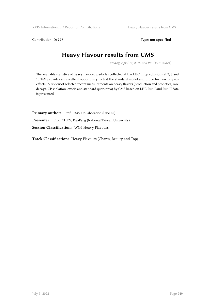Contribution ID: 277 Type: **not specified** 

# **Heavy Flavour results from CMS**

*Tuesday, April 12, 2016 2:50 PM (15 minutes)*

The available statistics of heavy flavored particles collected at the LHC in pp collisions at 7, 8 and 13 TeV provides an excellent opportunity to test the standard model and probe for new physics effects. A review of selected recent measurements on heavy flavors (production and propeties, rare decays, CP violation, exotic and standard quarkonia) by CMS based on LHC Run I and Run II data is presented.

**Primary author:** Prof. CMS, Collaboration (CINCO) Presenter: Prof. CHEN, Kai-Feng (National Taiwan University) **Session Classification:** WG4 Heavy Flavours

**Track Classification:** Heavy Flavours (Charm, Beauty and Top)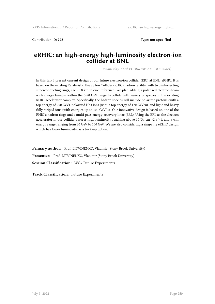Contribution ID: **278** Type: **not specified**

#### **eRHIC: an high-energy high-luminosity electron-ion collider at BNL**

*Wednesday, April 13, 2016 9:00 AM (20 minutes)*

In this talk I present current design of our future electron-ion collider (EIC) at BNL, eRHIC. It is based on the existing Relativistic Heavy Ion Collider (RHIC) hadron facility, with two intersecting superconducting rings, each 3.8 km in circumference. We plan adding a polarized electron-beam with energy tunable within the 5-20 GeV range to collide with variety of species in the existing RHIC-accelerator complex. Specifically, the hadron species will include polarized protons (with a top energy of 250 GeV), polarized He3 ions (with a top energy of 170 GeV/u), and light and heavy fully striped ions (with energies up to 100 GeV/u). Our innovative design is based on one of the RHIC's hadron rings and a multi-pass energy-recovery linac (ERL). Using the ERL as the electron accelerator in our collider assures high luminosity reaching above  $10^{\text{A}}34 \text{ cm}^2 \text{ s}^2$ -1, and a c.m. energy range ranging from 30 GeV to 140 GeV. We are also considering a ring-ring eRHIC design, which has lower luminosity, as a back-up option.

Primary author: Prof. LITVINENKO, Vladimir (Stony Brook University) Presenter: Prof. LITVINENKO, Vladimir (Stony Brook University) **Session Classification:** WG7 Future Experiments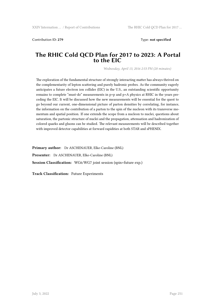Contribution ID: **279** Type: **not specified**

#### **The RHIC Cold QCD Plan for 2017 to 2023: A Portal to the EIC**

*Wednesday, April 13, 2016 2:53 PM (20 minutes)*

The exploration of the fundamental structure of strongly interacting matter has always thrived on the complementarity of lepton scattering and purely hadronic probes. As the community eagerly anticipates a future electron ion collider (EIC) in the U.S., an outstanding scientific opportunity remains to complete "must-do" measurements in p+p and p+A physics at RHIC in the years preceding the EIC. It will be discussed how the new measurements will be essential for the quest to go beyond our current, one-dimensional picture of parton densities by correlating, for instance, the information on the contribution of a parton to the spin of the nucleon with its transverse momentum and spatial position. If one extends the scope from a nucleon to nuclei, questions about saturation, the partonic structure of nuclei and the propagation, attenuation and hadronization of colored quarks and gluons can be studied. The relevant measurements will be described together with improved detector capabilities at forward rapidities at both STAR and sPHENIX.

**Primary author:** Dr ASCHENAUER, Elke-Caroline (BNL) **Presenter:** Dr ASCHENAUER, Elke-Caroline (BNL) **Session Classification:** WG6/WG7 joint session (spin+future exp.)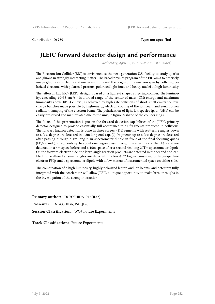Contribution ID: **280** Type: **not specified**

# **JLEIC forward detector design and performance**

*Wednesday, April 13, 2016 11:46 AM (20 minutes)*

The Electron-Ion Collider (EIC) is envisioned as the next-generation U.S. facility to study quarks and gluons in strongly interacting matter. The broad physics program of the EIC aims to precisely image gluons in nucleons and nuclei and to reveal the origin of the nucleon spin by colliding polarized electrons with polarized protons, polarized light ions, and heavy nuclei at high luminosity.

The Jefferson Lab EIC (JLEIC) design is based on a figure-8 shaped ring-ring collider. The luminosity, exceeding  $10^{\circ}33$  cm<sup>-2</sup>s<sup>-1</sup> in a broad range of the center-of-mass (CM) energy and maximum luminosity above  $10^{\circ}34$  cm<sup>-2</sup>s<sup>-1</sup>, is achieved by high-rate collisions of short small-emittance lowcharge bunches made possible by high-energy electron cooling of the ion beam and synchrotron radiation damping of the electron beam. The polarization of light ion species (p, d, ^3He) can be easily preserved and manipulated due to the unique figure-8 shape of the collider rings.

The focus of this presentation is put on the forward detection capabilities of the JLEIC primary detector designed to provide essentially full acceptance to all fragments produced in collisions. The forward hadron detection is done in three stages: (1) fragments with scattering angles down to a few degree are detected in a 2m long end-cap, (2) fragments up to a few degree are detected after passing through a 1m long 2Tm spectrometer dipole in front of the final focusing quads (FFQs), and (3) fragments up to about one degree pass through the apertures of the FFQs and are detected in a 4m space before and a 16m space after a second 4m long 20Tm spectrometer dipole. On the forward electron side, the large-angle reaction products are detected in the second end-cap. Electron scattered at small angles are detected in a low- $Q^2$  tagger consisting of large-aperture electron FFQs and a spectrometer dipole with a few meters of instrumented space on either side.

The combination of a high luminosity, highly polarized lepton and ion beams, and detectors fully integrated with the accelerator will allow JLEIC a unique opportunity to make breakthroughs in the investigation of the strong interaction.

**Primary author:** Dr YOSHIDA, Rik (JLab) **Presenter:** Dr YOSHIDA, Rik (JLab) **Session Classification:** WG7 Future Experiments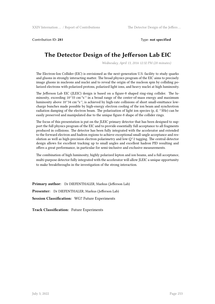Contribution ID: **281** Type: **not specified**

# **The Detector Design of the Jefferson Lab EIC**

*Wednesday, April 13, 2016 12:32 PM (20 minutes)*

The Electron-Ion Collider (EIC) is envisioned as the next-generation U.S. facility to study quarks and gluons in strongly interacting matter. The broad physics program of the EIC aims to precisely image gluons in nucleons and nuclei and to reveal the origin of the nucleon spin by colliding polarized electrons with polarized protons, polarized light ions, and heavy nuclei at high luminosity.

The Jefferson Lab EIC (JLEIC) design is based on a figure-8 shaped ring-ring collider. The luminosity, exceeding  $10^{\circ}33$  cm<sup>-2</sup>s<sup>-1</sup> in a broad range of the center-of-mass energy and maximum luminosity above  $10^{\circ}34$  cm<sup>-2</sup>s<sup>-1</sup>, is achieved by high-rate collisions of short small-emittance lowcharge bunches made possible by high-energy electron cooling of the ion beam and synchrotron radiation damping of the electron beam. The polarization of light ion species (p, d, ^3He) can be easily preserved and manipulated due to the unique figure-8 shape of the collider rings.

The focus of this presentation is put on the JLEIC primary detector that has been designed to support the full physics program of the EIC and to provide essentially full acceptance to all fragments produced in collisions. The detector has been fully integrated with the accelerator and extended to the forward electron and hadron regions to achieve exceptional small-angle acceptance and resolution as well as high-precision electron polarimetry and low- $Q^2$  tagging. The central-detector design allows for excellent tracking up to small angles and excellent hadron PID resulting and offers a great performance, in particular for semi-inclusive and exclusive measurements.

The combination of high luminosity, highly polarized lepton and ion beams, and a full acceptance, multi-purpose detector fully integrated with the accelerator will allow JLEIC a unique opportunity to make breakthroughs in the investigation of the strong interaction.

**Primary author:** Dr DIEFENTHALER, Markus (Jefferson Lab)

**Presenter:** Dr DIEFENTHALER, Markus (Jefferson Lab)

**Session Classification:** WG7 Future Experiments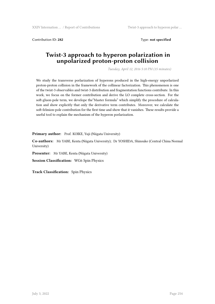Contribution ID: **282** Type: **not specified**

# **Twist-3 approach to hyperon polarization in unpolarized proton-proton collision**

*Tuesday, April 12, 2016 5:10 PM (15 minutes)*

We study the transverse porlarization of hyperons produced in the high-energy unporlarized proton-proton collision in the framework of the collinear factorization. This phenomenon is one of the twist-3 observables and twist-3 distribution and fragmentation functions contribute. In this work, we focus on the former contribution and derive the LO complete cross-section. For the soft-gluon-pole term, we develope the"Master formula" which simplify the procedure of calculation and show explicitly that only the derivative term contributes. Moreover, we calculate the soft-felmion-pole contribution for the first time and show that it vanishes. These results provide a useful tool to explain the mechanism of the hyperon porlarization.

Primary author: Prof. KOIKE, Yuji (Niigata University)

**Co-authors:** Mr YABE, Kenta (Niigata University); Dr YOSHIDA, Shinsuke (Central China Normal University)

**Presenter:** Mr YABE, Kenta (Niigata University)

**Session Classification:** WG6 Spin Physics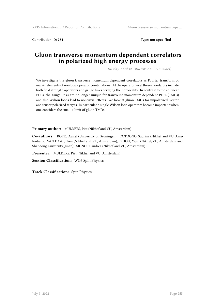Contribution ID: **284** Type: **not specified**

# **Gluon transverse momentum dependent correlators in polarized high energy processes**

*Tuesday, April 12, 2016 9:00 AM (25 minutes)*

We investigate the gluon transverse momentum dependent correlators as Fourier transform of matrix elements of nonlocal operator combinations. At the operator level these correlators include both field strength operators and gauge links bridging the nonlocality. In contrast to the collinear PDFs, the gauge links are no longer unique for transverse momentum dependent PDFs (TMDs) and also Wilson loops lead to nontrivial effects. We look at gluon TMDs for unpolarized, vector and tensor polarized targets. In particular a single Wilson loop operators become important when one considers the small-x limit of gluon TMDs.

**Primary author:** MULDERS, Piet (Nikhef and VU, Amsterdam)

**Co-authors:** BOER, Daniel (University of Groningen); COTOGNO, Sabrina (Nikhef and VU, Amsterdam); VAN DAAL, Tom (Nikhef and VU, Amsterdam); ZHOU, Yajin (Nikhef/VU, Amsterdam and Shandong University, Jinan); SIGNORI, andrea (Nikhef and VU, Amsterdam)

**Presenter:** MULDERS, Piet (Nikhef and VU, Amsterdam)

**Session Classification:** WG6 Spin Physics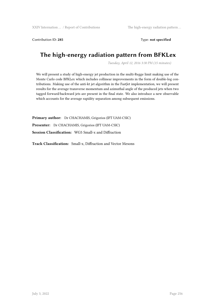Contribution ID: **285** Type: **not specified**

# **The high-energy radiation pattern from BFKLex**

*Tuesday, April 12, 2016 3:30 PM (15 minutes)*

We will present a study of high-energy jet production in the multi-Regge limit making use of the Monte Carlo code BFKLex which includes collinear improvements in the form of double-log contributions. Making use of the anti-kt jet algorithm in the FastJet implementation, we will present results for the average transverse momentum and azimuthal angle of the produced jets when two tagged forward/backward jets are present in the final state. We also introduce a new observable which accounts for the average rapidity separation among subsequent emissions.

**Primary author:** Dr CHACHAMIS, Grigorios (IFT UAM-CSIC) **Presenter:** Dr CHACHAMIS, Grigorios (IFT UAM-CSIC) **Session Classification:** WG5 Small-x and Diffraction

**Track Classification:** Small-x, Diffraction and Vector Mesons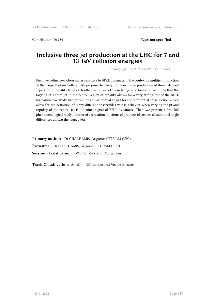Contribution ID: 286 **Type:** not specified

# **Inclusive three jet production at the LHC for 7 and 13 TeV collision energies**

*Tuesday, April 12, 2016 3:10 PM (15 minutes)*

First, we define new observables sensitive to BFKL dynamics in the context of multijet production at the Large Hadron Collider. We propose the study of the inclusive production of three jets well separated in rapidity from each other, with two of them being very forward. We show that the tagging of a third jet in the central region of rapidity allows for a very strong test of the BFKL formalism. We study two projections on azimuthal angles for the differential cross section which allow for the definition of many different observables whose behavior when varying the pt and rapidity of the central jet is a distinct signal of BFKL dynamics. Then, we present a first full phenomenological study of ratios of correlation functions of products of cosines of azimuthal angle differences among the tagged jets.

**Primary author:** Dr CHACHAMIS, Grigorios (IFT UAM-CSIC)

**Presenter:** Dr CHACHAMIS, Grigorios (IFT UAM-CSIC)

**Session Classification:** WG5 Small-x and Diffraction

**Track Classification:** Small-x, Diffraction and Vector Mesons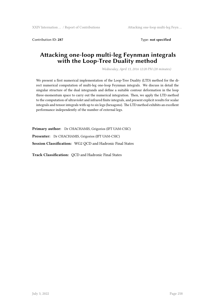Contribution ID: **287** Type: **not specified**

# **Attacking one-loop multi-leg Feynman integrals with the Loop-Tree Duality method**

*Wednesday, April 13, 2016 12:20 PM (20 minutes)*

We present a first numerical implementation of the Loop-Tree Duality (LTD) method for the direct numerical computation of multi-leg one-loop Feynman integrals. We discuss in detail the singular structure of the dual integrands and define a suitable contour deformation in the loop three-momentum space to carry out the numerical integration. Then, we apply the LTD method to the computation of ultraviolet and infrared finite integrals, and present explicit results for scalar integrals and tensor integrals with up to six legs (hexagons). The LTD method exhibits an excellent performance independently of the number of external legs.

**Primary author:** Dr CHACHAMIS, Grigorios (IFT UAM-CSIC) **Presenter:** Dr CHACHAMIS, Grigorios (IFT UAM-CSIC) **Session Classification:** WG2 QCD and Hadronic Final States

**Track Classification:** QCD and Hadronic Final States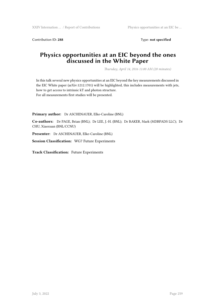Contribution ID: 288 Type: **not specified** 

## **Physics opportunities at an EIC beyond the ones discussed in the White Paper**

*Thursday, April 14, 2016 11:00 AM (20 minutes)*

In this talk several new physics opportunities at an EIC beyond the key measurements discussed in the EIC White paper (arXiv:1212.1701) will be highlighted, this includes measurements with jets, how to get access to intrinsic kT and photon structure. For all measurements first studies will be presented.

**Primary author:** Dr ASCHENAUER, Elke-Caroline (BNL)

**Co-authors:** Dr PAGE, Brian (BNL); Dr LEE, J.-H. (BNL); Dr BAKER, Mark (MDBPADS LLC); Dr CHU, Xiaoxuan (BNL/CCNU)

**Presenter:** Dr ASCHENAUER, Elke-Caroline (BNL)

**Session Classification:** WG7 Future Experiments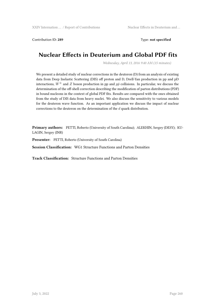Contribution ID: **289** Type: **not specified**

# **Nuclear Effects in Deuterium and Global PDF fits**

*Wednesday, April 13, 2016 9:40 AM (15 minutes)*

We present a detailed study of nuclear corrections in the deuteron (D) from an analysis of existing data from Deep Inelastic Scattering (DIS) off proton and D, Drell-Yan production in pp and pD interactions,  $W^{\pm}$  and *Z* boson production in pp and  $p\bar{p}$  collisions. In particular, we discuss the determination of the off-shell correction describing the modification of parton distributions (PDF) in bound nucleons in the context of global PDF fits. Results are compared with the ones obtained from the study of DIS data from heavy nuclei. We also discuss the sensitivity to various models for the deuteron wave function. As an important application we discuss the impact of nuclear corrections to the deuteron on the determination of the *d* quark distribution.

**Primary authors:** PETTI, Roberto (University of South Carolina); ALEKHIN, Sergey (DESY); KU-LAGIN, Sergey (INR)

**Presenter:** PETTI, Roberto (University of South Carolina)

**Session Classification:** WG1 Structure Functions and Parton Densities

**Track Classification:** Structure Functions and Parton Densities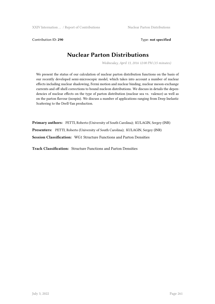Contribution ID: 290 **Type: not specified** 

# **Nuclear Parton Distributions**

*Wednesday, April 13, 2016 12:00 PM (15 minutes)*

We present the status of our calculation of nuclear parton distribution functions on the basis of our recently developed semi-microscopic model, which takes into account a number of nuclear effects including nuclear shadowing, Fermi motion and nuclear binding, nuclear meson-exchange currents and off-shell corrections to bound nucleon distributions. We discuss in details the dependencies of nuclear effects on the type of parton distribution (nuclear sea vs. valence) as well as on the parton flavour (isospin). We discuss a number of applications ranging from Deep Inelastic Scattering to the Drell-Yan production.

**Primary authors:** PETTI, Roberto (University of South Carolina); KULAGIN, Sergey (INR) **Presenters:** PETTI, Roberto (University of South Carolina); KULAGIN, Sergey (INR) **Session Classification:** WG1 Structure Functions and Parton Densities

**Track Classification:** Structure Functions and Parton Densities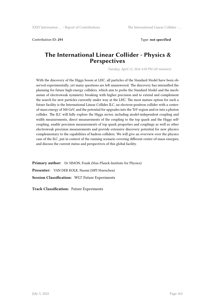Contribution ID: **291** Type: **not specified**

### **The International Linear Collider - Physics & Perspectives**

*Tuesday, April 12, 2016 4:30 PM (20 minutes)*

With the discovery of the Higgs boson at LHC, all particles of the Standard Model have been observed experimentally, yet many questions are left unanswered. The discovery has intensified the planning for future high-energy colliders, which aim to probe the Standard Model and the mechanism of electroweak symmetry breaking with higher precision and to extend and complement the search for new particles currently under way at the LHC. The most mature option for such a future facility is the International Linear Collider ILC, an electron-positron collider with a centerof-mass energy of 500 GeV, and the potential for upgrades into the TeV region and/or into a photon collider. The ILC will fully explore the Higgs sector, including model-independent coupling and width measurements, direct measurements of the coupling to the top quark and the Higgs selfcoupling, enable precision measurements of top quark properties and couplings as well as other electroweak precision measurements and provide extensive discovery potential for new physics complementary to the capabilities of hadron colliders. We will give an overview over the physics case of the ILC, put in context of the running scenario covering different center-of-mass energies, and discuss the current status and perspectives of this global facility.

**Primary author:** Dr SIMON, Frank (Max-Planck-Institute for Physics) **Presenter:** VAN DER KOLK, Naomi (MPI Muenchen) **Session Classification:** WG7 Future Experiments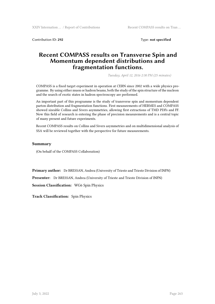Contribution ID: **292** Type: **not specified**

### **Recent COMPASS results on Transverse Spin and Momentum dependent distributions and fragmentation functions.**

*Tuesday, April 12, 2016 2:30 PM (25 minutes)*

COMPASS is a fixed target experiment in operation at CERN since 2002 with a wide physics programme. By using either muon or hadron beams, both the study of the spin structure of the nucleon and the search of exotic states in hadron spectroscopy are performed.

An important part of this programme is the study of transverse spin and momentum dependent parton distribution and fragmentation functions. First measurements of HERMES and COMPASS showed sizeable Collins and Sivers asymmetries, allowing first extractions of TMD PDFs and FF. Now this field of research is entering the phase of precision measurements and is a central topic of many present and future experiments.

Recent COMPASS results on Collins and Sivers asymmetries and on multidimensional analysis of SSA will be reviewed together with the perspective for future measurements.

#### **Summary**

(On behalf of the COMPASS Collaboration)

**Primary author:** Dr BRESSAN, Andrea (University of Trieste and Trieste Division of INFN)

**Presenter:** Dr BRESSAN, Andrea (University of Trieste and Trieste Division of INFN)

**Session Classification:** WG6 Spin Physics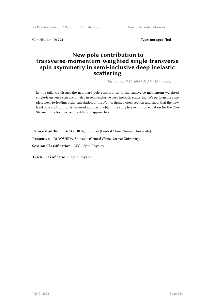XXIV Internation … / Report of Contributions New pole contribution to …

Contribution ID: 293 Type: **not specified** 

# **New pole contribution to transverse-momentum-weighted single-transverse spin asymmetry in semi-inclusive deep inelastic scattering**

*Tuesday, April 12, 2016 9:50 AM (15 minutes)*

In this talk, we discuss the new hard pole contribution to the transverse-momentum-weighted single-transverse spin asymmetry in semi-inclusive deep inelastic scattering. We perform the complete next-to-leading order calculation of the *Ph⊥*-weighted cross section and show that the new hard pole contribution is required in order to obtain the complete evolution equation for the Qiu-Sterman function derived by different approaches.

**Primary author:** Dr YOSHIDA, Shinsuke (Central China Normal University) **Presenter:** Dr YOSHIDA, Shinsuke (Central China Normal University) **Session Classification:** WG6 Spin Physics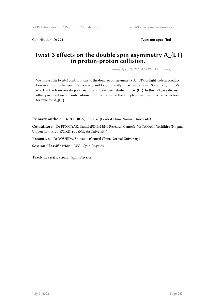Contribution ID: 294 **Type: not specified** 

## **Twist-3 effects on the double spin asymmetry A\_{LT} in proton-proton collision.**

*Tuesday, April 12, 2016 4:50 PM (15 minutes)*

We discuss the twist-3 contributions to the double-spin asymmetry A\_{LT} for light hadron production in collisions between transversely and longitudinally polarized protons. So far only twist-3 effect in the transversely polarized proton have been studied for A\_{LT}. In this talk, we discuss other possible twist-3 contributions in order to derive the complete leading-order cross section formula for A\_{LT}.

**Primary author:** Dr YOSHIDA, Shinsuke (Central China Normal University)

**Co-authors:** Dr PITONYAK, Daniel (RIKEN BNL Research Center); Mr TAKAGI, Yoshihiro (Niigata University); Prof. KOIKE, Yuji (Niigata University)

**Presenter:** Dr YOSHIDA, Shinsuke (Central China Normal University)

**Session Classification:** WG6 Spin Physics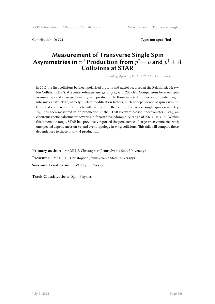Contribution ID: **295** Type: **not specified**

# **Measurement of Transverse Single Spin**  $\boldsymbol{A}$ symmetries in  $\pi^0$  Production from  $p^\uparrow+p$  and  $p^\uparrow+A$ **Collisions at STAR**

*Tuesday, April 12, 2016 11:20 AM (15 minutes)*

In 2015 the first collisions between polarized protons and nuclei occurred at the Relativistic Heavy Ion Collider (RHIC), at a center-of-mass energy of *√ sNN* = 200 GeV. Comparisons between spin asymmetries and cross-sections in  $p + p$  production to those in  $p + A$  production provide insight into nuclear structure, namely nuclear modification factors, nuclear dependence of spin asymmetries, and comparison to models with saturation effects. The transverse single spin asymmetry,  $A_N$ , has been measured in  $\pi^0$  production in the STAR Forward Meson Spectrometer (FMS), an electromagnetic calorimeter covering a forward psuedorapidity range of  $2.6 < \eta < 4$ . Within this kinematic range, STAR has previously reported the persistence of large  $\pi^0$  asymmetries with unexpected dependences on  $p_T$  and event topology in  $p+p$  collisions. This talk will compare these dependences to those in  $p + A$  production.

**Primary author:** Mr DILKS, Christopher (Pennsylvania State University) **Presenter:** Mr DILKS, Christopher (Pennsylvania State University) **Session Classification:** WG6 Spin Physics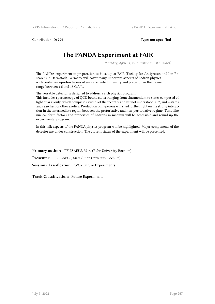Contribution ID: **296** Type: **not specified**

# **The PANDA Experiment at FAIR**

*Thursday, April 14, 2016 10:09 AM (20 minutes)*

The PANDA experiment in preparation to be setup at FAIR (Facility for Antiproton and Ion Research) in Darmstadt, Germany will cover many important aspects of hadron physics with cooled anti-proton beams of unprecedented intensity and precision in the momentum range between 1.5 and 15 GeV/c.

The versatile detector is designed to address a rich physics program.

This includes spectroscopy of QCD bound states ranging from charmonium to states composed of light quarks only, which comprises studies of the recently and yet not understood X, Y, and Z states and searches for other exotics. Production of hyperons will shed further light on the strong interaction in the intermediate region between the perturbative and non-perturbative regime. Time-like nuclear form factors and properties of hadrons in medium will be accessible and round up the experimental program.

In this talk aspects of the PANDA physics program will be highlighted. Major components of the detector are under construction. The current status of the experiment will be presented.

**Primary author:** PELIZAEUS, Marc (Ruhr-University Bochum) **Presenter:** PELIZAEUS, Marc (Ruhr-University Bochum) **Session Classification:** WG7 Future Experiments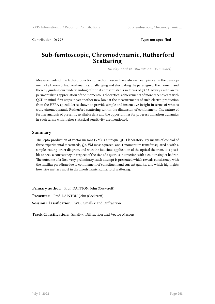Contribution ID: **297** Type: **not specified**

# **Sub-femtoscopic, Chromodynamic, Rutherford Scattering**

*Tuesday, April 12, 2016 9:20 AM (15 minutes)*

Measurements of the lepto-production of vector mesons have always been pivotal in the development of a theory of hadron dynamics, challenging and elucidating the paradigm of the moment and thereby guiding our understanding of it to its present status in terms of QCD. Always with an experimentalist's appreciation of the momentous theoretical achievements of more recent years with QCD in mind, first steps in yet another new look at the measurements of such electro-production from the HERA ep collider is shown to provide simple and instructive insight in terms of what is truly chromodynamic Rutherford scattering within the dimension of confinement. The nature of further analysis of presently available data and the opportunities for progress in hadron dynamics in such terms with higher statistical sensitivity are mentioned.

#### **Summary**

The lepto-production of vector mesons (VM) is a unique QCD laboratory. By means of control of three experimental measureds, Q2, VM mass squared, and 4-momentum transfer squared t, with a simple leading-order diagram, and with the judicious application of the optical theorem, it is possible to seek a consistency in respect of the size of a quark's interaction with a colour singlet hadron. The outcome of a first, very preliminary, such attempt is presented which reveals consistency with the familiar paradigm due to confinement of constituent and current quarks. and which highlights how size matters most in chromodynamic Rutherford scattering.

Primary author: Prof. DAINTON, John (Cockcroft) **Presenter:** Prof. DAINTON, John (Cockcroft) **Session Classification:** WG5 Small-x and Diffraction

**Track Classification:** Small-x, Diffraction and Vector Mesons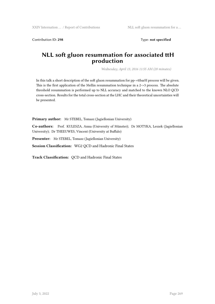Contribution ID: 298 Type: not specified

## **NLL soft gluon resummation for associated ttH production**

*Wednesday, April 13, 2016 11:55 AM (20 minutes)*

In this talk a short description of the soft gluon resummation for pp->ttbarH process will be given. This is the first application of the Mellin resummation technique in a 2->3 process. The absolute threshold resummation is performed up to NLL accuracy and matched to the known NLO QCD cross-section. Results for the total cross-section at the LHC and their theoretical uncertainties will be presented.

**Primary author:** Mr STEBEL, Tomasz (Jagiellonian University)

**Co-authors:** Prof. KULESZA, Anna (University of Münster); Dr MOTYKA, Leszek (Jagiellonian University); Dr THEEUWES, Vincent (University at Buffalo)

**Presenter:** Mr STEBEL, Tomasz (Jagiellonian University)

**Session Classification:** WG2 QCD and Hadronic Final States

**Track Classification:** QCD and Hadronic Final States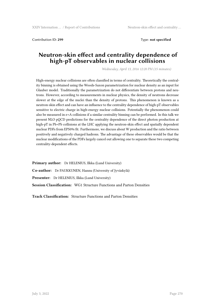Contribution ID: **299** Type: **not specified**

### **Neutron-skin effect and centrality dependence of high-pT observables in nuclear collisions**

*Wednesday, April 13, 2016 12:20 PM (15 minutes)*

High-energy nuclear collisions are often classified in terms of centrality. Theoretically the centrality binning is obtained using the Woods-Saxon parametrization for nuclear density as an input for Glauber model. Traditionally the parametrization do not differentiate between protons and neutrons. However, according to measurements in nuclear physics, the density of neutrons decrease slower at the edge of the nuclei than the density of protons. This phenomenon is known as a neutron-skin effect and can have an influence to the centrality dependence of high-pT observables sensitive to electric charge in high-energy nuclear collisions. Potentially the phenomenon could also be measured in e+A collisions if a similar centrality binning can be performed. In this talk we present NLO pQCD predictions for the centrality dependence of the direct photon production at high-pT in Pb+Pb collisions at the LHC applying the neutron-skin effect and spatially dependent nuclear PDFs from EPS09s fit. Furthermore, we discuss about W production and the ratio between positively and negatively charged hadrons. The advantage of these observables would be that the nuclear modifications of the PDFs largely cancel out allowing one to separate these two competing centrality-dependent effects.

**Primary author:** Dr HELENIUS, Ilkka (Lund University) **Co-author:** Dr PAUKKUNEN, Hannu (University of Jyväskylä) **Presenter:** Dr HELENIUS, Ilkka (Lund University) **Session Classification:** WG1 Structure Functions and Parton Densities

**Track Classification:** Structure Functions and Parton Densities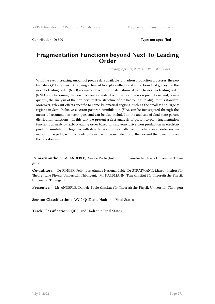Contribution ID: **300** Type: **not specified**

### **Fragmentation Functions beyond Next-To-Leading Order**

*Tuesday, April 12, 2016 3:37 PM (20 minutes)*

With the ever increasing amount of precise data available for hadron production processes, the perturbative QCD framework is being extended to explore effects and corrections that go beyond the next-to-leading order (NLO) accuracy. Fixed order calculations at next-to-next-to-leading order (NNLO) are becoming the new necessary standard required for precision predictions and, consequently, the analysis of the non-perturbative structure of the hadron has to align to this standard. Moreover, relevant effects specific to some kinematical regions, such as the small-x and large-x regions in Semi-Inclusive electron-positron Annihilation (SIA), can be investigated through the means of resummation techniques and can be also included in the analysis of final state parton distribution functions. In this talk we present a first analysis of parton-to-pion fragmentation functions at next-to-next-to-leading order based on single-inclusive pion production in electronpositron annihilation, together with its extension to the small-x region where an all order resummation of large logarithmic contributions has to be included to further extend the lower cuts on the fit's domain.

**Primary author:** Mr ANDERLE, Daniele Paolo (Institut für Theoretische Physik Universität Tübingen)

**Co-authors:** Dr RINGER, Felix (Los Alamos National Lab); Dr STRATMANN, Marco (Institut für Theoretische Physik Universität Tübingen); Mr KAUFMANN, Tom (Institut für Theoretische Physik Universität Tübingen)

**Presenter:** Mr ANDERLE, Daniele Paolo (Institut für Theoretische Physik Universität Tübingen)

**Session Classification:** WG2 QCD and Hadronic Final States

**Track Classification:** QCD and Hadronic Final States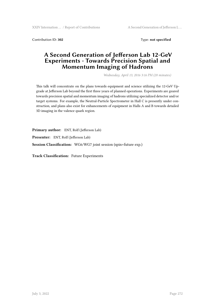Contribution ID: **302** Type: **not specified**

# **A Second Generation of Jefferson Lab 12-GeV Experiments - Towards Precision Spatial and Momentum Imaging of Hadrons**

*Wednesday, April 13, 2016 3:16 PM (20 minutes)*

This talk will concentrate on the plans towards equipment and science utilizing the 12-GeV Upgrade at Jefferson Lab beyond the first three years of planned operations. Experiments are geared towards precision spatial and momentum imaging of hadrons utilizing specialized detector and/or target systems. For example, the Neutral-Particle Spectrometer in Hall C is presently under construction, and plans also exist for enhancements of equipment in Halls A and B towards detailed 3D imaging in the valence quark region.

**Primary author:** ENT, Rolf (Jefferson Lab)

**Presenter:** ENT, Rolf (Jefferson Lab)

**Session Classification:** WG6/WG7 joint session (spin+future exp.)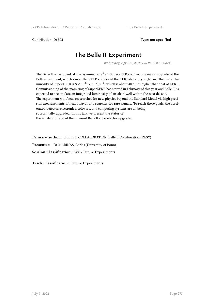Contribution ID: **303** Type: **not specified**

# **The Belle II Experiment**

*Wednesday, April 13, 2016 5:16 PM (20 minutes)*

The Belle II experiment at the asymmetric  $e^+e^-$  SuperKEKB collider is a major upgrade of the Belle experiment, which ran at the KEKB collider at the KEK laboratory in Japan. The design luminosity of SuperKEKB is <sup>8</sup> *<sup>×</sup>* <sup>10</sup><sup>35</sup>~cm*−*<sup>2</sup> \,s*−*<sup>1</sup> , which is about 40 times higher than that of KEKB. Commissioning of the main ring of SuperKEKB has started in February of this year and Belle~II is expected to accumulate an integrated luminosity of 50~ab*−*<sup>1</sup> well within the next decade. The experiment will focus on searches for new physics beyond the Standard Model via high precision measurements of heavy flavor and searches for rare signals. To reach these goals, the accelerator, detector, electronics, software, and computing systems are all being substantially upgraded. In this talk we present the status of the accelerator and of the different Belle II sub-detector upgrades.

**Primary author:** BELLE II COLLABORATION, Belle II Collaboration (DESY) **Presenter:** Dr MARINAS, Carlos (University of Bonn) **Session Classification:** WG7 Future Experiments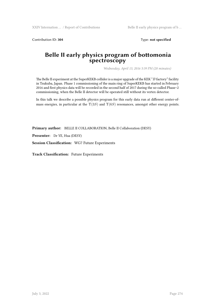Contribution ID: 304 Type: **not specified** 

### **Belle II early physics program of bottomonia spectroscopy**

*Wednesday, April 13, 2016 5:39 PM (20 minutes)*

The Belle II experiment at the SuperKEKB collider is a major upgrade of the KEK "*B* factory" facility in Tsukuba, Japan. Phase 1 commissioning of the main ring of SuperKEKB has started in February 2016 and first physics data will be recorded in the second half of 2017 during the so-called Phase~2 commissioning, when the Belle II detector will be operated still without its vertex detector.

In this talk we describe a possible physics program for this early data run at different center-ofmass energies, in particular at the Υ(3*S*) and Υ(6*S*) resonances, amongst other energy points.

**Primary author:** BELLE II COLLABORATION, Belle II Collaboration (DESY)

**Presenter:** Dr YE, Hua (DESY)

**Session Classification:** WG7 Future Experiments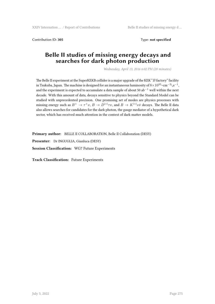Contribution ID: **305** Type: **not specified**

### **Belle II studies of missing energy decays and searches for dark photon production**

*Wednesday, April 13, 2016 6:02 PM (20 minutes)*

The Belle II experiment at the SuperKEKB collider is a major upgrade of the KEK "*B* factory" facility in Tsukuba, Japan. The machine is designed for an instantaneous luminosity of <sup>8</sup>*×*10<sup>35</sup>~cm*−*<sup>2</sup> \,s*−*<sup>1</sup> , and the experiment is expected to accumulate a data sample of about 50 ab*−*<sup>1</sup> well within the next decade. With this amount of data, decays sensitive to physics beyond the Standard Model can be studied with unprecedented precision. One promising set of modes are physics processes with missing energy such as  $B^+ \to \tau^+\nu$ ,  $B \to D^{(*)}\tau\nu$ , and  $B \to K^{(*)}\nu\bar{\nu}$  decays. The Belle II data also allows searches for candidates for the dark photon, the gauge mediator of a hypothetical dark sector, which has received much attention in the context of dark matter models.

**Primary author:** BELLE II COLLABORATION, Belle II Collaboration (DESY)

**Presenter:** Dr INGUGLIA, Gianluca (DESY)

**Session Classification:** WG7 Future Experiments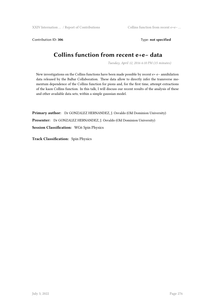Contribution ID: 306 Type: not specified

# **Collins function from recent e+e− data**

*Tuesday, April 12, 2016 6:10 PM (15 minutes)*

New investigations on the Collins functions have been made possible by recent e+ e− annihilation data released by the BaBar Collaboration. These data allow to directly infer the transverse momentum dependence of the Collins function for pions and, for the first time, attempt extractions of the kaon Collins function. In this talk, I will discuss our recent results of the analysis of these and other available data sets, within a simple gaussian model.

**Primary author:** Dr GONZALEZ HERNANDEZ, J. Osvaldo (Old Dominion University) **Presenter:** Dr GONZALEZ HERNANDEZ, J. Osvaldo (Old Dominion University) **Session Classification:** WG6 Spin Physics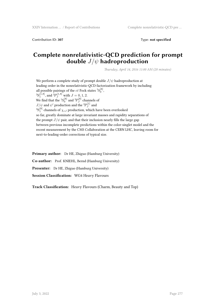Contribution ID: **307** Type: **not specified**

# **Complete nonrelativistic-QCD prediction for prompt double** *J*/*ψ* **hadroproduction**

*Thursday, April 14, 2016 11:00 AM (20 minutes)*

We perform a complete study of prompt double *J*/*ψ* hadroproduction at leading order in the nonrelativistic-QCD factorization framework by including all possible pairings of the  $c\bar{c}$  Fock states  ${}^{1}S_0^{[8]},$  ${}^{3}S_{1}^{[1,8]}$ , and  ${}^{3}P_{J}^{[1,8]}$  with  $J = 0, 1, 2$ . We find that the  ${}^{1}S_{0}^{[8]}$  and  ${}^{3}P_{J}^{[8]}$  $J_J^{[8]}$  channels of  $J/\psi$  and  $\psi'$  production and the <sup>3</sup> $P_I^{[1]}$  $J^{\perp}$  and  $^3\!S_1^{[8]}$  channels of  $\chi_{cJ}$  production, which have been overlooked so far, greatly dominate at large invariant masses and rapidity separations of the prompt  $J/\psi$  pair, and that their inclusion nearly fills the large gap between previous incomplete predictions within the color-singlet model and the recent measurement by the CMS Collaboration at the CERN LHC, leaving room for next-to-leading-order corrections of typical size.

**Primary author:** Dr HE, Zhiguo (Hamburg University) **Co-author:** Prof. KNIEHL, Bernd (Hamburg University) **Presenter:** Dr HE, Zhiguo (Hamburg University) **Session Classification:** WG4 Heavy Flavours

**Track Classification:** Heavy Flavours (Charm, Beauty and Top)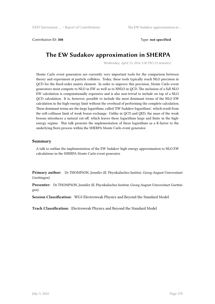Contribution ID: **308** Type: **not specified**

# **The EW Sudakov approximation in SHERPA**

*Wednesday, April 13, 2016 5:50 PM (15 minutes)*

Monte Carlo event generators are currently very important tools for the comparison between theory and experiment at particle colliders. Today, these tools typically reach NLO precision in QCD for the fixed-order matrix element. In order to improve this precision, Monte Carlo event generators must compute to NLO in EW as well as to NNLO in QCD. The inclusion of a full NLO EW calculation is computationally expensive and is also non-trivial to include on top of a NLO QCD calculation. It is, however, possible to include the most dominant terms of the NLO EW calculation in the high-energy limit without the overhead of performing the complete calculation. These dominant terms are the large logarithms, called 'EW Sudakov logarithms', which result from the soft-collinear limit of weak boson exchange. Unlike in QCD and QED, the mass of the weak bosons introduces a natural cut-off, which leaves these logarithms large and finite in the highenergy regime. This talk presents the implementation of these logarithms as a K-factor to the underlying Born process within the SHERPA Monte Carlo event generator.

#### **Summary**

A talk to outline the implementation of the EW Sudakov high-energy approximation to NLO EW calculations in the SHERPA Monte Carlo event generator.

**Primary author:** Dr THOMPSON, Jennifer (II. Physikalisches Institut, Georg-August-Universitaet Goettingen)

**Presenter:** Dr THOMPSON, Jennifer (II. Physikalisches Institut, Georg-August-Universitaet Goettingen)

**Session Classification:** WG3 Electroweak Physics and Beyond the Standard Model

**Track Classification:** Electroweak Physics and Beyond the Standard Model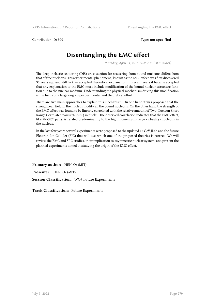Contribution ID: **309** Type: **not specified**

# **Disentangling the EMC effect**

*Thursday, April 14, 2016 11:46 AM (20 minutes)*

The deep inelastic scattering (DIS) cross section for scattering from bound nucleons differs from that of free nucleons. This experimental phenomena, known as the EMC effect, was first discovered 30 years ago and still lack an accepted theoretical explanation. In recent years it became accepted that any explanation to the EMC must include modification of the bound nucleon structure function due to the nuclear medium. Understanding the physical mechanism driving this modification is the focus of a large ongoing experimental and theoretical effort.

There are two main approaches to explain this mechanism. On one hand it was proposed that the strong mean field in the nucleus modify all the bound nucleons. On the other hand the strength of the EMC effect was found to be linearly correlated with the relative amount of Two-Nucleon Short Range Correlated pairs (2N-SRC) in nuclei. The observed correlation indicates that the EMC effect, like 2N-SRC pairs, is related predominantly to the high momentum (large virtuality) nucleons in the nucleus.

In the last few years several experiments were proposed to the updated 12 GeV JLab and the future Electron Ion Collider (EIC) that will test which one of the proposed theories is correct. We will review the EMC and SRC studies, their implication to asymmetric nuclear system, and present the planned experiments aimed at studying the origin of the EMC effect.

**Primary author:** HEN, Or (MIT) **Presenter:** HEN, Or (MIT) **Session Classification:** WG7 Future Experiments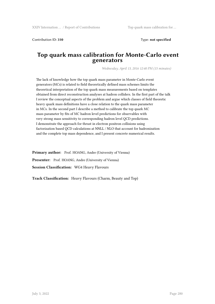Contribution ID: **310** Type: **not specified**

#### **Top quark mass calibration for Monte-Carlo event generators**

*Wednesday, April 13, 2016 12:40 PM (15 minutes)*

The lack of knowledge how the top quark mass parameter in Monte-Carlo event generators (MCs) is related to field theoretically defined mass schemes limits the theoretical interpretation of the top quark mass measurements based on templates obtained from direct reconstruction analyses at hadron colliders. In the first part of the talk I review the conceptual aspects of the problem and argue which classes of field theoretic heavy quark mass definitions have a close relation to the quark mass parameter in MCs. In the second part I describe a method to calibrate the top quark MC mass parameter by fits of MC hadron level predictions for observables with very strong mass sensitivity to corresponding hadron level QCD predictions. I demonstrate the approach for thrust in electron positron collisions using factorization based QCD calculations at NNLL / NLO that account for hadronization and the complete top mass dependence, and I present concrete numerical results.

Primary author: Prof. HOANG, Andre (University of Vienna) Presenter: Prof. HOANG, Andre (University of Vienna) **Session Classification:** WG4 Heavy Flavours

**Track Classification:** Heavy Flavours (Charm, Beauty and Top)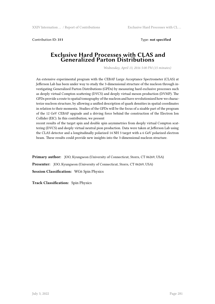Contribution ID: **311** Type: **not specified**

#### **Exclusive Hard Processes with CLAS and Generalized Parton Distributions**

*Wednesday, April 13, 2016 5:00 PM (15 minutes)*

An extensive experimental program with the CEBAF Large Acceptance Spectrometer (CLAS) at Jefferson Lab has been under way to study the 3-dimensional structure of the nucleon through investigating Generalized Parton Distributions (GPDs) by measuring hard exclusive processes such as deeply virtual Compton scattering (DVCS) and deeply virtual meson production (DVMP). The GPDs provide a route to spatial tomography of the nucleon and have revolutionized how we characterize nucleon structure, by allowing a unified description of quark densities in spatial coordinates in relation to their momenta. Studies of the GPDs will be the focus of a sizable part of the program of the 12 GeV CEBAF upgrade and a driving force behind the construction of the Electron Ion Collider (EIC). In this contribution, we present

recent results of the target spin and double spin asymmetries from deeply virtual Compton scattering (DVCS) and deeply virtual neutral pion production. Data were taken at Jefferson Lab using the CLAS detector and a longitudinally polarized 14 NH 3 target with a 6 GeV polarized electron beam. These results could provide new insights into the 3-dimensional nucleon structure.

**Primary author:** JOO, Kyungseon (University of Connecticut, Storrs, CT 06269, USA) **Presenter:** JOO, Kyungseon (University of Connecticut, Storrs, CT 06269, USA) **Session Classification:** WG6 Spin Physics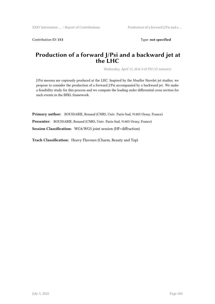Contribution ID: 313 Type: **not specified** 

### **Production of a forward J/Psi and a backward jet at the LHC**

*Wednesday, April 13, 2016 5:10 PM (15 minutes)*

J/Psi mesons are copiously produced at the LHC. Inspired by the Mueller Navelet jet studies, we propose to consider the production of a forward J/Psi accompanied by a backward jet. We make a feasibility study for this process and we compute the leading order differential cross section for such events in the BFKL framework.

**Primary author:** BOUSSARIE, Renaud (CNRS, Univ. Paris-Sud, 91405 Orsay, France)

**Presenter:** BOUSSARIE, Renaud (CNRS, Univ. Paris-Sud, 91405 Orsay, France)

**Session Classification:** WG4/WG5 joint session (HF+diffraction)

**Track Classification:** Heavy Flavours (Charm, Beauty and Top)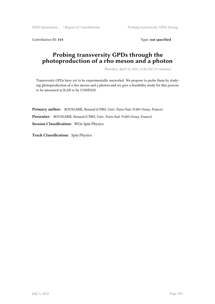XXIV Internation … / Report of Contributions Probing transversity GPDs throug …

Contribution ID: 314 Type: **not specified** 

# **Probing transversity GPDs through the photoproduction of a rho meson and a photon**

*Thursday, April 14, 2016 11:50 AM (15 minutes)*

Transversity GPDs have yet to be experimentally unraveled. We propose to probe them by studying photoproduction of a rho meson and a photon and we give a feasibility study for this process to be measured at JLAB or by COMPASS.

**Primary author:** BOUSSARIE, Renaud (CNRS, Univ. Paris-Sud, 91405 Orsay, France) **Presenter:** BOUSSARIE, Renaud (CNRS, Univ. Paris-Sud, 91405 Orsay, France) **Session Classification:** WG6 Spin Physics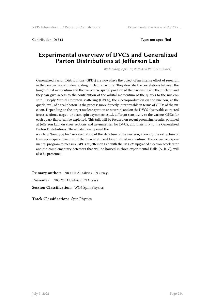Contribution ID: **315** Type: **not specified**

# **Experimental overview of DVCS and Generalized Parton Distributions at Jefferson Lab**

*Wednesday, April 13, 2016 4:30 PM (25 minutes)*

Generalized Parton Distributions (GPDs) are nowadays the object of an intense effort of research, in the perspective of understanding nucleon structure. They describe the correlations between the longitudinal momentum and the transverse spatial position of the partons inside the nucleon and they can give access to the contribution of the orbital momentum of the quarks to the nucleon spin. Deeply Virtual Compton scattering (DVCS), the electroproduction on the nucleon, at the quark level, of a real photon, is the process more directly interpretable in terms of GPDs of the nucleon. Depending on the target nucleon (proton or neutron) and on the DVCS observable extracted (cross sections, target- or beam-spin asymmetries,…), different sensitivity to the various GPDs for each quark flavor can be exploited. This talk will be focused on recent promising results, obtained at Jefferson Lab, on cross sections and asymmetries for DVCS, and their link to the Generalized Parton Distributions. These data have opened the

way to a "tomographic" representation of the structure of the nucleon, allowing the extraction of transverse-space densities of the quarks at fixed longitudinal momentum. The extensive experimental program to measure GPDs at Jefferson Lab with the 12-GeV-upgraded electron accelerator and the complementary detectors that will be housed in three experimental Halls (A, B, C), will also be presented.

**Primary author:** NICCOLAI, Silvia (IPN Orsay) **Presenter:** NICCOLAI, Silvia (IPN Orsay) **Session Classification:** WG6 Spin Physics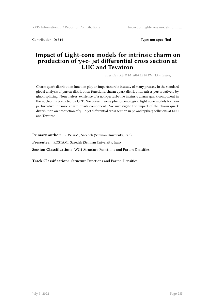Contribution ID: **316** Type: **not specified**

### **Impact of Light-cone models for intrinsic charm on production of γ+c- jet differential cross section at LHC and Tevatron**

*Thursday, April 14, 2016 12:20 PM (15 minutes)*

Charm quark distribution function play an important role in study of many presses. In the standard global analysis of parton distribution functions, charm quark distribution arises perturbatively by gluon splitting. Nonetheless, existence of a non-perturbative intrinsic charm quark component in the nucleon is predicted by QCD. We present some phenomenological light cone models for nonperturbative intrinsic charm quark component. We investigate the impact of the charm quark distribution on production of  $\gamma$  + c-jet differential cross section in pp and pp(bar) collisions at LHC and Tevatron.

**Primary author:** ROSTAMI, Saeedeh (Semnan University, Iran)

**Presenter:** ROSTAMI, Saeedeh (Semnan University, Iran)

**Session Classification:** WG1 Structure Functions and Parton Densities

**Track Classification:** Structure Functions and Parton Densities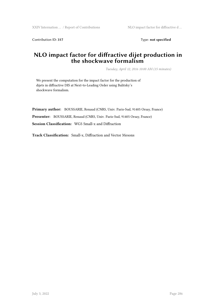Contribution ID: 317 Type: **not specified** 

# **NLO impact factor for diffractive dijet production in the shockwave formalism**

*Tuesday, April 12, 2016 10:00 AM (15 minutes)*

We present the computation for the impact factor for the production of dijets in diffractive DIS at Next-to-Leading Order using Balitsky's shockwave formalism.

**Primary author:** BOUSSARIE, Renaud (CNRS, Univ. Paris-Sud, 91405 Orsay, France) **Presenter:** BOUSSARIE, Renaud (CNRS, Univ. Paris-Sud, 91405 Orsay, France) **Session Classification:** WG5 Small-x and Diffraction

**Track Classification:** Small-x, Diffraction and Vector Mesons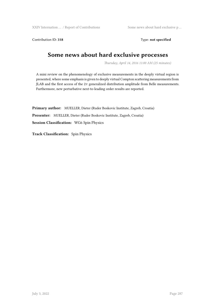XXIV Internation … / Report of Contributions Some news about hard exclusive p …

Contribution ID: 318 Type: **not specified** 

# **Some news about hard exclusive processes**

*Thursday, April 14, 2016 11:00 AM (25 minutes)*

A mini review on the phenomenology of exclusive measurements in the deeply virtual region is presented, where some emphasis is given to deeply virtual Compton scattering measurements from JLAB and the first access of the 2*π* generalized distribution amplitude from Belle measurements. Furthermore, new perturbative next-to-leading order results are reported.

**Primary author:** MUELLER, Dieter (Ruder Boskovic Institute, Zagreb, Croatia) **Presenter:** MUELLER, Dieter (Ruder Boskovic Institute, Zagreb, Croatia) **Session Classification:** WG6 Spin Physics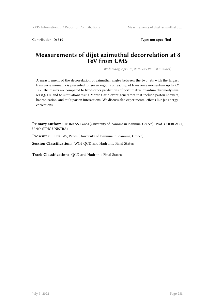Contribution ID: 319 Type: **not specified** 

#### **Measurements of dijet azimuthal decorrelation at 8 TeV from CMS**

*Wednesday, April 13, 2016 5:25 PM (20 minutes)*

A measurement of the decorrelation of azimuthal angles between the two jets with the largest transverse momenta is presented for seven regions of leading jet transverse momentum up to 2.2 TeV. The results are compared to fixed-order predictions of perturbative quantum chromodynamics (QCD), and to simulations using Monte Carlo event generators that include parton showers, hadronization, and multiparton interactions. We discuss also experimental effects like jet-energycorrections.

**Primary authors:** KOKKAS, Panos (University of Ioannina in Ioannina, Greece); Prof. GOERLACH, Ulrich (IPHC UNISTRA)

**Presenter:** KOKKAS, Panos (University of Ioannina in Ioannina, Greece)

**Session Classification:** WG2 QCD and Hadronic Final States

**Track Classification:** QCD and Hadronic Final States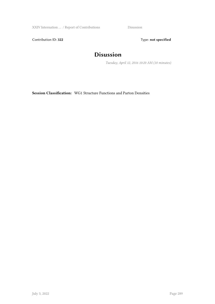XXIV Internation … / Report of Contributions Disussion

Contribution ID: 322 Type: **not specified** 

## **Disussion**

*Tuesday, April 12, 2016 10:20 AM (10 minutes)*

**Session Classification:** WG1 Structure Functions and Parton Densities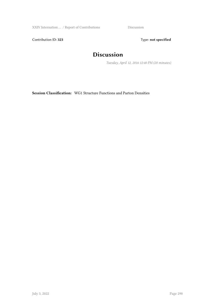XXIV Internation ... / Report of Contributions Discussion

Contribution ID: 323 Type: **not specified** 

## **Discussion**

*Tuesday, April 12, 2016 12:40 PM (20 minutes)*

**Session Classification:** WG1 Structure Functions and Parton Densities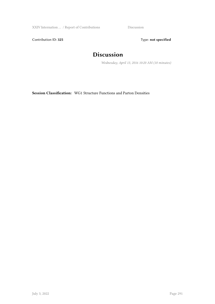XXIV Internation ... / Report of Contributions Discussion

Contribution ID: 325 Type: **not specified** 

## **Discussion**

*Wednesday, April 13, 2016 10:20 AM (10 minutes)*

**Session Classification:** WG1 Structure Functions and Parton Densities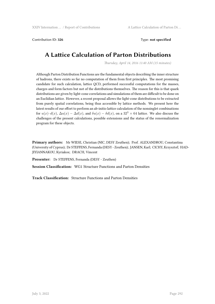Contribution ID: 326 **Type:** not specified

## **A Lattice Calculation of Parton Distributions**

*Thursday, April 14, 2016 11:40 AM (15 minutes)*

Although Parton Distribution Functions are the fundamental objects describing the inner structure of hadrons, there exists so far no computation of them from first principles. The most promising candidate for such calculation, lattice QCD, performed successful computations for the masses, charges and form factors but not of the distributions themselves. The reason for this is that quark distributions are given by light-cone correlations and simulations of them are difficult to be done on an Euclidian lattice. However, a recent proposal allows the light-cone distributions to be extracted from purely spatial correlations, being thus accessible by lattice methods. We present here the latest results of our effort to perform an ab-initio lattice calculation of the nonsinglet combinations for  $u(x)-d(x)$ ,  $\Delta u(x) - \Delta d(x)$ , and  $\delta u(x) - \delta d(x)$ , on a 32<sup>3</sup> × 64 lattice. We also discuss the challenges of the present calculations, possible extensions and the status of the renormalization program for these objects.

**Primary authors:** Mr WIESE, Christian (NIC, DESY Zeuthen); Prof. ALEXANDROU, Constantina (University of Cyprus); Dr STEFFENS, Fernanda (DESY - Zeuthen); JANSEN, Karl; CICHY, Krzysztof; HAD-JIYIANNAKOU, Kyriakos; DRACH, Vincent

**Presenter:** Dr STEFFENS, Fernanda (DESY - Zeuthen)

**Session Classification:** WG1 Structure Functions and Parton Densities

**Track Classification:** Structure Functions and Parton Densities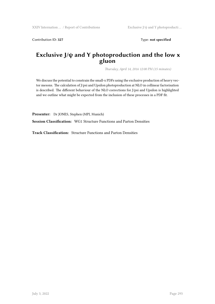Contribution ID: 327 Type: **not specified** 

### **Exclusive J/ψ and Υ photoproduction and the low x gluon**

*Thursday, April 14, 2016 12:00 PM (15 minutes)*

We discuss the potential to constrain the small-x PDFs using the exclusive production of heavy vector mesons. The calculation of J/psi and Upsilon photoproduction at NLO in collinear factorisation is described. The different behaviour of the NLO corrections for J/psi and Upsilon is highlighted and we outline what might be expected from the inclusion of these processes in a PDF fit.

**Presenter:** Dr JONES, Stephen (MPI, Munich)

**Session Classification:** WG1 Structure Functions and Parton Densities

**Track Classification:** Structure Functions and Parton Densities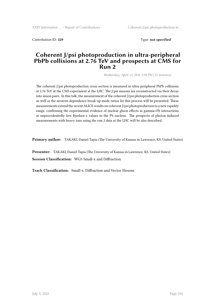Contribution ID: **329** Type: **not specified**

#### **Coherent J/psi photoproduction in ultra-peripheral PbPb collisions at 2.76 TeV and prospects at CMS for Run 2**

*Wednesday, April 13, 2016 2:50 PM (15 minutes)*

The coherent J/psi photoproduction cross section is measured in ultra-peripheral PbPb collisions at 2.76 TeV at the CMS experiment at the LHC. The J/psi mesons are reconstructed via their decay into muon pairs. In this talk, the measurement of the coherent J/psi photoproduction cross section as well as the neutron dependence break-up mode ratios for this process will be presented. These measurements extend the recent ALICE results on coherent J/psi photoproduction to a new rapidity range, confirming the experimental evidence of nuclear gluon effects in gamma+Pb interactions at unprecedentedly low Bjorken-x values in the Pb nucleus. The prospects of photon-induced measurements with heavy ions using the run 2 data at the LHC will be also described.

**Primary author:** TAKAKI, Daniel Tapia (The University of Kansas in Lawrence, KS, United States)

**Presenter:** TAKAKI, Daniel Tapia (The University of Kansas in Lawrence, KS, United States)

**Session Classification:** WG5 Small-x and Diffraction

**Track Classification:** Small-x, Diffraction and Vector Mesons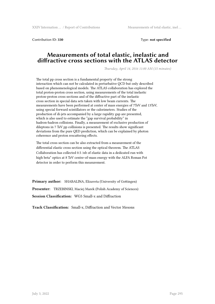Contribution ID: **330** Type: **not specified**

#### **Measurements of total elastic, inelastic and diffractive cross sections with the ATLAS detector**

*Thursday, April 14, 2016 11:00 AM (15 minutes)*

The total pp cross section is a fundamental property of the strong interaction which can not be calculated in perturbative QCD but only described based on phenomenological models. The ATLAS collaboration has explored the total proton-proton cross section, using measurements of the total inelastic proton-proton cross sections and of the diffractive part of the inelastic cross section in special data sets taken with low beam currents. The measurements have been performed at center of mass energies of 7TeV and 13TeV, using special forward scintillators or the calorimeters. Studies of the production of di-jets accompanied by a large rapidity gap are presented, which is also used to estimate the "gap survival probability" in hadron-hadron collisions. Finally, a measurement of exclusive production of dileptons in 7 TeV pp collisions is presented. The results show significant deviations from the pure QED prediction, which can be explained by photon coherence and proton rescattering effects.

The total cross section can be also extracted from a measurement of the differential elastic cross section using the optical theorem. The ATLAS Collaboration has collected 0.5 /nb of elastic data in a dedicated run with high beta\* optics at 8 TeV centre-of-mass energy with the ALFA Roman Pot detector in order to perform this measurement.

**Primary author:** SHABALINA, Elizaveta (University of Gottingen) **Presenter:** TRZEBINSKI, Maciej Marek (Polish Academy of Sciences) **Session Classification:** WG5 Small-x and Diffraction

**Track Classification:** Small-x, Diffraction and Vector Mesons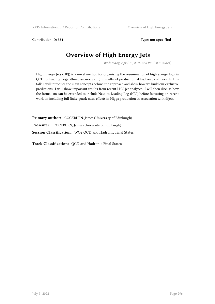Contribution ID: 331 Type: **not specified** 

## **Overview of High Energy Jets**

*Wednesday, April 13, 2016 2:50 PM (20 minutes)*

High Energy Jets (HEJ) is a novel method for organising the resummation of high energy logs in QCD to Leading Logarithmic accuracy (LL) in multi-jet production at hadronic colliders. In this talk, I will introduce the main concepts behind the approach and show how we build our exclusive predictions. I will show important results from recent LHC jet analyses. I will then discuss how the formalism can be extended to include Next-to-Leading Log (NLL) before focussing on recent work on including full finite quark mass effects in Higgs production in association with dijets.

**Primary author:** COCKBURN, James (University of Edinburgh) **Presenter:** COCKBURN, James (University of Edinburgh) **Session Classification:** WG2 QCD and Hadronic Final States

**Track Classification:** QCD and Hadronic Final States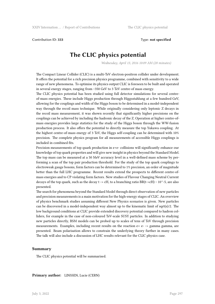Contribution ID: **333** Type: **not specified**

## **The CLIC physics potential**

*Wednesday, April 13, 2016 10:09 AM (20 minutes)*

The Compact Linear Collider (CLIC) is a multi-TeV electron-positron collider under development. It offers the potential for a rich precision physics programme, combined with sensitivity to a wide range of new phenomena. To optimise its physics output CLIC is foreseen to be built and operated in several energy stages, ranging from ~350 GeV to 3 TeV centre-of mass energy.

The CLIC physics potential has been studied using full detector simulations for several centreof-mass energies. These include Higgs production through Higgsstahlung at a few hundred GeV, allowing for the couplings and width of the Higgs boson to be determined in a model-independent way through the recoil mass technique. While originally considering only leptonic Z decays in the recoil mass measurement, it was shown recently that significantly higher precisions on the couplings can be achieved by including the hadronic decay of the Z. Operation at higher centre-ofmass energies provides large statistics for the study of the Higgs boson through the WW-fusion production process. It also offers the potential to directly measure the top Yukawa coupling. At the highest centre-of-mass energy of 3 TeV, the Higgs self-coupling can be determined with 10% precision. The complete physics program for all measurements of accessible Higgs couplings is included in combined fits.

Precision measurements of top quark production in e+e- collisions will significantly enhance our knowledge of top quark properties and will give new insight in physics beyond the Standard Model. The top mass can be measured at a 50 MeV accuracy level in a well-defined mass scheme by performing a scan of the top pair production threshold. For the study of the top quark couplings to electroweak gauge bosons, form factors can be determined to 1% precision, an order of magnitude better than the full LHC programme. Recent results extend the prospects to different centre-ofmass energies and to CP violating form factors. New studies of Flavour Changing Neutral Current decays of the top quark, such as the decay t -> cH, to a branching ratio BR(t->cH) ~ 10^-5, are also presented.

The search for phenomena beyond the Standard Model through direct observation of new particles and precision measurements is a main motivation for the high-energy stages of CLIC. An overview of physics benchmark studies assuming different New Physics scenarios is given. New particles can be discovered in a model-independent way almost up to the kinematic limit of sqrt(s)/2. The low background conditions at CLIC provide extended discovery potential compared to hadron colliders, for example in the case of non-coloured TeV-scale SUSY particles. In addition to studying new particles directly, BSM models can be probed up to scales of tens of TeV through precision measurements. Examples, including recent results on the reaction  $e+e-$  > gamma gamma, are presented. Beam polarisation allows to constrain the underlying theory further in many cases. The talk will also include a discussion of LHC results relevant for the CLIC physics case.

#### **Summary**

The CLIC physics potential will be summarised.

**Primary author:** LINSSEN, Lucie (CERN)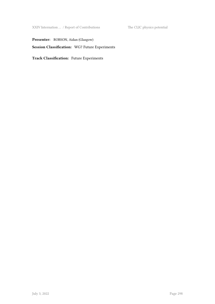XXIV Internation ... / Report of Contributions The CLIC physics potential

Presenter: ROBSON, Aidan (Glasgow)

**Session Classification:** WG7 Future Experiments

**Track Classification:** Future Experiments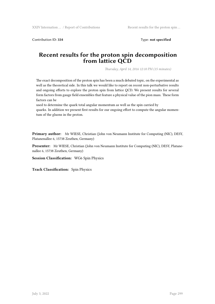Contribution ID: **334** Type: **not specified**

#### **Recent results for the proton spin decomposition from lattice QCD**

*Thursday, April 14, 2016 12:10 PM (15 minutes)*

The exact decomposition of the proton spin has been a much debated topic, on the experimental as well as the theoretical side. In this talk we would like to report on recent non-perturbative results and ongoing efforts to explore the proton spin from lattice QCD. We present results for several form factors from gauge field ensembles that feature a physical value of the pion mass. These form factors can be

used to determine the quark total angular momentum as well as the spin carried by quarks. In addition we present first results for our ongoing effort to compute the angular momentum of the gluons in the proton.

**Primary author:** Mr WIESE, Christian (John von Neumann Institute for Computing (NIC), DESY, Platanenallee 6, 15738 Zeuthen, Germany)

**Presenter:** Mr WIESE, Christian (John von Neumann Institute for Computing (NIC), DESY, Platanenallee 6, 15738 Zeuthen, Germany)

**Session Classification:** WG6 Spin Physics

**Track Classification:** Spin Physics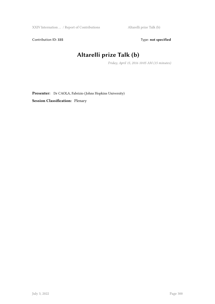Contribution ID: 335 Type: **not specified** 

# **Altarelli prize Talk (b)**

*Friday, April 15, 2016 10:05 AM (15 minutes)*

**Presenter:** Dr CAOLA, Fabrizio (Johns Hopkins University) **Session Classification:** Plenary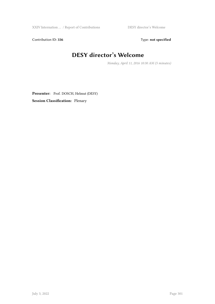Contribution ID: 336 Type: **not specified** 

# **DESY director's Welcome**

*Monday, April 11, 2016 10:30 AM (5 minutes)*

Presenter: Prof. DOSCH, Helmut (DESY) **Session Classification:** Plenary